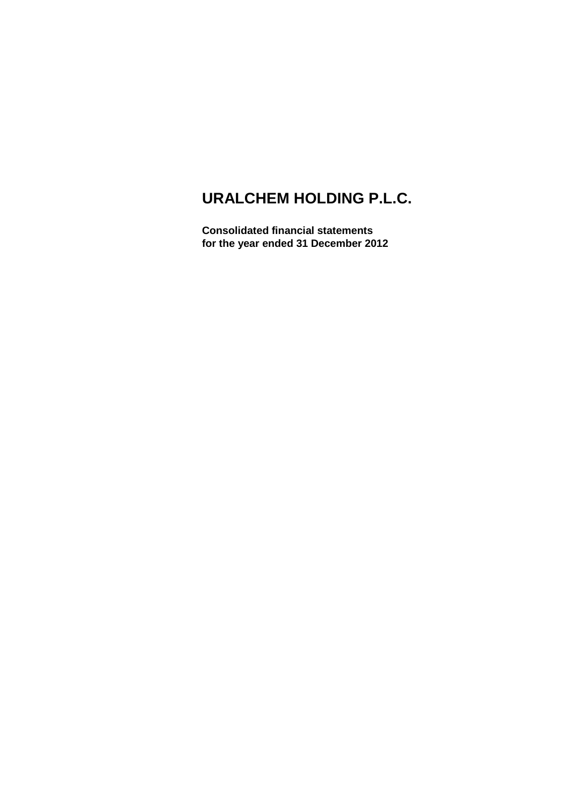**Consolidated financial statements for the year ended 31 December 2012**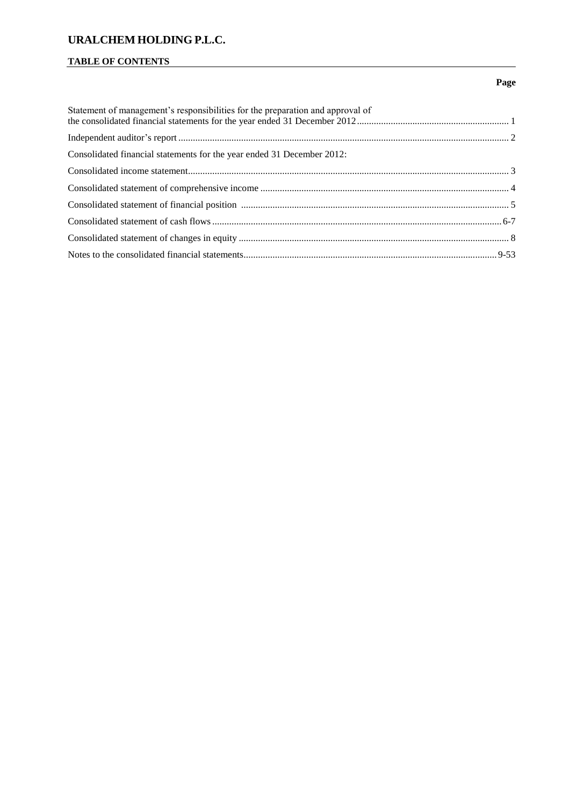# **TABLE OF CONTENTS**

# **Page**

| Statement of management's responsibilities for the preparation and approval of |  |
|--------------------------------------------------------------------------------|--|
|                                                                                |  |
| Consolidated financial statements for the year ended 31 December 2012:         |  |
|                                                                                |  |
|                                                                                |  |
|                                                                                |  |
|                                                                                |  |
|                                                                                |  |
|                                                                                |  |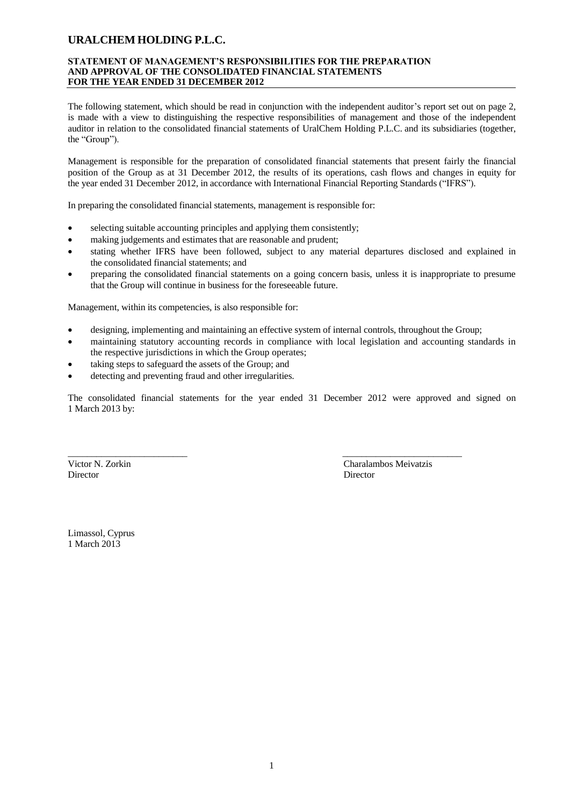#### **STATEMENT OF MANAGEMENT'S RESPONSIBILITIES FOR THE PREPARATION AND APPROVAL OF THE CONSOLIDATED FINANCIAL STATEMENTS FOR THE YEAR ENDED 31 DECEMBER 2012**

The following statement, which should be read in conjunction with the independent auditor's report set out on page 2, is made with a view to distinguishing the respective responsibilities of management and those of the independent auditor in relation to the consolidated financial statements of UralChem Holding P.L.C. and its subsidiaries (together, the "Group").

Management is responsible for the preparation of consolidated financial statements that present fairly the financial position of the Group as at 31 December 2012, the results of its operations, cash flows and changes in equity for the year ended 31 December 2012, in accordance with International Financial Reporting Standards ("IFRS").

In preparing the consolidated financial statements, management is responsible for:

- selecting suitable accounting principles and applying them consistently;
- making judgements and estimates that are reasonable and prudent;
- stating whether IFRS have been followed, subject to any material departures disclosed and explained in the consolidated financial statements; and
- preparing the consolidated financial statements on a going concern basis, unless it is inappropriate to presume that the Group will continue in business for the foreseeable future.

Management, within its competencies, is also responsible for:

designing, implementing and maintaining an effective system of internal controls, throughout the Group;

\_\_\_\_\_\_\_\_\_\_\_\_\_\_\_\_\_\_\_\_\_\_\_\_\_ \_\_\_\_\_\_\_\_\_\_\_\_\_\_\_\_\_\_\_\_\_\_\_\_\_

- maintaining statutory accounting records in compliance with local legislation and accounting standards in the respective jurisdictions in which the Group operates;
- taking steps to safeguard the assets of the Group; and
- detecting and preventing fraud and other irregularities.

The consolidated financial statements for the year ended 31 December 2012 were approved and signed on 1 March 2013 by:

Director Director **Director** 

Victor N. Zorkin Charalambos Meivatzis

Limassol, Cyprus 1 March 2013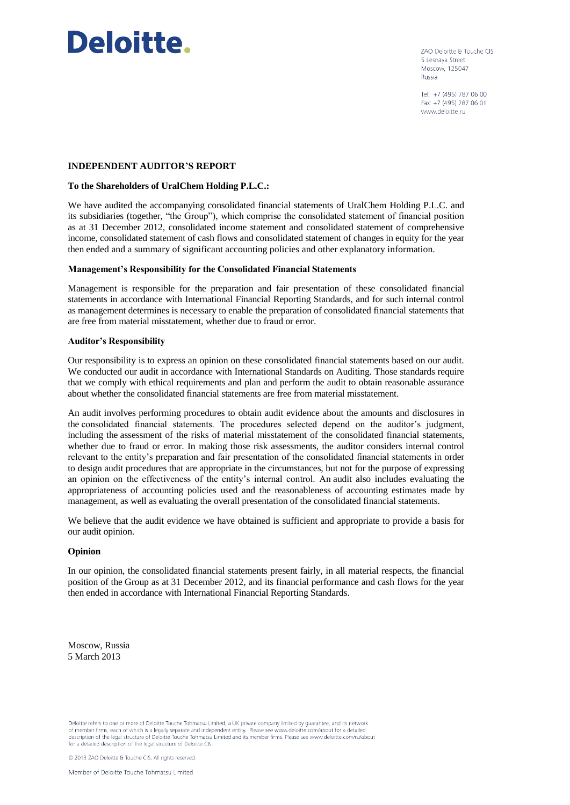# Deloitte.

**7AO Deloitte & Touche CIS** 5 Lesnaya Street Moscow. 125047 Russia

Tel: +7 (495) 787 06 00 Fax: +7 (495) 787 06 01 www.deloitte.ru

#### **INDEPENDENT AUDITOR'S REPORT**

#### **To the Shareholders of UralChem Holding P.L.C.:**

We have audited the accompanying consolidated financial statements of UralChem Holding P.L.C. and its subsidiaries (together, "the Group"), which comprise the consolidated statement of financial position as at 31 December 2012, consolidated income statement and consolidated statement of comprehensive income, consolidated statement of cash flows and consolidated statement of changes in equity for the year then ended and a summary of significant accounting policies and other explanatory information.

#### **Management's Responsibility for the Consolidated Financial Statements**

Management is responsible for the preparation and fair presentation of these consolidated financial statements in accordance with International Financial Reporting Standards, and for such internal control as management determines is necessary to enable the preparation of consolidated financial statements that are free from material misstatement, whether due to fraud or error.

### **Auditor's Responsibility**

Our responsibility is to express an opinion on these consolidated financial statements based on our audit. We conducted our audit in accordance with International Standards on Auditing. Those standards require that we comply with ethical requirements and plan and perform the audit to obtain reasonable assurance about whether the consolidated financial statements are free from material misstatement.

An audit involves performing procedures to obtain audit evidence about the amounts and disclosures in the consolidated financial statements. The procedures selected depend on the auditor's judgment, including the assessment of the risks of material misstatement of the consolidated financial statements, whether due to fraud or error. In making those risk assessments, the auditor considers internal control relevant to the entity's preparation and fair presentation of the consolidated financial statements in order to design audit procedures that are appropriate in the circumstances, but not for the purpose of expressing an opinion on the effectiveness of the entity's internal control. An audit also includes evaluating the appropriateness of accounting policies used and the reasonableness of accounting estimates made by management, as well as evaluating the overall presentation of the consolidated financial statements.

We believe that the audit evidence we have obtained is sufficient and appropriate to provide a basis for our audit opinion.

#### **Opinion**

In our opinion, the consolidated financial statements present fairly, in all material respects, the financial position of the Group as at 31 December 2012, and its financial performance and cash flows for the year then ended in accordance with International Financial Reporting Standards.

Moscow, Russia 5 March 2013

Deloitte refers to one or more of Deloitte Touche Tohmatsu Limited, a UK private company limited by quarantee, and its network of member firms, each of which is a legally separate and independent entity. Please see www.deloitte.com/about for a detailed description of the legal structure of Deloitte Touche Tohmatsu Limited and its member firms. Please see www.deloitte.com/ru/about for a detailed description of the legal structure of Deloitte CIS.

C 2013 ZAO Deloitte & Touche CIS. All rights reserved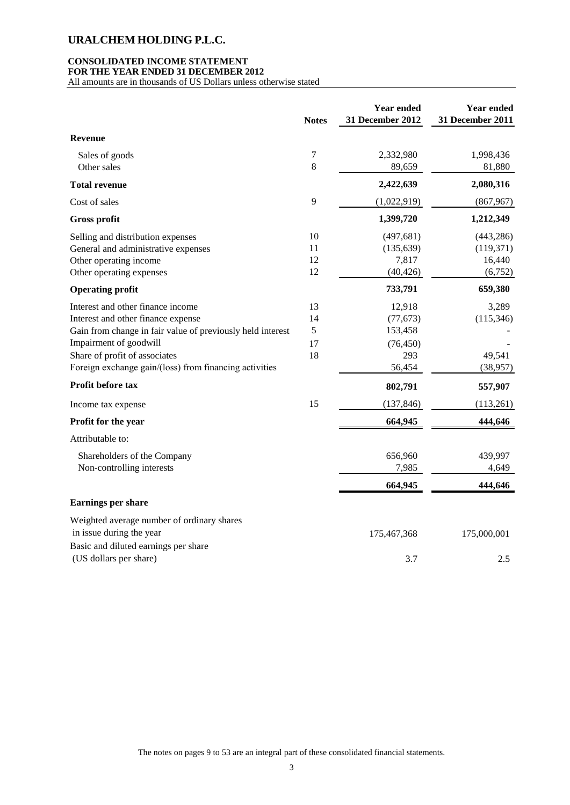### **CONSOLIDATED INCOME STATEMENT FOR THE YEAR ENDED 31 DECEMBER 2012**

All amounts are in thousands of US Dollars unless otherwise stated

|                                                            | <b>Notes</b> | <b>Year ended</b><br>31 December 2012 | <b>Year ended</b><br>31 December 2011 |
|------------------------------------------------------------|--------------|---------------------------------------|---------------------------------------|
| <b>Revenue</b>                                             |              |                                       |                                       |
| Sales of goods                                             | 7            | 2,332,980                             | 1,998,436                             |
| Other sales                                                | 8            | 89,659                                | 81,880                                |
| <b>Total revenue</b>                                       |              | 2,422,639                             | 2,080,316                             |
| Cost of sales                                              | 9            | (1,022,919)                           | (867, 967)                            |
| <b>Gross profit</b>                                        |              | 1,399,720                             | 1,212,349                             |
| Selling and distribution expenses                          | 10           | (497, 681)                            | (443, 286)                            |
| General and administrative expenses                        | 11           | (135, 639)                            | (119,371)                             |
| Other operating income                                     | 12           | 7,817                                 | 16,440                                |
| Other operating expenses                                   | 12           | (40, 426)                             | (6,752)                               |
| <b>Operating profit</b>                                    |              | 733,791                               | 659,380                               |
| Interest and other finance income                          | 13           | 12,918                                | 3,289                                 |
| Interest and other finance expense                         | 14           | (77, 673)                             | (115, 346)                            |
| Gain from change in fair value of previously held interest | 5            | 153,458                               |                                       |
| Impairment of goodwill                                     | 17           | (76, 450)                             |                                       |
| Share of profit of associates                              | 18           | 293                                   | 49,541                                |
| Foreign exchange gain/(loss) from financing activities     |              | 56,454                                | (38, 957)                             |
| Profit before tax                                          |              | 802,791                               | 557,907                               |
| Income tax expense                                         | 15           | (137, 846)                            | (113,261)                             |
| Profit for the year                                        |              | 664,945                               | 444,646                               |
| Attributable to:                                           |              |                                       |                                       |
| Shareholders of the Company                                |              | 656,960                               | 439,997                               |
| Non-controlling interests                                  |              | 7,985                                 | 4,649                                 |
|                                                            |              | 664,945                               | 444,646                               |
| <b>Earnings per share</b>                                  |              |                                       |                                       |
|                                                            |              |                                       |                                       |
| Weighted average number of ordinary shares                 |              |                                       |                                       |
| in issue during the year                                   |              | 175,467,368                           | 175,000,001                           |
| Basic and diluted earnings per share                       |              |                                       |                                       |
| (US dollars per share)                                     |              | 3.7                                   | 2.5                                   |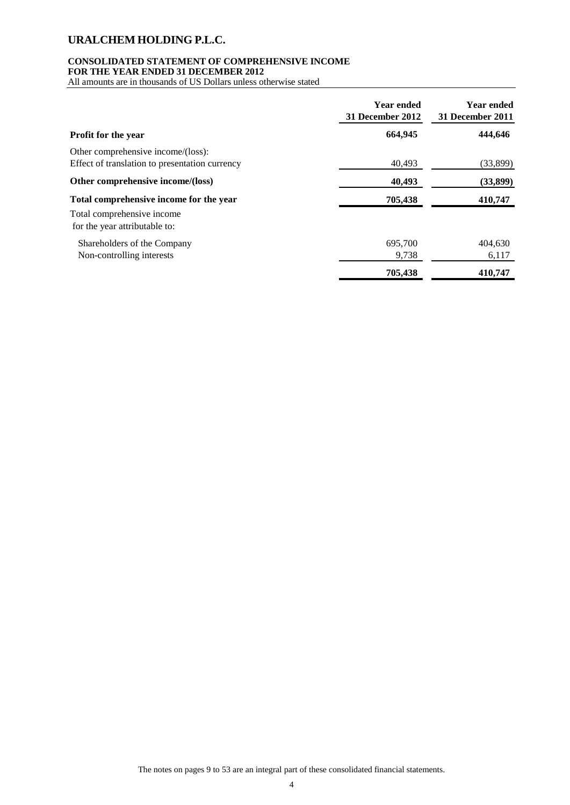### **CONSOLIDATED STATEMENT OF COMPREHENSIVE INCOME FOR THE YEAR ENDED 31 DECEMBER 2012**

All amounts are in thousands of US Dollars unless otherwise stated

|                                                                                      | <b>Year ended</b><br>31 December 2012 | <b>Year ended</b><br>31 December 2011 |
|--------------------------------------------------------------------------------------|---------------------------------------|---------------------------------------|
| <b>Profit for the year</b>                                                           | 664,945                               | 444,646                               |
| Other comprehensive income/(loss):<br>Effect of translation to presentation currency | 40.493                                | (33,899)                              |
| Other comprehensive income/(loss)                                                    | 40,493                                | (33,899)                              |
| Total comprehensive income for the year                                              | 705,438                               | 410,747                               |
| Total comprehensive income<br>for the year attributable to:                          |                                       |                                       |
| Shareholders of the Company                                                          | 695,700                               | 404,630                               |
| Non-controlling interests                                                            | 9,738                                 | 6,117                                 |
|                                                                                      | 705,438                               | 410,747                               |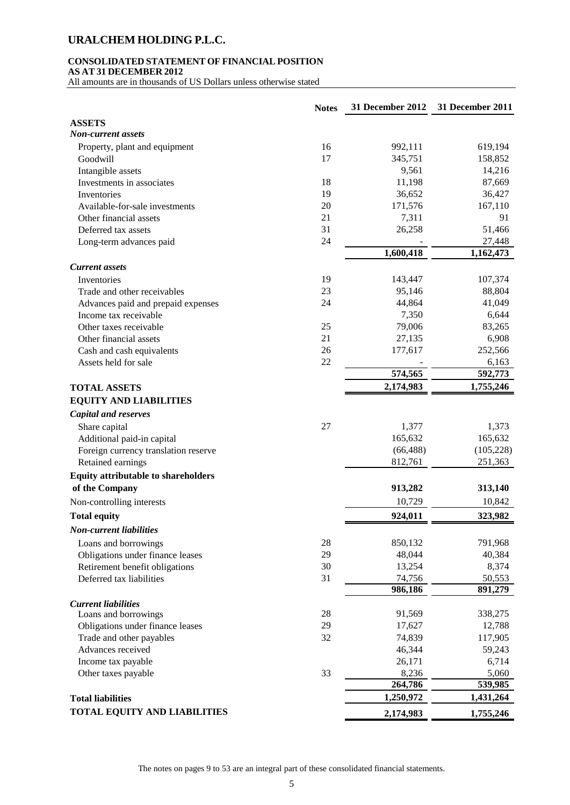### **CONSOLIDATED STATEMENT OF FINANCIAL POSITION**

**AS AT 31 DECEMBER 2012**

All amounts are in thousands of US Dollars unless otherwise stated

|                                            | <b>Notes</b> | 31 December 2012 | 31 December 2011 |
|--------------------------------------------|--------------|------------------|------------------|
| <b>ASSETS</b>                              |              |                  |                  |
| <b>Non-current assets</b>                  |              |                  |                  |
| Property, plant and equipment              | 16           | 992,111          | 619,194          |
| Goodwill                                   | 17           | 345,751          | 158,852          |
| Intangible assets                          |              | 9,561            | 14,216           |
| Investments in associates                  | 18           | 11,198           | 87,669           |
| Inventories                                | 19           | 36,652           | 36,427           |
| Available-for-sale investments             | 20           | 171,576          | 167,110          |
| Other financial assets                     | 21           | 7,311            | 91               |
| Deferred tax assets                        | 31           | 26,258           | 51,466           |
| Long-term advances paid                    | 24           |                  | 27,448           |
|                                            |              | 1,600,418        | 1,162,473        |
| <b>Current</b> assets                      |              |                  |                  |
| Inventories                                | 19           | 143,447          | 107,374          |
| Trade and other receivables                | 23           | 95,146           | 88,804           |
| Advances paid and prepaid expenses         | 24           | 44,864           | 41,049           |
| Income tax receivable                      |              | 7,350            | 6,644            |
| Other taxes receivable                     | 25           | 79,006           | 83,265           |
| Other financial assets                     | 21           | 27,135           | 6,908            |
| Cash and cash equivalents                  | 26           | 177,617          | 252,566          |
| Assets held for sale                       | 22           |                  | 6,163            |
|                                            |              | 574,565          | 592,773          |
| <b>TOTAL ASSETS</b>                        |              | 2,174,983        | 1,755,246        |
| <b>EQUITY AND LIABILITIES</b>              |              |                  |                  |
| <b>Capital and reserves</b>                |              |                  |                  |
| Share capital                              | 27           | 1,377            | 1,373            |
| Additional paid-in capital                 |              | 165,632          | 165,632          |
| Foreign currency translation reserve       |              | (66, 488)        | (105, 228)       |
| Retained earnings                          |              | 812,761          | 251,363          |
| <b>Equity attributable to shareholders</b> |              |                  |                  |
| of the Company                             |              | 913,282          | 313,140          |
| Non-controlling interests                  |              | 10,729           | 10,842           |
|                                            |              |                  |                  |
| <b>Total equity</b>                        |              | 924,011          | 323,982          |
| <b>Non-current liabilities</b>             |              |                  |                  |
| Loans and borrowings                       | 28           | 850,132          | 791,968          |
| Obligations under finance leases           | 29           | 48,044           | 40,384           |
| Retirement benefit obligations             | 30           | 13,254           | 8,374            |
| Deferred tax liabilities                   | 31           | 74,756           | 50,553           |
|                                            |              | 986,186          | 891,279          |
| <b>Current liabilities</b>                 |              |                  |                  |
| Loans and borrowings                       | 28           | 91,569           | 338,275          |
| Obligations under finance leases           | 29           | 17,627           | 12,788           |
| Trade and other payables                   | 32           | 74,839           | 117,905          |
| Advances received                          |              | 46,344           | 59,243           |
| Income tax payable                         |              | 26,171           | 6,714            |
| Other taxes payable                        | 33           | 8,236            | 5,060            |
|                                            |              | 264,786          | 539,985          |
| <b>Total liabilities</b>                   |              | 1,250,972        | 1,431,264        |
| TOTAL EQUITY AND LIABILITIES               |              | 2,174,983        | 1,755,246        |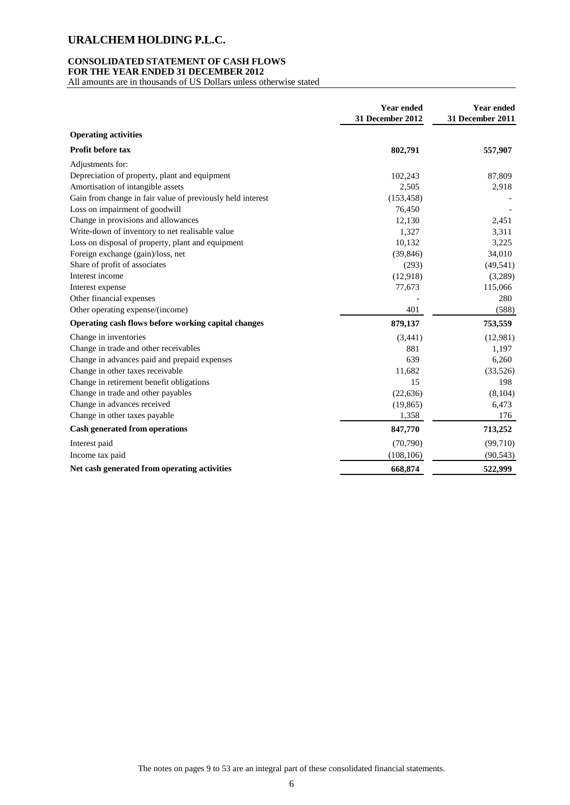### **CONSOLIDATED STATEMENT OF CASH FLOWS FOR THE YEAR ENDED 31 DECEMBER 2012**

All amounts are in thousands of US Dollars unless otherwise stated

|                                                            | <b>Year ended</b><br>31 December 2012 | <b>Year ended</b><br>31 December 2011 |
|------------------------------------------------------------|---------------------------------------|---------------------------------------|
| <b>Operating activities</b>                                |                                       |                                       |
| <b>Profit before tax</b>                                   | 802,791                               | 557,907                               |
| Adjustments for:                                           |                                       |                                       |
| Depreciation of property, plant and equipment              | 102,243                               | 87,809                                |
| Amortisation of intangible assets                          | 2,505                                 | 2,918                                 |
| Gain from change in fair value of previously held interest | (153, 458)                            |                                       |
| Loss on impairment of goodwill                             | 76,450                                |                                       |
| Change in provisions and allowances                        | 12,130                                | 2,451                                 |
| Write-down of inventory to net realisable value            | 1,327                                 | 3,311                                 |
| Loss on disposal of property, plant and equipment          | 10,132                                | 3,225                                 |
| Foreign exchange (gain)/loss, net                          | (39, 846)                             | 34,010                                |
| Share of profit of associates                              | (293)                                 | (49, 541)                             |
| Interest income                                            | (12,918)                              | (3,289)                               |
| Interest expense                                           | 77,673                                | 115,066                               |
| Other financial expenses                                   |                                       | 280                                   |
| Other operating expense/(income)                           | 401                                   | (588)                                 |
| Operating cash flows before working capital changes        | 879,137                               | 753,559                               |
| Change in inventories                                      | (3,441)                               | (12,981)                              |
| Change in trade and other receivables                      | 881                                   | 1,197                                 |
| Change in advances paid and prepaid expenses               | 639                                   | 6,260                                 |
| Change in other taxes receivable                           | 11,682                                | (33,526)                              |
| Change in retirement benefit obligations                   | 15                                    | 198                                   |
| Change in trade and other payables                         | (22, 636)                             | (8,104)                               |
| Change in advances received                                | (19, 865)                             | 6,473                                 |
| Change in other taxes payable                              | 1,358                                 | 176                                   |
| Cash generated from operations                             | 847,770                               | 713,252                               |
| Interest paid                                              | (70, 790)                             | (99,710)                              |
| Income tax paid                                            | (108, 106)                            | (90, 543)                             |
| Net cash generated from operating activities               | 668,874                               | 522,999                               |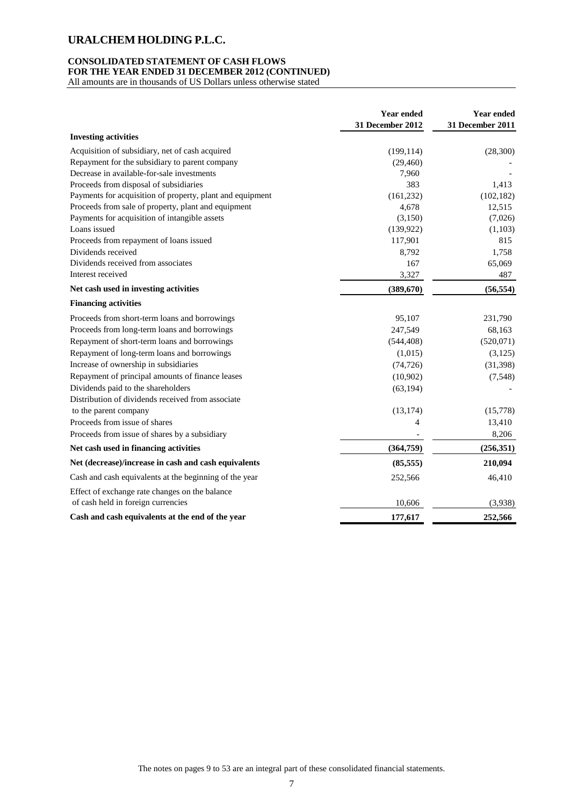### **CONSOLIDATED STATEMENT OF CASH FLOWS FOR THE YEAR ENDED 31 DECEMBER 2012 (CONTINUED)**

All amounts are in thousands of US Dollars unless otherwise stated

|                                                           | <b>Year ended</b><br>31 December 2012 | <b>Year ended</b><br>31 December 2011 |
|-----------------------------------------------------------|---------------------------------------|---------------------------------------|
| <b>Investing activities</b>                               |                                       |                                       |
| Acquisition of subsidiary, net of cash acquired           | (199, 114)                            | (28,300)                              |
| Repayment for the subsidiary to parent company            | (29, 460)                             |                                       |
| Decrease in available-for-sale investments                | 7,960                                 |                                       |
| Proceeds from disposal of subsidiaries                    | 383                                   | 1,413                                 |
| Payments for acquisition of property, plant and equipment | (161, 232)                            | (102, 182)                            |
| Proceeds from sale of property, plant and equipment       | 4,678                                 | 12,515                                |
| Payments for acquisition of intangible assets             | (3,150)                               | (7,026)                               |
| Loans issued                                              | (139, 922)                            | (1,103)                               |
| Proceeds from repayment of loans issued                   | 117,901                               | 815                                   |
| Dividends received                                        | 8,792                                 | 1,758                                 |
| Dividends received from associates                        | 167                                   | 65,069                                |
| Interest received                                         | 3,327                                 | 487                                   |
| Net cash used in investing activities                     | (389, 670)                            | (56, 554)                             |
| <b>Financing activities</b>                               |                                       |                                       |
| Proceeds from short-term loans and borrowings             | 95,107                                | 231,790                               |
| Proceeds from long-term loans and borrowings              | 247,549                               | 68,163                                |
| Repayment of short-term loans and borrowings              | (544, 408)                            | (520, 071)                            |
| Repayment of long-term loans and borrowings               | (1,015)                               | (3,125)                               |
| Increase of ownership in subsidiaries                     | (74, 726)                             | (31, 398)                             |
| Repayment of principal amounts of finance leases          | (10,902)                              | (7, 548)                              |
| Dividends paid to the shareholders                        | (63, 194)                             |                                       |
| Distribution of dividends received from associate         |                                       |                                       |
| to the parent company                                     | (13, 174)                             | (15,778)                              |
| Proceeds from issue of shares                             | 4                                     | 13,410                                |
| Proceeds from issue of shares by a subsidiary             |                                       | 8,206                                 |
| Net cash used in financing activities                     | (364, 759)                            | (256, 351)                            |
| Net (decrease)/increase in cash and cash equivalents      | (85, 555)                             | 210,094                               |
| Cash and cash equivalents at the beginning of the year    | 252,566                               | 46,410                                |
| Effect of exchange rate changes on the balance            |                                       |                                       |
| of cash held in foreign currencies                        | 10,606                                | (3,938)                               |
| Cash and cash equivalents at the end of the year          | 177,617                               | 252,566                               |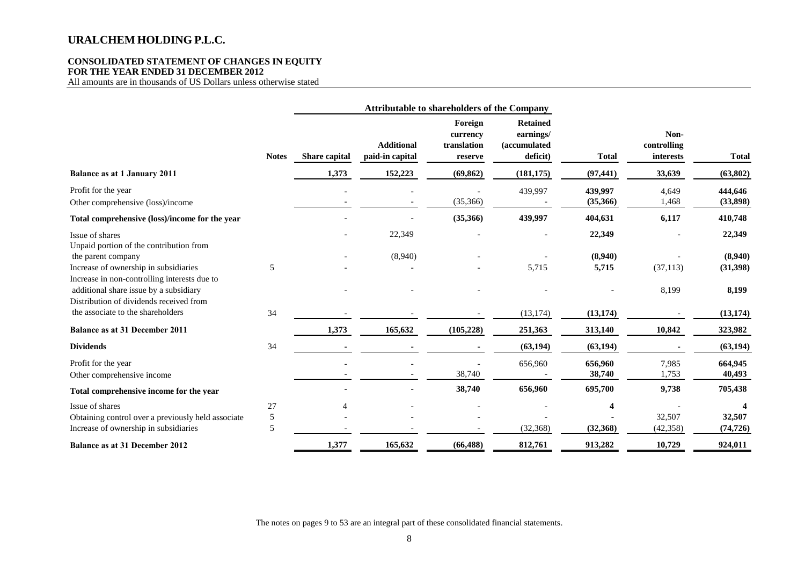### **CONSOLIDATED STATEMENT OF CHANGES IN EQUITY FOR THE YEAR ENDED 31 DECEMBER 2012**

All amounts are in thousands of US Dollars unless otherwise stated

|                                                                                                                |                       |               | <b>Attributable to shareholders of the Company</b> |                                               |                                                                  |                     |                                  |                      |
|----------------------------------------------------------------------------------------------------------------|-----------------------|---------------|----------------------------------------------------|-----------------------------------------------|------------------------------------------------------------------|---------------------|----------------------------------|----------------------|
|                                                                                                                | <b>Notes</b>          | Share capital | <b>Additional</b><br>paid-in capital               | Foreign<br>currency<br>translation<br>reserve | <b>Retained</b><br>earnings/<br><i>(accumulated)</i><br>deficit) | <b>Total</b>        | Non-<br>controlling<br>interests | <b>Total</b>         |
| <b>Balance as at 1 January 2011</b>                                                                            |                       | 1,373         | 152,223                                            | (69, 862)                                     | (181, 175)                                                       | (97, 441)           | 33,639                           | (63, 802)            |
| Profit for the year<br>Other comprehensive (loss)/income                                                       |                       |               |                                                    | (35, 366)                                     | 439,997                                                          | 439,997<br>(35,366) | 4,649<br>1,468                   | 444,646<br>(33,898)  |
| Total comprehensive (loss)/income for the year                                                                 |                       |               |                                                    | (35,366)                                      | 439,997                                                          | 404,631             | 6,117                            | 410,748              |
| Issue of shares<br>Unpaid portion of the contribution from                                                     |                       |               | 22,349                                             |                                               |                                                                  | 22,349              |                                  | 22,349               |
| the parent company<br>Increase of ownership in subsidiaries<br>Increase in non-controlling interests due to    | 5                     |               | (8,940)                                            |                                               | 5,715                                                            | (8,940)<br>5,715    | (37, 113)                        | (8,940)<br>(31, 398) |
| additional share issue by a subsidiary<br>Distribution of dividends received from                              |                       |               |                                                    |                                               |                                                                  |                     | 8,199                            | 8,199                |
| the associate to the shareholders                                                                              | 34                    |               |                                                    |                                               | (13, 174)                                                        | (13, 174)           |                                  | (13, 174)            |
| <b>Balance as at 31 December 2011</b>                                                                          |                       | 1,373         | 165,632                                            | (105, 228)                                    | 251,363                                                          | 313,140             | 10,842                           | 323,982              |
| <b>Dividends</b>                                                                                               | 34                    |               |                                                    |                                               | (63, 194)                                                        | (63, 194)           |                                  | (63, 194)            |
| Profit for the year<br>Other comprehensive income                                                              |                       |               |                                                    | 38,740                                        | 656,960                                                          | 656,960<br>38,740   | 7,985<br>1,753                   | 664,945<br>40,493    |
| Total comprehensive income for the year                                                                        |                       |               |                                                    | 38,740                                        | 656,960                                                          | 695,700             | 9,738                            | 705,438              |
| Issue of shares<br>Obtaining control over a previously held associate<br>Increase of ownership in subsidiaries | 27<br>$\sqrt{5}$<br>5 |               |                                                    |                                               | (32, 368)                                                        | 4<br>(32,368)       | 32,507<br>(42, 358)              | 32,507<br>(74, 726)  |
| <b>Balance as at 31 December 2012</b>                                                                          |                       | 1,377         | 165,632                                            | (66, 488)                                     | 812,761                                                          | 913,282             | 10,729                           | 924,011              |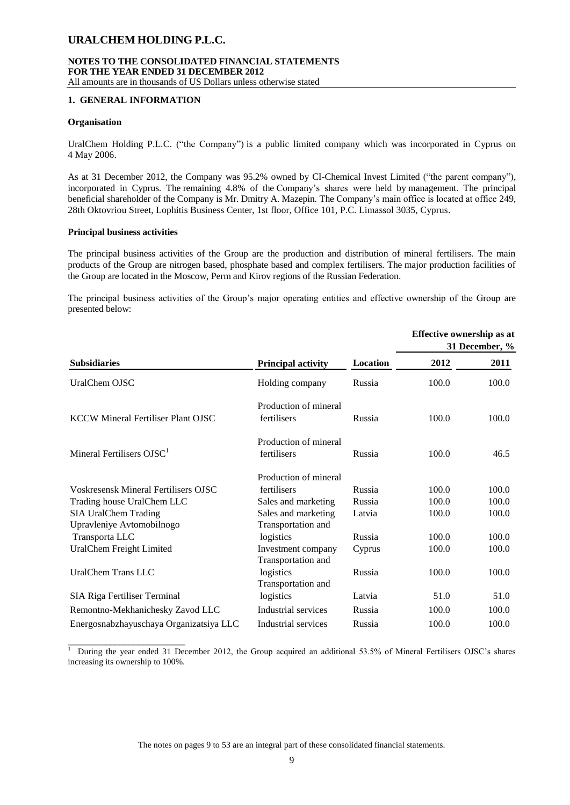#### **NOTES TO THE CONSOLIDATED FINANCIAL STATEMENTS FOR THE YEAR ENDED 31 DECEMBER 2012** All amounts are in thousands of US Dollars unless otherwise stated

#### **1. GENERAL INFORMATION**

#### **Organisation**

UralChem Holding P.L.C. ("the Company") is a public limited company which was incorporated in Cyprus on 4 May 2006.

As at 31 December 2012, the Company was 95.2% owned by CI-Chemical Invest Limited ("the parent company"), incorporated in Cyprus. The remaining 4.8% of the Company's shares were held by management. The principal beneficial shareholder of the Company is Mr. Dmitry A. Mazepin. The Company's main office is located at office 249, 28th Oktovriou Street, Lophitis Business Center, 1st floor, Office 101, P.C. Limassol 3035, Cyprus.

#### **Principal business activities**

\_\_\_\_\_\_\_\_\_\_\_\_\_\_\_\_\_\_\_\_\_\_\_\_\_

The principal business activities of the Group are the production and distribution of mineral fertilisers. The main products of the Group are nitrogen based, phosphate based and complex fertilisers. The major production facilities of the Group are located in the Moscow, Perm and Kirov regions of the Russian Federation.

The principal business activities of the Group's major operating entities and effective ownership of the Group are presented below:

|                                                          |                                           |                 | <b>Effective ownership as at</b> | 31 December, % |
|----------------------------------------------------------|-------------------------------------------|-----------------|----------------------------------|----------------|
| <b>Subsidiaries</b>                                      | <b>Principal activity</b>                 | <b>Location</b> | 2012                             | 2011           |
| UralChem OJSC                                            | Holding company                           | Russia          | 100.0                            | 100.0          |
| <b>KCCW Mineral Fertiliser Plant OJSC</b>                | Production of mineral<br>fertilisers      | Russia          | 100.0                            | 100.0          |
| Mineral Fertilisers OJSC <sup>1</sup>                    | Production of mineral<br>fertilisers      | Russia          | 100.0                            | 46.5           |
| Voskresensk Mineral Fertilisers OJSC                     | Production of mineral<br>fertilisers      | Russia          | 100.0                            | 100.0          |
| Trading house UralChem LLC                               | Sales and marketing                       | Russia          | 100.0                            | 100.0          |
| <b>SIA UralChem Trading</b><br>Upravleniye Avtomobilnogo | Sales and marketing<br>Transportation and | Latvia          | 100.0                            | 100.0          |
| Transporta LLC                                           | logistics                                 | Russia          | 100.0                            | 100.0          |
| UralChem Freight Limited                                 | Investment company<br>Transportation and  | Cyprus          | 100.0                            | 100.0          |
| UralChem Trans LLC                                       | logistics<br>Transportation and           | Russia          | 100.0                            | 100.0          |
| SIA Riga Fertiliser Terminal                             | logistics                                 | Latvia          | 51.0                             | 51.0           |
| Remontno-Mekhanichesky Zavod LLC                         | Industrial services                       | Russia          | 100.0                            | 100.0          |
| Energosnabzhayuschaya Organizatsiya LLC                  | Industrial services                       | Russia          | 100.0                            | 100.0          |

<sup>1</sup> During the year ended 31 December 2012, the Group acquired an additional 53.5% of Mineral Fertilisers OJSC's shares increasing its ownership to 100%.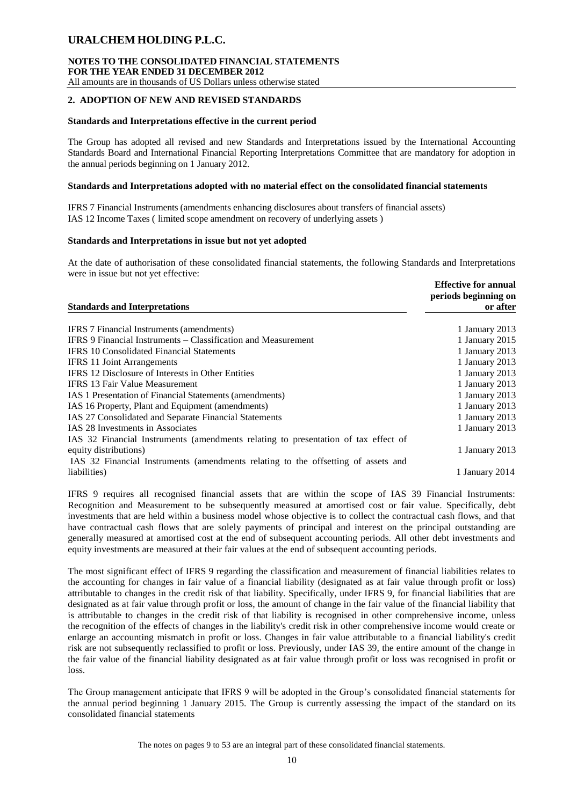#### **NOTES TO THE CONSOLIDATED FINANCIAL STATEMENTS FOR THE YEAR ENDED 31 DECEMBER 2012** All amounts are in thousands of US Dollars unless otherwise stated

### **2. ADOPTION OF NEW AND REVISED STANDARDS**

#### **Standards and Interpretations effective in the current period**

The Group has adopted all revised and new Standards and Interpretations issued by the International Accounting Standards Board and International Financial Reporting Interpretations Committee that are mandatory for adoption in the annual periods beginning on 1 January 2012.

#### **Standards and Interpretations adopted with no material effect on the consolidated financial statements**

IAS 12 Income Taxes ( limited scope amendment on recovery of underlying assets ) IFRS 7 Financial Instruments (amendments enhancing disclosures about transfers of financial assets)

#### **Standards and Interpretations in issue but not yet adopted**

At the date of authorisation of these consolidated financial statements, the following Standards and Interpretations were in issue but not yet effective:

**Effective for annual** 

| <b>Standards and Interpretations</b>                                               | periods beginning on<br>or after |
|------------------------------------------------------------------------------------|----------------------------------|
| IFRS 7 Financial Instruments (amendments)                                          | 1 January 2013                   |
| <b>IFRS 9 Financial Instruments – Classification and Measurement</b>               | 1 January 2015                   |
| <b>IFRS 10 Consolidated Financial Statements</b>                                   | 1 January 2013                   |
| <b>IFRS</b> 11 Joint Arrangements                                                  | 1 January 2013                   |
| IFRS 12 Disclosure of Interests in Other Entities                                  | 1 January 2013                   |
| <b>IFRS</b> 13 Fair Value Measurement                                              | 1 January 2013                   |
| IAS 1 Presentation of Financial Statements (amendments)                            | 1 January 2013                   |
| IAS 16 Property, Plant and Equipment (amendments)                                  | 1 January 2013                   |
| IAS 27 Consolidated and Separate Financial Statements                              | 1 January 2013                   |
| IAS 28 Investments in Associates                                                   | 1 January 2013                   |
| IAS 32 Financial Instruments (amendments relating to presentation of tax effect of |                                  |
| equity distributions)                                                              | 1 January 2013                   |
| IAS 32 Financial Instruments (amendments relating to the offsetting of assets and  |                                  |
| liabilities)                                                                       | 1 January 2014                   |

IFRS 9 requires all recognised financial assets that are within the scope of IAS 39 Financial Instruments: Recognition and Measurement to be subsequently measured at amortised cost or fair value. Specifically, debt investments that are held within a business model whose objective is to collect the contractual cash flows, and that have contractual cash flows that are solely payments of principal and interest on the principal outstanding are generally measured at amortised cost at the end of subsequent accounting periods. All other debt investments and equity investments are measured at their fair values at the end of subsequent accounting periods.

The most significant effect of IFRS 9 regarding the classification and measurement of financial liabilities relates to the accounting for changes in fair value of a financial liability (designated as at fair value through profit or loss) attributable to changes in the credit risk of that liability. Specifically, under IFRS 9, for financial liabilities that are designated as at fair value through profit or loss, the amount of change in the fair value of the financial liability that is attributable to changes in the credit risk of that liability is recognised in other comprehensive income, unless the recognition of the effects of changes in the liability's credit risk in other comprehensive income would create or enlarge an accounting mismatch in profit or loss. Changes in fair value attributable to a financial liability's credit risk are not subsequently reclassified to profit or loss. Previously, under IAS 39, the entire amount of the change in the fair value of the financial liability designated as at fair value through profit or loss was recognised in profit or loss.

The Group management anticipate that IFRS 9 will be adopted in the Group's consolidated financial statements for the annual period beginning 1 January 2015. The Group is currently assessing the impact of the standard on its consolidated financial statements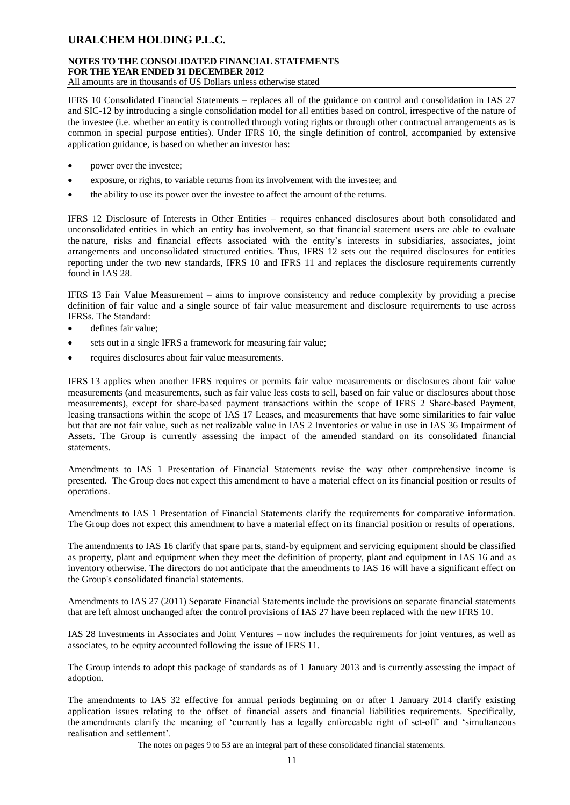# **NOTES TO THE CONSOLIDATED FINANCIAL STATEMENTS FOR THE YEAR ENDED 31 DECEMBER 2012**

All amounts are in thousands of US Dollars unless otherwise stated

IFRS 10 Consolidated Financial Statements – replaces all of the guidance on control and consolidation in IAS 27 and SIC-12 by introducing a single consolidation model for all entities based on control, irrespective of the nature of the investee (i.e. whether an entity is controlled through voting rights or through other contractual arrangements as is common in special purpose entities). Under IFRS 10, the single definition of control, accompanied by extensive application guidance, is based on whether an investor has:

- power over the investee;
- exposure, or rights, to variable returns from its involvement with the investee; and
- the ability to use its power over the investee to affect the amount of the returns.

IFRS 12 Disclosure of Interests in Other Entities – requires enhanced disclosures about both consolidated and unconsolidated entities in which an entity has involvement, so that financial statement users are able to evaluate the nature, risks and financial effects associated with the entity's interests in subsidiaries, associates, joint arrangements and unconsolidated structured entities. Thus, IFRS 12 sets out the required disclosures for entities reporting under the two new standards, IFRS 10 and IFRS 11 and replaces the disclosure requirements currently found in IAS 28.

IFRS 13 Fair Value Measurement – aims to improve consistency and reduce complexity by providing a precise definition of fair value and a single source of fair value measurement and disclosure requirements to use across IFRSs. The Standard:

- defines fair value;
- sets out in a single IFRS a framework for measuring fair value;
- requires disclosures about fair value measurements.

IFRS 13 applies when another IFRS requires or permits fair value measurements or disclosures about fair value measurements (and measurements, such as fair value less costs to sell, based on fair value or disclosures about those measurements), except for share-based payment transactions within the scope of [IFRS 2](http://iasplus.com/standard/ifrs02.htm) Share-based Payment, leasing transactions within the scope of [IAS 17](http://iasplus.com/standard/ias17.htm) Leases, and measurements that have some similarities to fair value but that are not fair value, such as net realizable value in [IAS 2](http://iasplus.com/standard/ias02.htm) Inventories or value in use in [IAS 36](http://iasplus.com/standard/ias36.htm) Impairment of Assets. The Group is currently assessing the impact of the amended standard on its consolidated financial statements.

Amendments to IAS 1 Presentation of Financial Statements revise the way other comprehensive income is presented. The Group does not expect this amendment to have a material effect on its financial position or results of operations.

Amendments to IAS 1 Presentation of Financial Statements clarify the requirements for comparative information. The Group does not expect this amendment to have a material effect on its financial position or results of operations.

The amendments to IAS 16 clarify that spare parts, stand-by equipment and servicing equipment should be classified as property, plant and equipment when they meet the definition of property, plant and equipment in IAS 16 and as inventory otherwise. The directors do not anticipate that the amendments to IAS 16 will have a significant effect on the Group's consolidated financial statements.

Amendments to IAS 27 (2011) Separate Financial Statements include the provisions on separate financial statements that are left almost unchanged after the control provisions of IAS 27 have been replaced with the new IFRS 10.

IAS 28 Investments in Associates and Joint Ventures – now includes the requirements for joint ventures, as well as associates, to be equity accounted following the issue of IFRS 11.

The Group intends to adopt this package of standards as of 1 January 2013 and is currently assessing the impact of adoption.

The amendments to IAS 32 effective for annual periods beginning on or after 1 January 2014 clarify existing application issues relating to the offset of financial assets and financial liabilities requirements. Specifically, the amendments clarify the meaning of 'currently has a legally enforceable right of set-off' and 'simultaneous realisation and settlement'.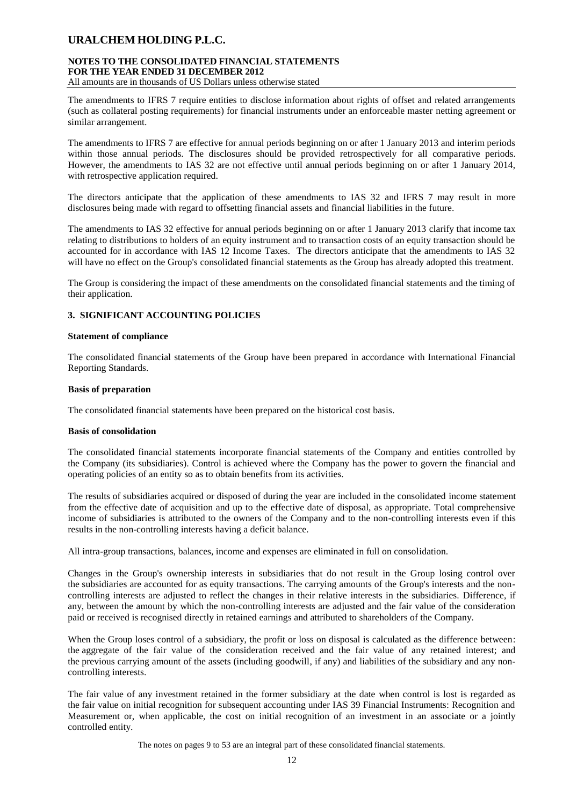#### **NOTES TO THE CONSOLIDATED FINANCIAL STATEMENTS FOR THE YEAR ENDED 31 DECEMBER 2012** All amounts are in thousands of US Dollars unless otherwise stated

The amendments to IFRS 7 require entities to disclose information about rights of offset and related arrangements (such as collateral posting requirements) for financial instruments under an enforceable master netting agreement or similar arrangement.

The amendments to IFRS 7 are effective for annual periods beginning on or after 1 January 2013 and interim periods within those annual periods. The disclosures should be provided retrospectively for all comparative periods. However, the amendments to IAS 32 are not effective until annual periods beginning on or after 1 January 2014, with retrospective application required.

The directors anticipate that the application of these amendments to IAS 32 and IFRS 7 may result in more disclosures being made with regard to offsetting financial assets and financial liabilities in the future.

The amendments to IAS 32 effective for annual periods beginning on or after 1 January 2013 clarify that income tax relating to distributions to holders of an equity instrument and to transaction costs of an equity transaction should be accounted for in accordance with IAS 12 Income Taxes. The directors anticipate that the amendments to IAS 32 will have no effect on the Group's consolidated financial statements as the Group has already adopted this treatment.

The Group is considering the impact of these amendments on the consolidated financial statements and the timing of their application.

# **3. SIGNIFICANT ACCOUNTING POLICIES**

### **Statement of compliance**

The consolidated financial statements of the Group have been prepared in accordance with International Financial Reporting Standards.

### **Basis of preparation**

The consolidated financial statements have been prepared on the historical cost basis.

### **Basis of consolidation**

The consolidated financial statements incorporate financial statements of the Company and entities controlled by the Company (its subsidiaries). Control is achieved where the Company has the power to govern the financial and operating policies of an entity so as to obtain benefits from its activities.

The results of subsidiaries acquired or disposed of during the year are included in the consolidated income statement from the effective date of acquisition and up to the effective date of disposal, as appropriate. Total comprehensive income of subsidiaries is attributed to the owners of the Company and to the non-controlling interests even if this results in the non-controlling interests having a deficit balance.

All intra-group transactions, balances, income and expenses are eliminated in full on consolidation.

Changes in the Group's ownership interests in subsidiaries that do not result in the Group losing control over the subsidiaries are accounted for as equity transactions. The carrying amounts of the Group's interests and the noncontrolling interests are adjusted to reflect the changes in their relative interests in the subsidiaries. Difference, if any, between the amount by which the non-controlling interests are adjusted and the fair value of the consideration paid or received is recognised directly in retained earnings and attributed to shareholders of the Company.

When the Group loses control of a subsidiary, the profit or loss on disposal is calculated as the difference between: the aggregate of the fair value of the consideration received and the fair value of any retained interest; and the previous carrying amount of the assets (including goodwill, if any) and liabilities of the subsidiary and any noncontrolling interests.

The fair value of any investment retained in the former subsidiary at the date when control is lost is regarded as the fair value on initial recognition for subsequent accounting under IAS 39 Financial Instruments: Recognition and Measurement or, when applicable, the cost on initial recognition of an investment in an associate or a jointly controlled entity.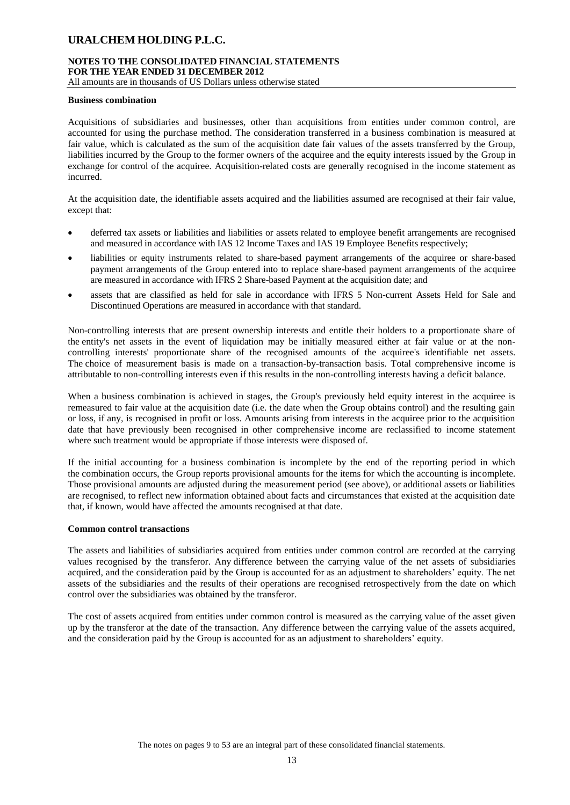# **NOTES TO THE CONSOLIDATED FINANCIAL STATEMENTS FOR THE YEAR ENDED 31 DECEMBER 2012**

All amounts are in thousands of US Dollars unless otherwise stated

### **Business combination**

Acquisitions of subsidiaries and businesses, other than acquisitions from entities under common control, are accounted for using the purchase method. The consideration transferred in a business combination is measured at fair value, which is calculated as the sum of the acquisition date fair values of the assets transferred by the Group, liabilities incurred by the Group to the former owners of the acquiree and the equity interests issued by the Group in exchange for control of the acquiree. Acquisition-related costs are generally recognised in the income statement as incurred.

At the acquisition date, the identifiable assets acquired and the liabilities assumed are recognised at their fair value, except that:

- deferred tax assets or liabilities and liabilities or assets related to employee benefit arrangements are recognised and measured in accordance with IAS 12 Income Taxes and IAS 19 Employee Benefits respectively;
- liabilities or equity instruments related to share-based payment arrangements of the acquiree or share-based payment arrangements of the Group entered into to replace share-based payment arrangements of the acquiree are measured in accordance with IFRS 2 Share-based Payment at the acquisition date; and
- assets that are classified as held for sale in accordance with IFRS 5 Non-current Assets Held for Sale and Discontinued Operations are measured in accordance with that standard.

Non-controlling interests that are present ownership interests and entitle their holders to a proportionate share of the entity's net assets in the event of liquidation may be initially measured either at fair value or at the noncontrolling interests' proportionate share of the recognised amounts of the acquiree's identifiable net assets. The choice of measurement basis is made on a transaction-by-transaction basis. Total comprehensive income is attributable to non-controlling interests even if this results in the non-controlling interests having a deficit balance.

When a business combination is achieved in stages, the Group's previously held equity interest in the acquiree is remeasured to fair value at the acquisition date (i.e. the date when the Group obtains control) and the resulting gain or loss, if any, is recognised in profit or loss. Amounts arising from interests in the acquiree prior to the acquisition date that have previously been recognised in other comprehensive income are reclassified to income statement where such treatment would be appropriate if those interests were disposed of.

If the initial accounting for a business combination is incomplete by the end of the reporting period in which the combination occurs, the Group reports provisional amounts for the items for which the accounting is incomplete. Those provisional amounts are adjusted during the measurement period (see above), or additional assets or liabilities are recognised, to reflect new information obtained about facts and circumstances that existed at the acquisition date that, if known, would have affected the amounts recognised at that date.

### **Common control transactions**

The assets and liabilities of subsidiaries acquired from entities under common control are recorded at the carrying values recognised by the transferor. Any difference between the carrying value of the net assets of subsidiaries acquired, and the consideration paid by the Group is accounted for as an adjustment to shareholders' equity. The net assets of the subsidiaries and the results of their operations are recognised retrospectively from the date on which control over the subsidiaries was obtained by the transferor.

The cost of assets acquired from entities under common control is measured as the carrying value of the asset given up by the transferor at the date of the transaction. Any difference between the carrying value of the assets acquired, and the consideration paid by the Group is accounted for as an adjustment to shareholders' equity.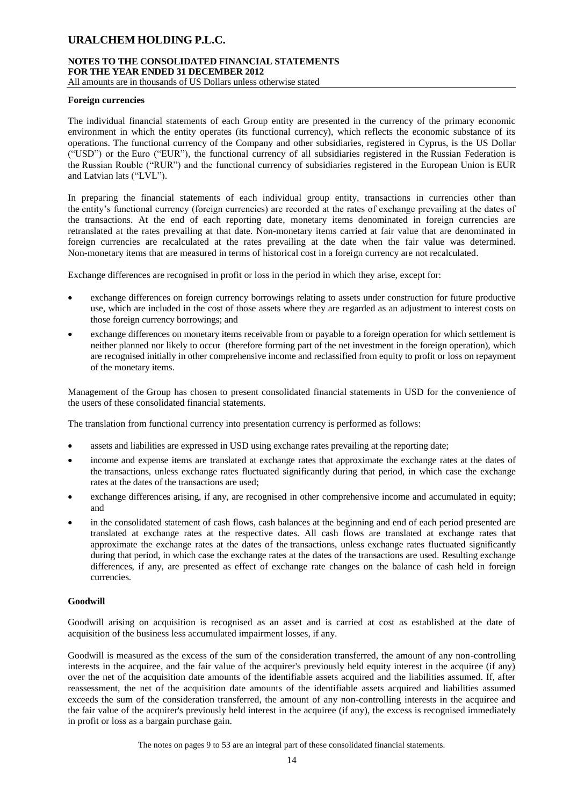# **NOTES TO THE CONSOLIDATED FINANCIAL STATEMENTS FOR THE YEAR ENDED 31 DECEMBER 2012**

All amounts are in thousands of US Dollars unless otherwise stated

### **Foreign currencies**

The individual financial statements of each Group entity are presented in the currency of the primary economic environment in which the entity operates (its functional currency), which reflects the economic substance of its operations. The functional currency of the Company and other subsidiaries, registered in Cyprus, is the US Dollar ("USD") or the Euro ("EUR"), the functional currency of all subsidiaries registered in the Russian Federation is the Russian Rouble ("RUR") and the functional currency of subsidiaries registered in the European Union is EUR and Latvian lats ("LVL").

In preparing the financial statements of each individual group entity, transactions in currencies other than the entity's functional currency (foreign currencies) are recorded at the rates of exchange prevailing at the dates of the transactions. At the end of each reporting date, monetary items denominated in foreign currencies are retranslated at the rates prevailing at that date. Non-monetary items carried at fair value that are denominated in foreign currencies are recalculated at the rates prevailing at the date when the fair value was determined. Non-monetary items that are measured in terms of historical cost in a foreign currency are not recalculated.

Exchange differences are recognised in profit or loss in the period in which they arise, except for:

- exchange differences on foreign currency borrowings relating to assets under construction for future productive use, which are included in the cost of those assets where they are regarded as an adjustment to interest costs on those foreign currency borrowings; and
- exchange differences on monetary items receivable from or payable to a foreign operation for which settlement is neither planned nor likely to occur (therefore forming part of the net investment in the foreign operation), which are recognised initially in other comprehensive income and reclassified from equity to profit or loss on repayment of the monetary items.

Management of the Group has chosen to present consolidated financial statements in USD for the convenience of the users of these consolidated financial statements.

The translation from functional currency into presentation currency is performed as follows:

- assets and liabilities are expressed in USD using exchange rates prevailing at the reporting date;
- income and expense items are translated at exchange rates that approximate the exchange rates at the dates of the transactions, unless exchange rates fluctuated significantly during that period, in which case the exchange rates at the dates of the transactions are used;
- exchange differences arising, if any, are recognised in other comprehensive income and accumulated in equity; and
- in the consolidated statement of cash flows, cash balances at the beginning and end of each period presented are translated at exchange rates at the respective dates. All cash flows are translated at exchange rates that approximate the exchange rates at the dates of the transactions, unless exchange rates fluctuated significantly during that period, in which case the exchange rates at the dates of the transactions are used. Resulting exchange differences, if any, are presented as effect of exchange rate changes on the balance of cash held in foreign currencies.

#### **Goodwill**

Goodwill arising on acquisition is recognised as an asset and is carried at cost as established at the date of acquisition of the business less accumulated impairment losses, if any.

Goodwill is measured as the excess of the sum of the consideration transferred, the amount of any non-controlling interests in the acquiree, and the fair value of the acquirer's previously held equity interest in the acquiree (if any) over the net of the acquisition date amounts of the identifiable assets acquired and the liabilities assumed. If, after reassessment, the net of the acquisition date amounts of the identifiable assets acquired and liabilities assumed exceeds the sum of the consideration transferred, the amount of any non-controlling interests in the acquiree and the fair value of the acquirer's previously held interest in the acquiree (if any), the excess is recognised immediately in profit or loss as a bargain purchase gain.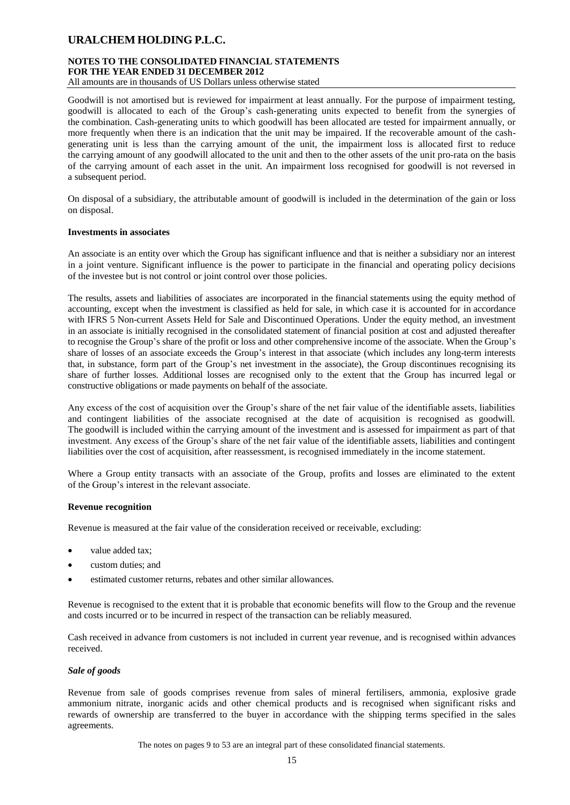#### **NOTES TO THE CONSOLIDATED FINANCIAL STATEMENTS FOR THE YEAR ENDED 31 DECEMBER 2012** All amounts are in thousands of US Dollars unless otherwise stated

Goodwill is not amortised but is reviewed for impairment at least annually. For the purpose of impairment testing, goodwill is allocated to each of the Group's cash-generating units expected to benefit from the synergies of the combination. Cash-generating units to which goodwill has been allocated are tested for impairment annually, or more frequently when there is an indication that the unit may be impaired. If the recoverable amount of the cashgenerating unit is less than the carrying amount of the unit, the impairment loss is allocated first to reduce the carrying amount of any goodwill allocated to the unit and then to the other assets of the unit pro-rata on the basis of the carrying amount of each asset in the unit. An impairment loss recognised for goodwill is not reversed in a subsequent period.

On disposal of a subsidiary, the attributable amount of goodwill is included in the determination of the gain or loss on disposal.

#### **Investments in associates**

An associate is an entity over which the Group has significant influence and that is neither a subsidiary nor an interest in a joint venture. Significant influence is the power to participate in the financial and operating policy decisions of the investee but is not control or joint control over those policies.

The results, assets and liabilities of associates are incorporated in the financial statements using the equity method of accounting, except when the investment is classified as held for sale, in which case it is accounted for in accordance with IFRS 5 Non-current Assets Held for Sale and Discontinued Operations. Under the equity method, an investment in an associate is initially recognised in the consolidated statement of financial position at cost and adjusted thereafter to recognise the Group's share of the profit or loss and other comprehensive income of the associate. When the Group's share of losses of an associate exceeds the Group's interest in that associate (which includes any long-term interests that, in substance, form part of the Group's net investment in the associate), the Group discontinues recognising its share of further losses. Additional losses are recognised only to the extent that the Group has incurred legal or constructive obligations or made payments on behalf of the associate.

Any excess of the cost of acquisition over the Group's share of the net fair value of the identifiable assets, liabilities and contingent liabilities of the associate recognised at the date of acquisition is recognised as goodwill. The goodwill is included within the carrying amount of the investment and is assessed for impairment as part of that investment. Any excess of the Group's share of the net fair value of the identifiable assets, liabilities and contingent liabilities over the cost of acquisition, after reassessment, is recognised immediately in the income statement.

Where a Group entity transacts with an associate of the Group, profits and losses are eliminated to the extent of the Group's interest in the relevant associate.

#### **Revenue recognition**

Revenue is measured at the fair value of the consideration received or receivable, excluding:

- value added tax;
- custom duties; and
- estimated customer returns, rebates and other similar allowances.

Revenue is recognised to the extent that it is probable that economic benefits will flow to the Group and the revenue and costs incurred or to be incurred in respect of the transaction can be reliably measured.

Cash received in advance from customers is not included in current year revenue, and is recognised within advances received.

#### *Sale of goods*

Revenue from sale of goods comprises revenue from sales of mineral fertilisers, ammonia, explosive grade ammonium nitrate, inorganic acids and other chemical products and is recognised when significant risks and rewards of ownership are transferred to the buyer in accordance with the shipping terms specified in the sales agreements.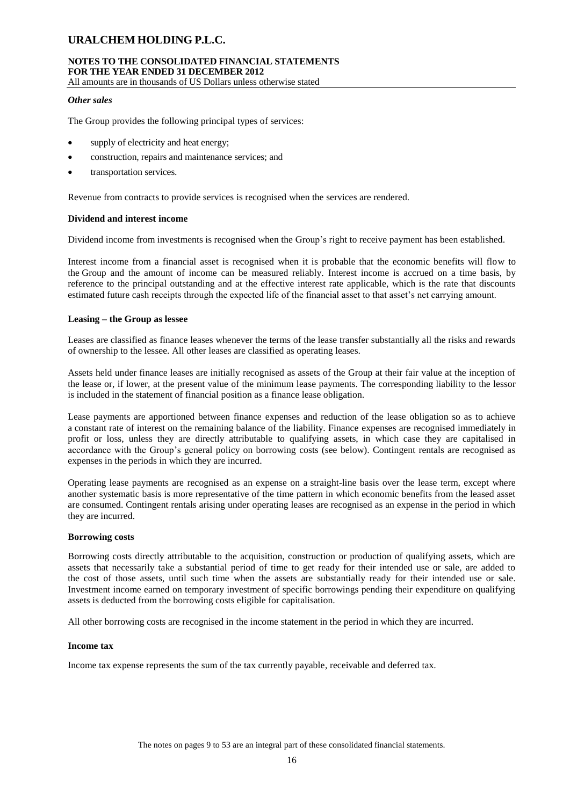# **NOTES TO THE CONSOLIDATED FINANCIAL STATEMENTS FOR THE YEAR ENDED 31 DECEMBER 2012**

All amounts are in thousands of US Dollars unless otherwise stated

### *Other sales*

The Group provides the following principal types of services:

- supply of electricity and heat energy;
- construction, repairs and maintenance services; and
- transportation services.

Revenue from contracts to provide services is recognised when the services are rendered.

#### **Dividend and interest income**

Dividend income from investments is recognised when the Group's right to receive payment has been established.

Interest income from a financial asset is recognised when it is probable that the economic benefits will flow to the Group and the amount of income can be measured reliably. Interest income is accrued on a time basis, by reference to the principal outstanding and at the effective interest rate applicable, which is the rate that discounts estimated future cash receipts through the expected life of the financial asset to that asset's net carrying amount.

### **Leasing – the Group as lessee**

Leases are classified as finance leases whenever the terms of the lease transfer substantially all the risks and rewards of ownership to the lessee. All other leases are classified as operating leases.

Assets held under finance leases are initially recognised as assets of the Group at their fair value at the inception of the lease or, if lower, at the present value of the minimum lease payments. The corresponding liability to the lessor is included in the statement of financial position as a finance lease obligation.

Lease payments are apportioned between finance expenses and reduction of the lease obligation so as to achieve a constant rate of interest on the remaining balance of the liability. Finance expenses are recognised immediately in profit or loss, unless they are directly attributable to qualifying assets, in which case they are capitalised in accordance with the Group's general policy on borrowing costs (see below). Contingent rentals are recognised as expenses in the periods in which they are incurred.

Operating lease payments are recognised as an expense on a straight-line basis over the lease term, except where another systematic basis is more representative of the time pattern in which economic benefits from the leased asset are consumed. Contingent rentals arising under operating leases are recognised as an expense in the period in which they are incurred.

#### **Borrowing costs**

Borrowing costs directly attributable to the acquisition, construction or production of qualifying assets, which are assets that necessarily take a substantial period of time to get ready for their intended use or sale, are added to the cost of those assets, until such time when the assets are substantially ready for their intended use or sale. Investment income earned on temporary investment of specific borrowings pending their expenditure on qualifying assets is deducted from the borrowing costs eligible for capitalisation.

All other borrowing costs are recognised in the income statement in the period in which they are incurred.

#### **Income tax**

Income tax expense represents the sum of the tax currently payable, receivable and deferred tax.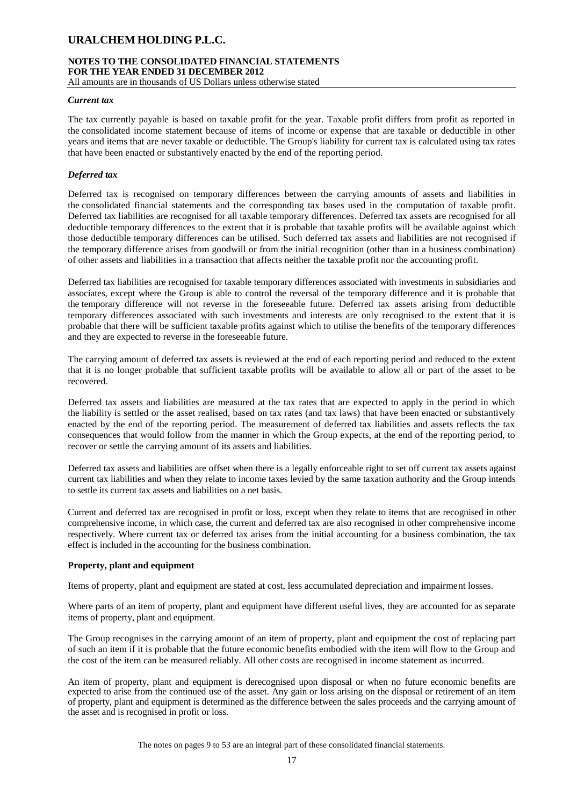# **NOTES TO THE CONSOLIDATED FINANCIAL STATEMENTS FOR THE YEAR ENDED 31 DECEMBER 2012**

All amounts are in thousands of US Dollars unless otherwise stated

### *Current tax*

The tax currently payable is based on taxable profit for the year. Taxable profit differs from profit as reported in the consolidated income statement because of items of income or expense that are taxable or deductible in other years and items that are never taxable or deductible. The Group's liability for current tax is calculated using tax rates that have been enacted or substantively enacted by the end of the reporting period.

### *Deferred tax*

Deferred tax is recognised on temporary differences between the carrying amounts of assets and liabilities in the consolidated financial statements and the corresponding tax bases used in the computation of taxable profit. Deferred tax liabilities are recognised for all taxable temporary differences. Deferred tax assets are recognised for all deductible temporary differences to the extent that it is probable that taxable profits will be available against which those deductible temporary differences can be utilised. Such deferred tax assets and liabilities are not recognised if the temporary difference arises from goodwill or from the initial recognition (other than in a business combination) of other assets and liabilities in a transaction that affects neither the taxable profit nor the accounting profit.

Deferred tax liabilities are recognised for taxable temporary differences associated with investments in subsidiaries and associates, except where the Group is able to control the reversal of the temporary difference and it is probable that the temporary difference will not reverse in the foreseeable future. Deferred tax assets arising from deductible temporary differences associated with such investments and interests are only recognised to the extent that it is probable that there will be sufficient taxable profits against which to utilise the benefits of the temporary differences and they are expected to reverse in the foreseeable future.

The carrying amount of deferred tax assets is reviewed at the end of each reporting period and reduced to the extent that it is no longer probable that sufficient taxable profits will be available to allow all or part of the asset to be recovered.

Deferred tax assets and liabilities are measured at the tax rates that are expected to apply in the period in which the liability is settled or the asset realised, based on tax rates (and tax laws) that have been enacted or substantively enacted by the end of the reporting period. The measurement of deferred tax liabilities and assets reflects the tax consequences that would follow from the manner in which the Group expects, at the end of the reporting period, to recover or settle the carrying amount of its assets and liabilities.

Deferred tax assets and liabilities are offset when there is a legally enforceable right to set off current tax assets against current tax liabilities and when they relate to income taxes levied by the same taxation authority and the Group intends to settle its current tax assets and liabilities on a net basis.

Current and deferred tax are recognised in profit or loss, except when they relate to items that are recognised in other comprehensive income, in which case, the current and deferred tax are also recognised in other comprehensive income respectively. Where current tax or deferred tax arises from the initial accounting for a business combination, the tax effect is included in the accounting for the business combination.

### **Property, plant and equipment**

Items of property, plant and equipment are stated at cost, less accumulated depreciation and impairment losses.

Where parts of an item of property, plant and equipment have different useful lives, they are accounted for as separate items of property, plant and equipment.

The Group recognises in the carrying amount of an item of property, plant and equipment the cost of replacing part of such an item if it is probable that the future economic benefits embodied with the item will flow to the Group and the cost of the item can be measured reliably. All other costs are recognised in income statement as incurred.

An item of property, plant and equipment is derecognised upon disposal or when no future economic benefits are expected to arise from the continued use of the asset. Any gain or loss arising on the disposal or retirement of an item of property, plant and equipment is determined as the difference between the sales proceeds and the carrying amount of the asset and is recognised in profit or loss.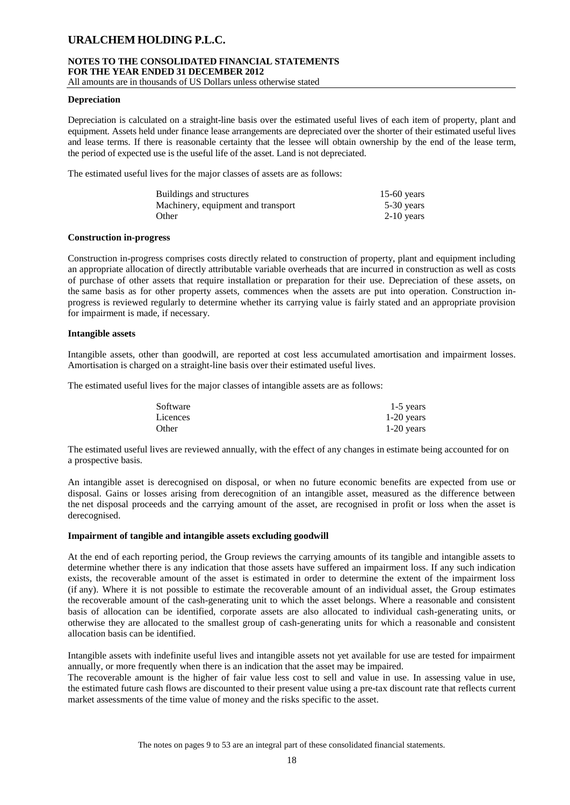#### **NOTES TO THE CONSOLIDATED FINANCIAL STATEMENTS FOR THE YEAR ENDED 31 DECEMBER 2012** All amounts are in thousands of US Dollars unless otherwise stated

#### **Depreciation**

Depreciation is calculated on a straight-line basis over the estimated useful lives of each item of property, plant and equipment. Assets held under finance lease arrangements are depreciated over the shorter of their estimated useful lives and lease terms. If there is reasonable certainty that the lessee will obtain ownership by the end of the lease term, the period of expected use is the useful life of the asset. Land is not depreciated.

The estimated useful lives for the major classes of assets are as follows:

| Buildings and structures           | 15-60 years  |
|------------------------------------|--------------|
| Machinery, equipment and transport | 5-30 years   |
| Other                              | $2-10$ years |

#### **Construction in-progress**

Construction in-progress comprises costs directly related to construction of property, plant and equipment including an appropriate allocation of directly attributable variable overheads that are incurred in construction as well as costs of purchase of other assets that require installation or preparation for their use. Depreciation of these assets, on the same basis as for other property assets, commences when the assets are put into operation. Construction inprogress is reviewed regularly to determine whether its carrying value is fairly stated and an appropriate provision for impairment is made, if necessary.

#### **Intangible assets**

Intangible assets, other than goodwill, are reported at cost less accumulated amortisation and impairment losses. Amortisation is charged on a straight-line basis over their estimated useful lives.

The estimated useful lives for the major classes of intangible assets are as follows:

| Software | $1-5$ years  |
|----------|--------------|
| Licences | $1-20$ years |
| Other    | $1-20$ years |

The estimated useful lives are reviewed annually, with the effect of any changes in estimate being accounted for on a prospective basis.

An intangible asset is derecognised on disposal, or when no future economic benefits are expected from use or disposal. Gains or losses arising from derecognition of an intangible asset, measured as the difference between the net disposal proceeds and the carrying amount of the asset, are recognised in profit or loss when the asset is derecognised.

#### **Impairment of tangible and intangible assets excluding goodwill**

At the end of each reporting period, the Group reviews the carrying amounts of its tangible and intangible assets to determine whether there is any indication that those assets have suffered an impairment loss. If any such indication exists, the recoverable amount of the asset is estimated in order to determine the extent of the impairment loss (if any). Where it is not possible to estimate the recoverable amount of an individual asset, the Group estimates the recoverable amount of the cash-generating unit to which the asset belongs. Where a reasonable and consistent basis of allocation can be identified, corporate assets are also allocated to individual cash-generating units, or otherwise they are allocated to the smallest group of cash-generating units for which a reasonable and consistent allocation basis can be identified.

Intangible assets with indefinite useful lives and intangible assets not yet available for use are tested for impairment annually, or more frequently when there is an indication that the asset may be impaired.

The recoverable amount is the higher of fair value less cost to sell and value in use. In assessing value in use, the estimated future cash flows are discounted to their present value using a pre-tax discount rate that reflects current market assessments of the time value of money and the risks specific to the asset.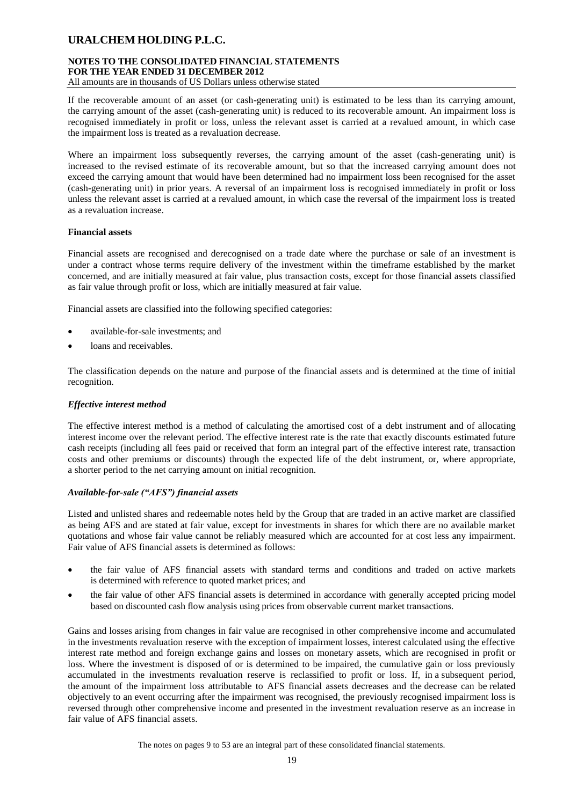# **NOTES TO THE CONSOLIDATED FINANCIAL STATEMENTS FOR THE YEAR ENDED 31 DECEMBER 2012**

All amounts are in thousands of US Dollars unless otherwise stated

If the recoverable amount of an asset (or cash-generating unit) is estimated to be less than its carrying amount, the carrying amount of the asset (cash-generating unit) is reduced to its recoverable amount. An impairment loss is recognised immediately in profit or loss, unless the relevant asset is carried at a revalued amount, in which case the impairment loss is treated as a revaluation decrease.

Where an impairment loss subsequently reverses, the carrying amount of the asset (cash-generating unit) is increased to the revised estimate of its recoverable amount, but so that the increased carrying amount does not exceed the carrying amount that would have been determined had no impairment loss been recognised for the asset (cash-generating unit) in prior years. A reversal of an impairment loss is recognised immediately in profit or loss unless the relevant asset is carried at a revalued amount, in which case the reversal of the impairment loss is treated as a revaluation increase.

### **Financial assets**

Financial assets are recognised and derecognised on a trade date where the purchase or sale of an investment is under a contract whose terms require delivery of the investment within the timeframe established by the market concerned, and are initially measured at fair value, plus transaction costs, except for those financial assets classified as fair value through profit or loss, which are initially measured at fair value.

Financial assets are classified into the following specified categories:

- available-for-sale investments; and
- loans and receivables.

The classification depends on the nature and purpose of the financial assets and is determined at the time of initial recognition.

### *Effective interest method*

The effective interest method is a method of calculating the amortised cost of a debt instrument and of allocating interest income over the relevant period. The effective interest rate is the rate that exactly discounts estimated future cash receipts (including all fees paid or received that form an integral part of the effective interest rate, transaction costs and other premiums or discounts) through the expected life of the debt instrument, or, where appropriate, a shorter period to the net carrying amount on initial recognition.

### *Available-for-sale ("AFS") financial assets*

Listed and unlisted shares and redeemable notes held by the Group that are traded in an active market are classified as being AFS and are stated at fair value, except for investments in shares for which there are no available market quotations and whose fair value cannot be reliably measured which are accounted for at cost less any impairment. Fair value of AFS financial assets is determined as follows:

- the fair value of AFS financial assets with standard terms and conditions and traded on active markets is determined with reference to quoted market prices; and
- the fair value of other AFS financial assets is determined in accordance with generally accepted pricing model based on discounted cash flow analysis using prices from observable current market transactions.

Gains and losses arising from changes in fair value are recognised in other comprehensive income and accumulated in the investments revaluation reserve with the exception of impairment losses, interest calculated using the effective interest rate method and foreign exchange gains and losses on monetary assets, which are recognised in profit or loss. Where the investment is disposed of or is determined to be impaired, the cumulative gain or loss previously accumulated in the investments revaluation reserve is reclassified to profit or loss. If, in a subsequent period, the amount of the impairment loss attributable to AFS financial assets decreases and the decrease can be related objectively to an event occurring after the impairment was recognised, the previously recognised impairment loss is reversed through other comprehensive income and presented in the investment revaluation reserve as an increase in fair value of AFS financial assets.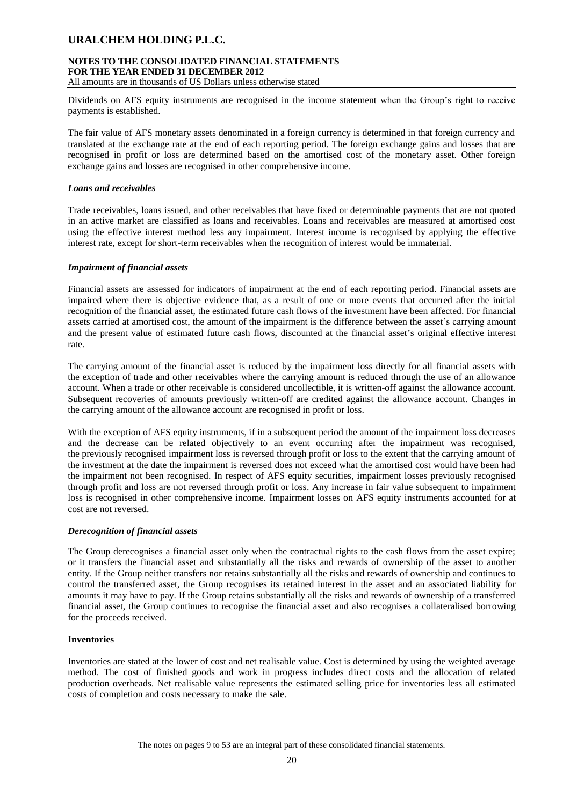#### **NOTES TO THE CONSOLIDATED FINANCIAL STATEMENTS FOR THE YEAR ENDED 31 DECEMBER 2012** All amounts are in thousands of US Dollars unless otherwise stated

Dividends on AFS equity instruments are recognised in the income statement when the Group's right to receive payments is established.

The fair value of AFS monetary assets denominated in a foreign currency is determined in that foreign currency and translated at the exchange rate at the end of each reporting period. The foreign exchange gains and losses that are recognised in profit or loss are determined based on the amortised cost of the monetary asset. Other foreign exchange gains and losses are recognised in other comprehensive income.

### *Loans and receivables*

Trade receivables, loans issued, and other receivables that have fixed or determinable payments that are not quoted in an active market are classified as loans and receivables. Loans and receivables are measured at amortised cost using the effective interest method less any impairment. Interest income is recognised by applying the effective interest rate, except for short-term receivables when the recognition of interest would be immaterial.

### *Impairment of financial assets*

Financial assets are assessed for indicators of impairment at the end of each reporting period. Financial assets are impaired where there is objective evidence that, as a result of one or more events that occurred after the initial recognition of the financial asset, the estimated future cash flows of the investment have been affected. For financial assets carried at amortised cost, the amount of the impairment is the difference between the asset's carrying amount and the present value of estimated future cash flows, discounted at the financial asset's original effective interest rate.

The carrying amount of the financial asset is reduced by the impairment loss directly for all financial assets with the exception of trade and other receivables where the carrying amount is reduced through the use of an allowance account. When a trade or other receivable is considered uncollectible, it is written-off against the allowance account. Subsequent recoveries of amounts previously written-off are credited against the allowance account. Changes in the carrying amount of the allowance account are recognised in profit or loss.

With the exception of AFS equity instruments, if in a subsequent period the amount of the impairment loss decreases and the decrease can be related objectively to an event occurring after the impairment was recognised, the previously recognised impairment loss is reversed through profit or loss to the extent that the carrying amount of the investment at the date the impairment is reversed does not exceed what the amortised cost would have been had the impairment not been recognised. In respect of AFS equity securities, impairment losses previously recognised through profit and loss are not reversed through profit or loss. Any increase in fair value subsequent to impairment loss is recognised in other comprehensive income. Impairment losses on AFS equity instruments accounted for at cost are not reversed.

### *Derecognition of financial assets*

The Group derecognises a financial asset only when the contractual rights to the cash flows from the asset expire; or it transfers the financial asset and substantially all the risks and rewards of ownership of the asset to another entity. If the Group neither transfers nor retains substantially all the risks and rewards of ownership and continues to control the transferred asset, the Group recognises its retained interest in the asset and an associated liability for amounts it may have to pay. If the Group retains substantially all the risks and rewards of ownership of a transferred financial asset, the Group continues to recognise the financial asset and also recognises a collateralised borrowing for the proceeds received.

#### **Inventories**

Inventories are stated at the lower of cost and net realisable value. Cost is determined by using the weighted average method. The cost of finished goods and work in progress includes direct costs and the allocation of related production overheads. Net realisable value represents the estimated selling price for inventories less all estimated costs of completion and costs necessary to make the sale.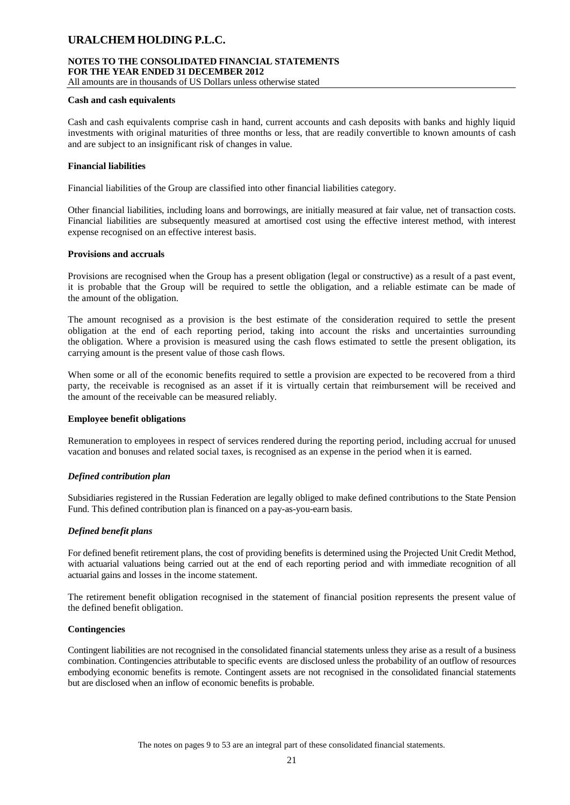# **NOTES TO THE CONSOLIDATED FINANCIAL STATEMENTS FOR THE YEAR ENDED 31 DECEMBER 2012**

All amounts are in thousands of US Dollars unless otherwise stated

#### **Cash and cash equivalents**

Cash and cash equivalents comprise cash in hand, current accounts and cash deposits with banks and highly liquid investments with original maturities of three months or less, that are readily convertible to known amounts of cash and are subject to an insignificant risk of changes in value.

#### **Financial liabilities**

Financial liabilities of the Group are classified into other financial liabilities category.

Other financial liabilities, including loans and borrowings, are initially measured at fair value, net of transaction costs. Financial liabilities are subsequently measured at amortised cost using the effective interest method, with interest expense recognised on an effective interest basis.

#### **Provisions and accruals**

Provisions are recognised when the Group has a present obligation (legal or constructive) as a result of a past event, it is probable that the Group will be required to settle the obligation, and a reliable estimate can be made of the amount of the obligation.

The amount recognised as a provision is the best estimate of the consideration required to settle the present obligation at the end of each reporting period, taking into account the risks and uncertainties surrounding the obligation. Where a provision is measured using the cash flows estimated to settle the present obligation, its carrying amount is the present value of those cash flows.

When some or all of the economic benefits required to settle a provision are expected to be recovered from a third party, the receivable is recognised as an asset if it is virtually certain that reimbursement will be received and the amount of the receivable can be measured reliably.

### **Employee benefit obligations**

Remuneration to employees in respect of services rendered during the reporting period, including accrual for unused vacation and bonuses and related social taxes, is recognised as an expense in the period when it is earned.

### *Defined contribution plan*

Subsidiaries registered in the Russian Federation are legally obliged to make defined contributions to the State Pension Fund. This defined contribution plan is financed on a pay-as-you-earn basis.

### *Defined benefit plans*

For defined benefit retirement plans, the cost of providing benefits is determined using the Projected Unit Credit Method, with actuarial valuations being carried out at the end of each reporting period and with immediate recognition of all actuarial gains and losses in the income statement.

The retirement benefit obligation recognised in the statement of financial position represents the present value of the defined benefit obligation.

#### **Contingencies**

Contingent liabilities are not recognised in the consolidated financial statements unless they arise as a result of a business combination. Contingencies attributable to specific events are disclosed unless the probability of an outflow of resources embodying economic benefits is remote. Contingent assets are not recognised in the consolidated financial statements but are disclosed when an inflow of economic benefits is probable.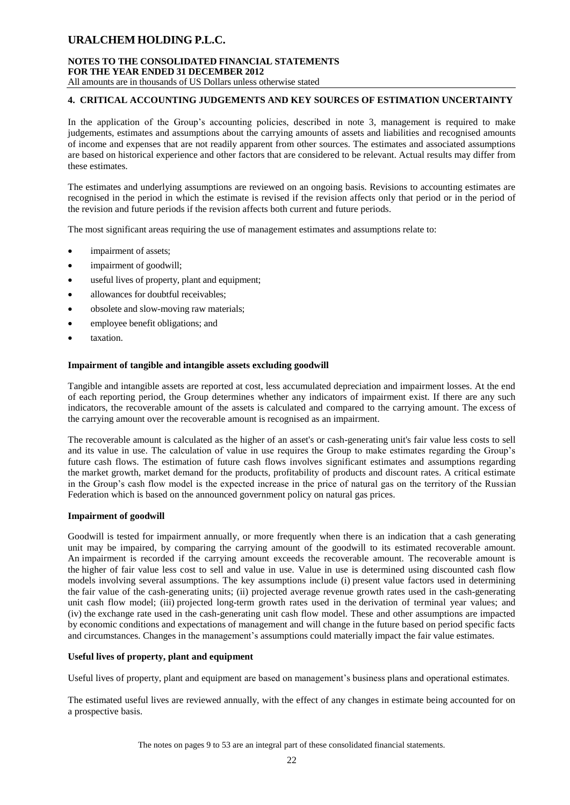#### **NOTES TO THE CONSOLIDATED FINANCIAL STATEMENTS FOR THE YEAR ENDED 31 DECEMBER 2012** All amounts are in thousands of US Dollars unless otherwise stated

### **4. CRITICAL ACCOUNTING JUDGEMENTS AND KEY SOURCES OF ESTIMATION UNCERTAINTY**

In the application of the Group's accounting policies, described in note 3, management is required to make judgements, estimates and assumptions about the carrying amounts of assets and liabilities and recognised amounts of income and expenses that are not readily apparent from other sources. The estimates and associated assumptions are based on historical experience and other factors that are considered to be relevant. Actual results may differ from these estimates.

The estimates and underlying assumptions are reviewed on an ongoing basis. Revisions to accounting estimates are recognised in the period in which the estimate is revised if the revision affects only that period or in the period of the revision and future periods if the revision affects both current and future periods.

The most significant areas requiring the use of management estimates and assumptions relate to:

- impairment of assets;
- impairment of goodwill;
- useful lives of property, plant and equipment;
- allowances for doubtful receivables;
- obsolete and slow-moving raw materials;
- employee benefit obligations; and
- taxation.

### **Impairment of tangible and intangible assets excluding goodwill**

Tangible and intangible assets are reported at cost, less accumulated depreciation and impairment losses. At the end of each reporting period, the Group determines whether any indicators of impairment exist. If there are any such indicators, the recoverable amount of the assets is calculated and compared to the carrying amount. The excess of the carrying amount over the recoverable amount is recognised as an impairment.

The recoverable amount is calculated as the higher of an asset's or cash-generating unit's fair value less costs to sell and its value in use. The calculation of value in use requires the Group to make estimates regarding the Group's future cash flows. The estimation of future cash flows involves significant estimates and assumptions regarding the market growth, market demand for the products, profitability of products and discount rates. A critical estimate in the Group's cash flow model is the expected increase in the price of natural gas on the territory of the Russian Federation which is based on the announced government policy on natural gas prices.

### **Impairment of goodwill**

Goodwill is tested for impairment annually, or more frequently when there is an indication that a cash generating unit may be impaired, by comparing the carrying amount of the goodwill to its estimated recoverable amount. An impairment is recorded if the carrying amount exceeds the recoverable amount. The recoverable amount is the higher of fair value less cost to sell and value in use. Value in use is determined using discounted cash flow models involving several assumptions. The key assumptions include (i) present value factors used in determining the fair value of the cash-generating units; (ii) projected average revenue growth rates used in the cash-generating unit cash flow model; (iii) projected long-term growth rates used in the derivation of terminal year values; and (iv) the exchange rate used in the cash-generating unit cash flow model. These and other assumptions are impacted by economic conditions and expectations of management and will change in the future based on period specific facts and circumstances. Changes in the management's assumptions could materially impact the fair value estimates.

### **Useful lives of property, plant and equipment**

Useful lives of property, plant and equipment are based on management's business plans and operational estimates.

The estimated useful lives are reviewed annually, with the effect of any changes in estimate being accounted for on a prospective basis.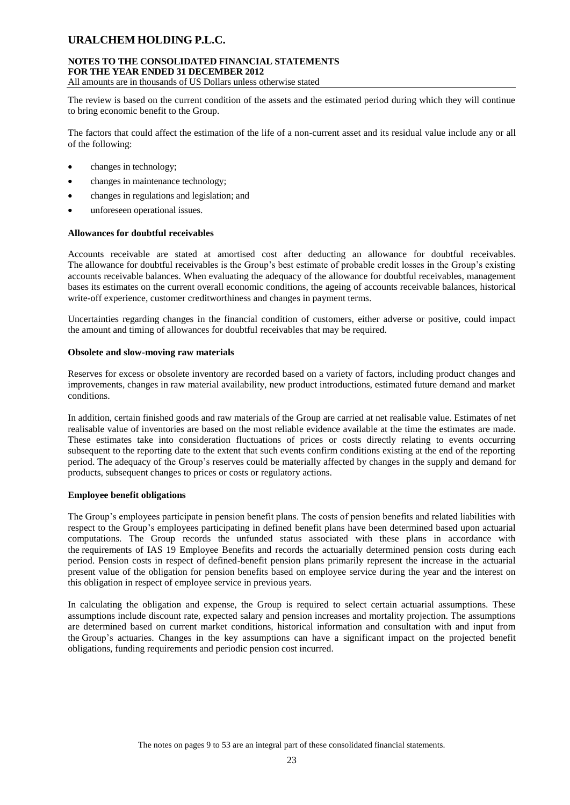#### **NOTES TO THE CONSOLIDATED FINANCIAL STATEMENTS FOR THE YEAR ENDED 31 DECEMBER 2012** All amounts are in thousands of US Dollars unless otherwise stated

The review is based on the current condition of the assets and the estimated period during which they will continue to bring economic benefit to the Group.

The factors that could affect the estimation of the life of a non-current asset and its residual value include any or all of the following:

- changes in technology;
- changes in maintenance technology;
- changes in regulations and legislation; and
- unforeseen operational issues.

### **Allowances for doubtful receivables**

Accounts receivable are stated at amortised cost after deducting an allowance for doubtful receivables. The allowance for doubtful receivables is the Group's best estimate of probable credit losses in the Group's existing accounts receivable balances. When evaluating the adequacy of the allowance for doubtful receivables, management bases its estimates on the current overall economic conditions, the ageing of accounts receivable balances, historical write-off experience, customer creditworthiness and changes in payment terms.

Uncertainties regarding changes in the financial condition of customers, either adverse or positive, could impact the amount and timing of allowances for doubtful receivables that may be required.

### **Obsolete and slow-moving raw materials**

Reserves for excess or obsolete inventory are recorded based on a variety of factors, including product changes and improvements, changes in raw material availability, new product introductions, estimated future demand and market conditions.

In addition, certain finished goods and raw materials of the Group are carried at net realisable value. Estimates of net realisable value of inventories are based on the most reliable evidence available at the time the estimates are made. These estimates take into consideration fluctuations of prices or costs directly relating to events occurring subsequent to the reporting date to the extent that such events confirm conditions existing at the end of the reporting period. The adequacy of the Group's reserves could be materially affected by changes in the supply and demand for products, subsequent changes to prices or costs or regulatory actions.

### **Employee benefit obligations**

The Group's employees participate in pension benefit plans. The costs of pension benefits and related liabilities with respect to the Group's employees participating in defined benefit plans have been determined based upon actuarial computations. The Group records the unfunded status associated with these plans in accordance with the requirements of IAS 19 Employee Benefits and records the actuarially determined pension costs during each period. Pension costs in respect of defined-benefit pension plans primarily represent the increase in the actuarial present value of the obligation for pension benefits based on employee service during the year and the interest on this obligation in respect of employee service in previous years.

In calculating the obligation and expense, the Group is required to select certain actuarial assumptions. These assumptions include discount rate, expected salary and pension increases and mortality projection. The assumptions are determined based on current market conditions, historical information and consultation with and input from the Group's actuaries. Changes in the key assumptions can have a significant impact on the projected benefit obligations, funding requirements and periodic pension cost incurred.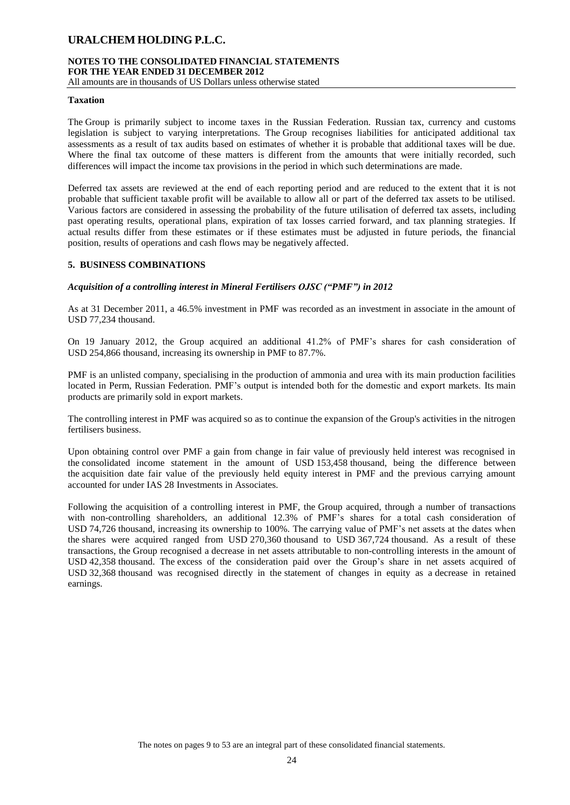# **NOTES TO THE CONSOLIDATED FINANCIAL STATEMENTS FOR THE YEAR ENDED 31 DECEMBER 2012**

All amounts are in thousands of US Dollars unless otherwise stated

### **Taxation**

The Group is primarily subject to income taxes in the Russian Federation. Russian tax, currency and customs legislation is subject to varying interpretations. The Group recognises liabilities for anticipated additional tax assessments as a result of tax audits based on estimates of whether it is probable that additional taxes will be due. Where the final tax outcome of these matters is different from the amounts that were initially recorded, such differences will impact the income tax provisions in the period in which such determinations are made.

Deferred tax assets are reviewed at the end of each reporting period and are reduced to the extent that it is not probable that sufficient taxable profit will be available to allow all or part of the deferred tax assets to be utilised. Various factors are considered in assessing the probability of the future utilisation of deferred tax assets, including past operating results, operational plans, expiration of tax losses carried forward, and tax planning strategies. If actual results differ from these estimates or if these estimates must be adjusted in future periods, the financial position, results of operations and cash flows may be negatively affected.

### **5. BUSINESS COMBINATIONS**

#### *Acquisition of a controlling interest in Mineral Fertilisers OJSC ("PMF") in 2012*

As at 31 December 2011, a 46.5% investment in PMF was recorded as an investment in associate in the amount of USD 77,234 thousand.

On 19 January 2012, the Group acquired an additional 41.2% of PMF's shares for cash consideration of USD 254,866 thousand, increasing its ownership in PMF to 87.7%.

PMF is an unlisted company, specialising in the production of ammonia and urea with its main production facilities located in Perm, Russian Federation. PMF's output is intended both for the domestic and export markets. Its main products are primarily sold in export markets.

The controlling interest in PMF was acquired so as to continue the expansion of the Group's activities in the nitrogen fertilisers business.

Upon obtaining control over PMF a gain from change in fair value of previously held interest was recognised in the consolidated income statement in the amount of USD 153,458 thousand, being the difference between the acquisition date fair value of the previously held equity interest in PMF and the previous carrying amount accounted for under IAS 28 Investments in Associates.

Following the acquisition of a controlling interest in PMF, the Group acquired, through a number of transactions with non-controlling shareholders, an additional 12.3% of PMF's shares for a total cash consideration of USD 74,726 thousand, increasing its ownership to 100%. The carrying value of PMF's net assets at the dates when the shares were acquired ranged from USD 270,360 thousand to USD 367,724 thousand. As a result of these transactions, the Group recognised a decrease in net assets attributable to non-controlling interests in the amount of USD 42,358 thousand. The excess of the consideration paid over the Group's share in net assets acquired of USD 32,368 thousand was recognised directly in the statement of changes in equity as a decrease in retained earnings.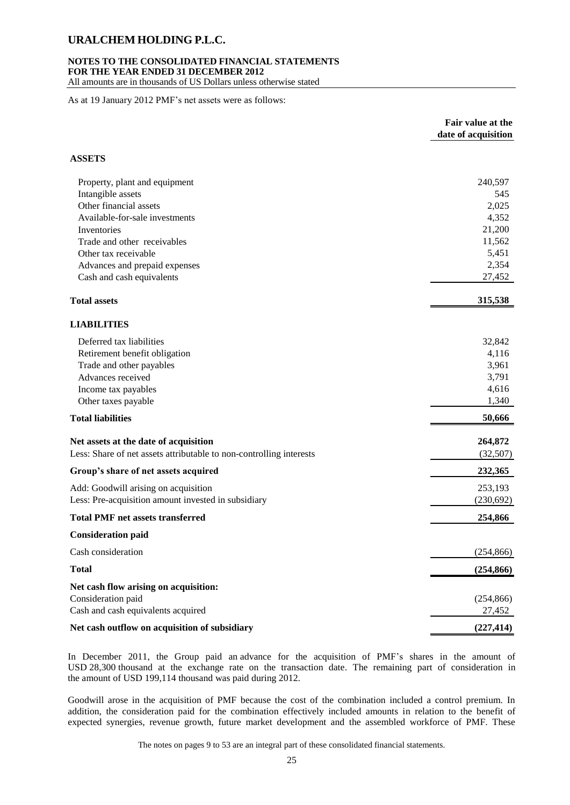# **NOTES TO THE CONSOLIDATED FINANCIAL STATEMENTS FOR THE YEAR ENDED 31 DECEMBER 2012**

All amounts are in thousands of US Dollars unless otherwise stated

As at 19 January 2012 PMF's net assets were as follows:

|                                                                     | Fair value at the<br>date of acquisition |
|---------------------------------------------------------------------|------------------------------------------|
| <b>ASSETS</b>                                                       |                                          |
| Property, plant and equipment                                       | 240,597                                  |
| Intangible assets                                                   | 545                                      |
| Other financial assets                                              | 2,025                                    |
| Available-for-sale investments                                      | 4,352                                    |
| Inventories                                                         | 21,200                                   |
| Trade and other receivables                                         | 11,562                                   |
| Other tax receivable                                                | 5,451                                    |
| Advances and prepaid expenses                                       | 2,354                                    |
| Cash and cash equivalents                                           | 27,452                                   |
| <b>Total assets</b>                                                 | 315,538                                  |
| <b>LIABILITIES</b>                                                  |                                          |
| Deferred tax liabilities                                            | 32,842                                   |
| Retirement benefit obligation                                       | 4,116                                    |
| Trade and other payables                                            | 3,961                                    |
| Advances received                                                   | 3,791                                    |
| Income tax payables                                                 | 4,616                                    |
| Other taxes payable                                                 | 1,340                                    |
| <b>Total liabilities</b>                                            | 50,666                                   |
| Net assets at the date of acquisition                               | 264,872                                  |
| Less: Share of net assets attributable to non-controlling interests | (32,507)                                 |
| Group's share of net assets acquired                                | 232,365                                  |
| Add: Goodwill arising on acquisition                                | 253,193                                  |
| Less: Pre-acquisition amount invested in subsidiary                 | (230, 692)                               |
| <b>Total PMF net assets transferred</b>                             | 254,866                                  |
| <b>Consideration paid</b>                                           |                                          |
| Cash consideration                                                  | (254, 866)                               |
| <b>Total</b>                                                        | (254, 866)                               |
| Net cash flow arising on acquisition:                               |                                          |
| Consideration paid                                                  | (254, 866)                               |
| Cash and cash equivalents acquired                                  | 27,452                                   |
| Net cash outflow on acquisition of subsidiary                       | (227, 414)                               |

In December 2011, the Group paid an advance for the acquisition of PMF's shares in the amount of USD 28,300 thousand at the exchange rate on the transaction date. The remaining part of consideration in the amount of USD 199,114 thousand was paid during 2012.

Goodwill arose in the acquisition of PMF because the cost of the combination included a control premium. In addition, the consideration paid for the combination effectively included amounts in relation to the benefit of expected synergies, revenue growth, future market development and the assembled workforce of PMF. These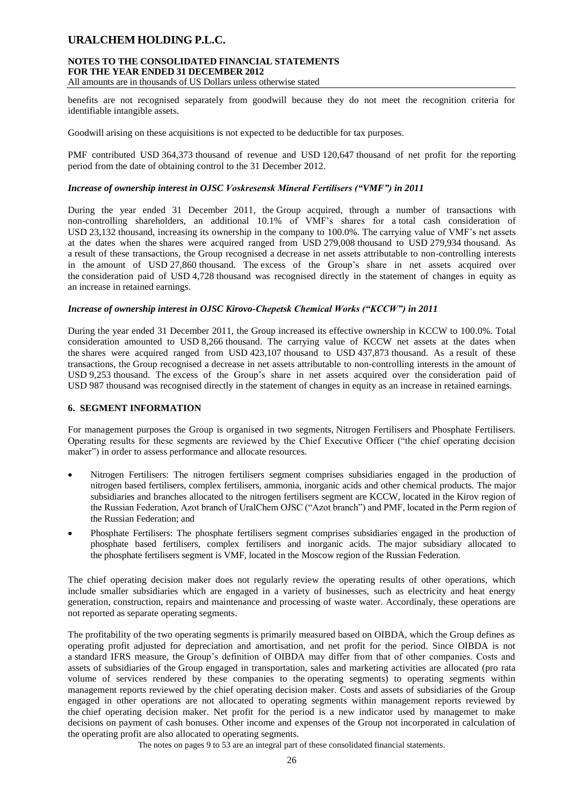#### **NOTES TO THE CONSOLIDATED FINANCIAL STATEMENTS FOR THE YEAR ENDED 31 DECEMBER 2012** All amounts are in thousands of US Dollars unless otherwise stated

benefits are not recognised separately from goodwill because they do not meet the recognition criteria for identifiable intangible assets.

Goodwill arising on these acquisitions is not expected to be deductible for tax purposes.

PMF contributed USD 364,373 thousand of revenue and USD 120,647 thousand of net profit for the reporting period from the date of obtaining control to the 31 December 2012.

### *Increase of ownership interest in OJSC Voskresensk Mineral Fertilisers ("VMF") in 2011*

During the year ended 31 December 2011, the Group acquired, through a number of transactions with non-controlling shareholders, an additional 10.1% of VMF's shares for a total cash consideration of USD 23,132 thousand, increasing its ownership in the company to 100.0%. The carrying value of VMF's net assets at the dates when the shares were acquired ranged from USD 279,008 thousand to USD 279,934 thousand. As a result of these transactions, the Group recognised a decrease in net assets attributable to non-controlling interests in the amount of USD 27,860 thousand. The excess of the Group's share in net assets acquired over the consideration paid of USD 4,728 thousand was recognised directly in the statement of changes in equity as an increase in retained earnings.

### *Increase of ownership interest in OJSC Kirovo-Chepetsk Chemical Works ("KCCW") in 2011*

During the year ended 31 December 2011, the Group increased its effective ownership in KCCW to 100.0%. Total consideration amounted to USD 8,266 thousand. The carrying value of KCCW net assets at the dates when the shares were acquired ranged from USD 423,107 thousand to USD 437,873 thousand. As a result of these transactions, the Group recognised a decrease in net assets attributable to non-controlling interests in the amount of USD 9,253 thousand. The excess of the Group's share in net assets acquired over the consideration paid of USD 987 thousand was recognised directly in the statement of changes in equity as an increase in retained earnings.

### **6. SEGMENT INFORMATION**

For management purposes the Group is organised in two segments, Nitrogen Fertilisers and Phosphate Fertilisers. Operating results for these segments are reviewed by the Chief Executive Officer ("the chief operating decision maker") in order to assess performance and allocate resources.

- Nitrogen Fertilisers: The nitrogen fertilisers segment comprises subsidiaries engaged in the production of nitrogen based fertilisers, complex fertilisers, ammonia, inorganic acids and other chemical products. The major subsidiaries and branches allocated to the nitrogen fertilisers segment are KCCW, located in the Kirov region of the Russian Federation, Azot branch of UralChem OJSC ("Azot branch") and PMF, located in the Perm region of the Russian Federation; and
- Phosphate Fertilisers: The phosphate fertilisers segment comprises subsidiaries engaged in the production of phosphate based fertilisers, complex fertilisers and inorganic acids. The major subsidiary allocated to the phosphate fertilisers segment is VMF, located in the Moscow region of the Russian Federation.

The chief operating decision maker does not regularly review the operating results of other operations, which include smaller subsidiaries which are engaged in a variety of businesses, such as electricity and heat energy generation, construction, repairs and maintenance and processing of waste water. Accordinaly, these operations are not reported as separate operating segments.

The profitability of the two operating segments is primarily measured based on OIBDA, which the Group defines as operating profit adjusted for depreciation and amortisation, and net profit for the period. Since OIBDA is not a standard IFRS measure, the Group's definition of OIBDA may differ from that of other companies. Costs and assets of subsidiaries of the Group engaged in transportation, sales and marketing activities are allocated (pro rata volume of services rendered by these companies to the operating segments) to operating segments within management reports reviewed by the chief operating decision maker. Costs and assets of subsidiaries of the Group engaged in other operations are not allocated to operating segments within management reports reviewed by the chief operating decision maker. Net profit for the period is a new indicator used by managemet to make decisions on payment of cash bonuses. Other income and expenses of the Group not incorporated in calculation of the operating profit are also allocated to operating segments.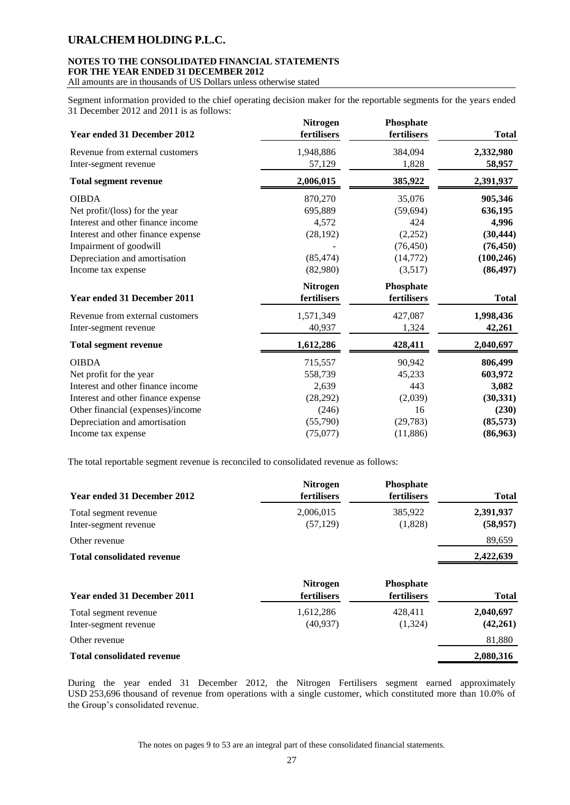# **NOTES TO THE CONSOLIDATED FINANCIAL STATEMENTS FOR THE YEAR ENDED 31 DECEMBER 2012**

All amounts are in thousands of US Dollars unless otherwise stated

Segment information provided to the chief operating decision maker for the reportable segments for the years ended 31 December 2012 and 2011 is as follows:

| <b>Year ended 31 December 2012</b> | <b>Nitrogen</b><br>fertilisers | Phosphate<br>fertilisers | <b>Total</b> |
|------------------------------------|--------------------------------|--------------------------|--------------|
| Revenue from external customers    | 1,948,886                      | 384,094                  | 2,332,980    |
| Inter-segment revenue              | 57,129                         | 1,828                    | 58,957       |
| <b>Total segment revenue</b>       | 2,006,015                      | 385,922                  | 2,391,937    |
| <b>OIBDA</b>                       | 870,270                        | 35,076                   | 905,346      |
| Net profit/(loss) for the year     | 695,889                        | (59, 694)                | 636,195      |
| Interest and other finance income  | 4,572                          | 424                      | 4,996        |
| Interest and other finance expense | (28, 192)                      | (2,252)                  | (30, 444)    |
| Impairment of goodwill             |                                | (76, 450)                | (76, 450)    |
| Depreciation and amortisation      | (85, 474)                      | (14,772)                 | (100, 246)   |
| Income tax expense                 | (82,980)                       | (3,517)                  | (86, 497)    |
|                                    | <b>Nitrogen</b>                | Phosphate                |              |
|                                    |                                |                          |              |
| <b>Year ended 31 December 2011</b> | fertilisers                    | fertilisers              | <b>Total</b> |
| Revenue from external customers    | 1,571,349                      | 427,087                  | 1,998,436    |
| Inter-segment revenue              | 40,937                         | 1,324                    | 42,261       |
| <b>Total segment revenue</b>       | 1,612,286                      | 428,411                  | 2,040,697    |
| <b>OIBDA</b>                       | 715,557                        | 90,942                   | 806,499      |
| Net profit for the year            | 558,739                        | 45,233                   | 603,972      |
| Interest and other finance income  | 2,639                          | 443                      | 3,082        |
| Interest and other finance expense | (28, 292)                      | (2,039)                  | (30, 331)    |
| Other financial (expenses)/income  | (246)                          | 16                       | (230)        |
| Depreciation and amortisation      | (55,790)                       | (29, 783)                | (85, 573)    |

The total reportable segment revenue is reconciled to consolidated revenue as follows:

| <b>Year ended 31 December 2012</b>             | <b>Nitrogen</b><br>fertilisers | Phosphate<br>fertilisers | <b>Total</b>           |
|------------------------------------------------|--------------------------------|--------------------------|------------------------|
| Total segment revenue<br>Inter-segment revenue | 2,006,015<br>(57, 129)         | 385,922<br>(1,828)       | 2,391,937<br>(58, 957) |
| Other revenue                                  |                                |                          | 89,659                 |
| <b>Total consolidated revenue</b>              |                                |                          | 2,422,639              |
| <b>Year ended 31 December 2011</b>             | <b>Nitrogen</b><br>fertilisers | Phosphate<br>fertilisers | <b>Total</b>           |
| Total segment revenue<br>Inter-segment revenue | 1,612,286<br>(40, 937)         | 428,411<br>(1,324)       | 2,040,697<br>(42,261)  |
| Other revenue                                  |                                |                          | 81,880                 |
| <b>Total consolidated revenue</b>              |                                |                          | 2,080,316              |

During the year ended 31 December 2012, the Nitrogen Fertilisers segment earned approximately USD 253,696 thousand of revenue from operations with a single customer, which constituted more than 10.0% of the Group's consolidated revenue.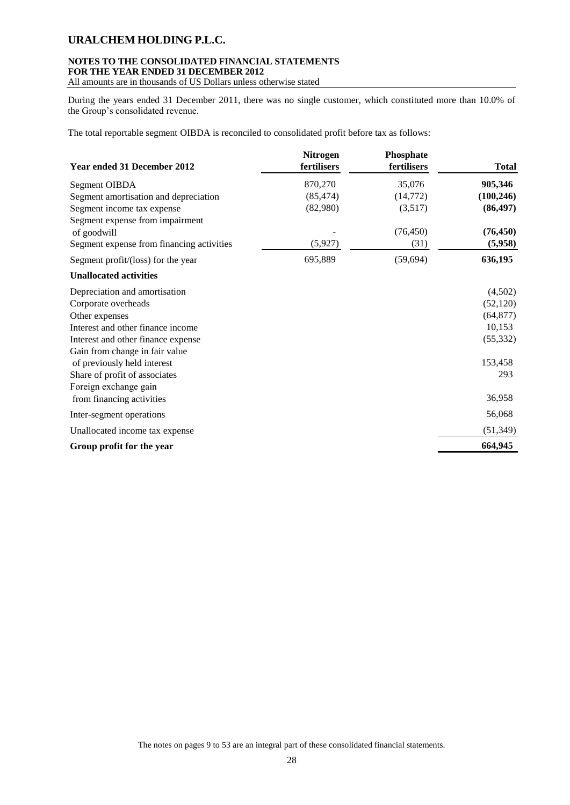# **NOTES TO THE CONSOLIDATED FINANCIAL STATEMENTS FOR THE YEAR ENDED 31 DECEMBER 2012**

All amounts are in thousands of US Dollars unless otherwise stated

During the years ended 31 December 2011, there was no single customer, which constituted more than 10.0% of the Group's consolidated revenue.

The total reportable segment OIBDA is reconciled to consolidated profit before tax as follows:

| <b>Year ended 31 December 2012</b>        | <b>Nitrogen</b><br>fertilisers | Phosphate<br>fertilisers | <b>Total</b>         |
|-------------------------------------------|--------------------------------|--------------------------|----------------------|
| Segment OIBDA                             | 870,270                        | 35,076                   | 905,346              |
| Segment amortisation and depreciation     | (85, 474)                      | (14, 772)                | (100, 246)           |
| Segment income tax expense                | (82,980)                       | (3,517)                  | (86, 497)            |
| Segment expense from impairment           |                                |                          |                      |
| of goodwill                               | (5,927)                        | (76, 450)<br>(31)        | (76, 450)<br>(5,958) |
| Segment expense from financing activities |                                |                          |                      |
| Segment profit/(loss) for the year        | 695,889                        | (59, 694)                | 636,195              |
| <b>Unallocated activities</b>             |                                |                          |                      |
| Depreciation and amortisation             |                                |                          | (4,502)              |
| Corporate overheads                       |                                |                          | (52, 120)            |
| Other expenses                            |                                |                          | (64, 877)            |
| Interest and other finance income         |                                |                          | 10,153               |
| Interest and other finance expense        |                                |                          | (55, 332)            |
| Gain from change in fair value            |                                |                          |                      |
| of previously held interest               |                                |                          | 153,458              |
| Share of profit of associates             |                                |                          | 293                  |
| Foreign exchange gain                     |                                |                          |                      |
| from financing activities                 |                                |                          | 36,958               |
| Inter-segment operations                  |                                |                          | 56,068               |
| Unallocated income tax expense            |                                |                          | (51, 349)            |
| Group profit for the year                 |                                |                          | 664,945              |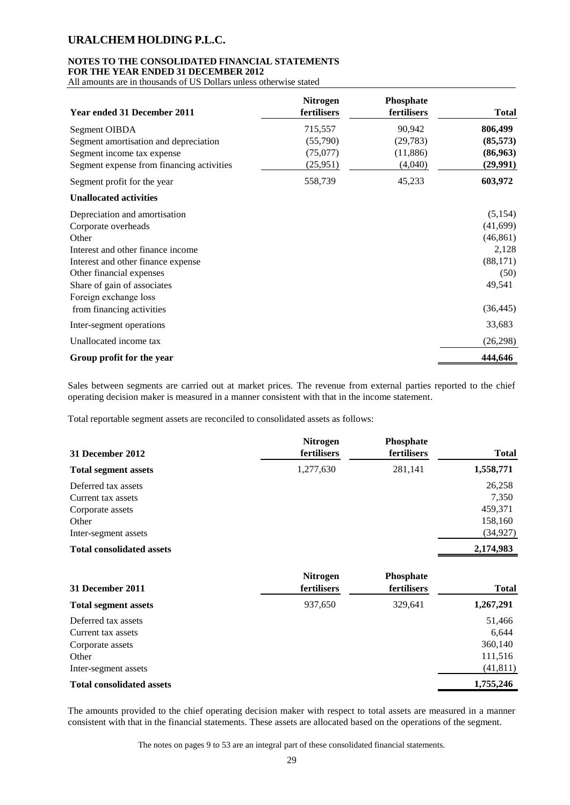#### **NOTES TO THE CONSOLIDATED FINANCIAL STATEMENTS FOR THE YEAR ENDED 31 DECEMBER 2012**

All amounts are in thousands of US Dollars unless otherwise stated

| <b>Year ended 31 December 2011</b>                                                                                                                                                                                           | <b>Nitrogen</b><br>fertilisers              | Phosphate<br>fertilisers                   | <b>Total</b>                                                             |
|------------------------------------------------------------------------------------------------------------------------------------------------------------------------------------------------------------------------------|---------------------------------------------|--------------------------------------------|--------------------------------------------------------------------------|
| Segment OIBDA<br>Segment amortisation and depreciation<br>Segment income tax expense<br>Segment expense from financing activities                                                                                            | 715,557<br>(55,790)<br>(75,077)<br>(25,951) | 90,942<br>(29, 783)<br>(11,886)<br>(4,040) | 806,499<br>(85, 573)<br>(86,963)<br>(29,991)                             |
| Segment profit for the year                                                                                                                                                                                                  | 558,739                                     | 45,233                                     | 603,972                                                                  |
| <b>Unallocated activities</b>                                                                                                                                                                                                |                                             |                                            |                                                                          |
| Depreciation and amortisation<br>Corporate overheads<br>Other<br>Interest and other finance income<br>Interest and other finance expense<br>Other financial expenses<br>Share of gain of associates<br>Foreign exchange loss |                                             |                                            | (5,154)<br>(41,699)<br>(46, 861)<br>2,128<br>(88, 171)<br>(50)<br>49,541 |
| from financing activities                                                                                                                                                                                                    |                                             |                                            | (36, 445)                                                                |
| Inter-segment operations                                                                                                                                                                                                     |                                             |                                            | 33,683                                                                   |
| Unallocated income tax                                                                                                                                                                                                       |                                             |                                            | (26, 298)                                                                |
| Group profit for the year                                                                                                                                                                                                    |                                             |                                            | 444,646                                                                  |

Sales between segments are carried out at market prices. The revenue from external parties reported to the chief operating decision maker is measured in a manner consistent with that in the income statement.

Total reportable segment assets are reconciled to consolidated assets as follows:

|                                  | <b>Nitrogen</b><br>fertilisers | Phosphate<br>fertilisers |              |
|----------------------------------|--------------------------------|--------------------------|--------------|
| 31 December 2012                 |                                |                          | <b>Total</b> |
| <b>Total segment assets</b>      | 1,277,630                      | 281,141                  | 1,558,771    |
| Deferred tax assets              |                                |                          | 26,258       |
| Current tax assets               |                                |                          | 7,350        |
| Corporate assets                 |                                |                          | 459,371      |
| Other                            |                                |                          | 158,160      |
| Inter-segment assets             |                                |                          | (34, 927)    |
| <b>Total consolidated assets</b> |                                |                          | 2,174,983    |

| 31 December 2011                 | <b>Nitrogen</b><br>fertilisers | <b>Phosphate</b><br>fertilisers | <b>Total</b> |
|----------------------------------|--------------------------------|---------------------------------|--------------|
| <b>Total segment assets</b>      | 937,650                        | 329,641                         | 1,267,291    |
| Deferred tax assets              |                                |                                 | 51,466       |
| Current tax assets               |                                |                                 | 6,644        |
| Corporate assets                 |                                |                                 | 360,140      |
| Other                            |                                |                                 | 111,516      |
| Inter-segment assets             |                                |                                 | (41, 811)    |
| <b>Total consolidated assets</b> |                                |                                 | 1,755,246    |

The amounts provided to the chief operating decision maker with respect to total assets are measured in a manner consistent with that in the financial statements. These assets are allocated based on the operations of the segment.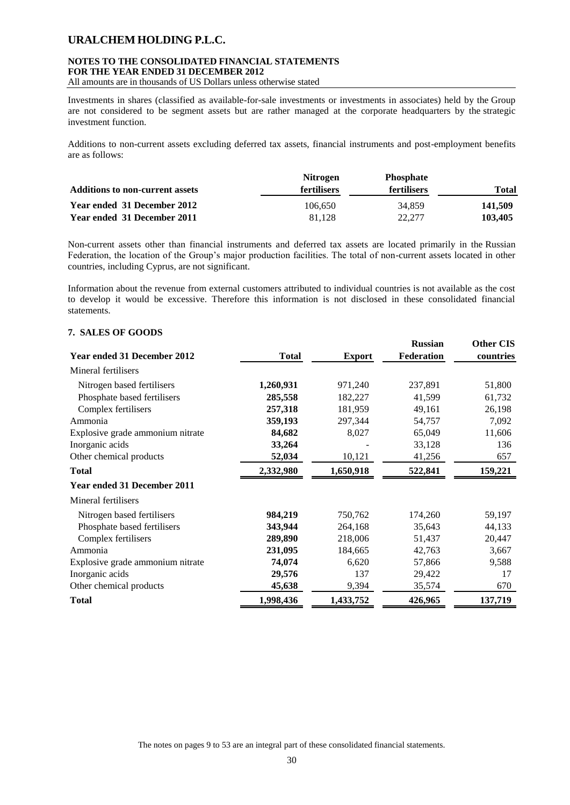# **NOTES TO THE CONSOLIDATED FINANCIAL STATEMENTS FOR THE YEAR ENDED 31 DECEMBER 2012**

All amounts are in thousands of US Dollars unless otherwise stated

Investments in shares (classified as available-for-sale investments or investments in associates) held by the Group are not considered to be segment assets but are rather managed at the corporate headquarters by the strategic investment function.

Additions to non-current assets excluding deferred tax assets, financial instruments and post-employment benefits are as follows:

|                                 | <b>Nitrogen</b>    | <b>Phosphate</b>   |              |
|---------------------------------|--------------------|--------------------|--------------|
| Additions to non-current assets | <b>fertilisers</b> | <b>fertilisers</b> | <b>Total</b> |
| Year ended 31 December 2012     | 106.650            | 34.859             | 141,509      |
| Year ended 31 December 2011     | 81.128             | 22,277             | 103,405      |

Non-current assets other than financial instruments and deferred tax assets are located primarily in the Russian Federation, the location of the Group's major production facilities. The total of non-current assets located in other countries, including Cyprus, are not significant.

Information about the revenue from external customers attributed to individual countries is not available as the cost to develop it would be excessive. Therefore this information is not disclosed in these consolidated financial statements.

# **7. SALES OF GOODS**

|                                    |              |               | <b>Russian</b>    | <b>Other CIS</b> |
|------------------------------------|--------------|---------------|-------------------|------------------|
| <b>Year ended 31 December 2012</b> | <b>Total</b> | <b>Export</b> | <b>Federation</b> | countries        |
| Mineral fertilisers                |              |               |                   |                  |
| Nitrogen based fertilisers         | 1,260,931    | 971,240       | 237,891           | 51,800           |
| Phosphate based fertilisers        | 285,558      | 182,227       | 41,599            | 61,732           |
| Complex fertilisers                | 257,318      | 181,959       | 49,161            | 26,198           |
| Ammonia                            | 359,193      | 297,344       | 54,757            | 7,092            |
| Explosive grade ammonium nitrate   | 84,682       | 8,027         | 65,049            | 11,606           |
| Inorganic acids                    | 33,264       |               | 33,128            | 136              |
| Other chemical products            | 52,034       | 10,121        | 41,256            | 657              |
| <b>Total</b>                       | 2,332,980    | 1,650,918     | 522,841           | 159,221          |
| <b>Year ended 31 December 2011</b> |              |               |                   |                  |
| Mineral fertilisers                |              |               |                   |                  |
| Nitrogen based fertilisers         | 984,219      | 750,762       | 174,260           | 59,197           |
| Phosphate based fertilisers        | 343,944      | 264,168       | 35,643            | 44,133           |
| Complex fertilisers                | 289,890      | 218,006       | 51,437            | 20,447           |
| Ammonia                            | 231,095      | 184,665       | 42,763            | 3,667            |
| Explosive grade ammonium nitrate   | 74,074       | 6,620         | 57,866            | 9,588            |
| Inorganic acids                    | 29,576       | 137           | 29,422            | 17               |
| Other chemical products            | 45,638       | 9,394         | 35,574            | 670              |
| <b>Total</b>                       | 1,998,436    | 1,433,752     | 426,965           | 137,719          |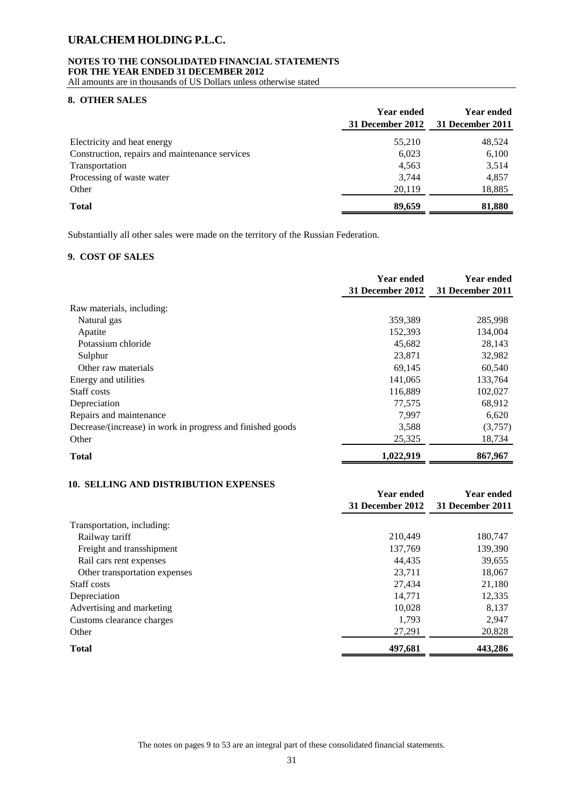# **NOTES TO THE CONSOLIDATED FINANCIAL STATEMENTS FOR THE YEAR ENDED 31 DECEMBER 2012**

All amounts are in thousands of US Dollars unless otherwise stated

### **8. OTHER SALES**

|                                                | <b>Year ended</b><br>31 December 2012 | <b>Year ended</b><br>31 December 2011 |
|------------------------------------------------|---------------------------------------|---------------------------------------|
| Electricity and heat energy                    | 55,210                                | 48,524                                |
| Construction, repairs and maintenance services | 6,023                                 | 6,100                                 |
| Transportation                                 | 4,563                                 | 3,514                                 |
| Processing of waste water                      | 3,744                                 | 4,857                                 |
| Other                                          | 20,119                                | 18,885                                |
| <b>Total</b>                                   | 89,659                                | 81,880                                |

Substantially all other sales were made on the territory of the Russian Federation.

# **9. COST OF SALES**

|                                                            | <b>Year ended</b><br>31 December 2012 | <b>Year ended</b><br>31 December 2011 |
|------------------------------------------------------------|---------------------------------------|---------------------------------------|
| Raw materials, including:                                  |                                       |                                       |
| Natural gas                                                | 359,389                               | 285,998                               |
| Apatite                                                    | 152,393                               | 134,004                               |
| Potassium chloride                                         | 45,682                                | 28,143                                |
| Sulphur                                                    | 23,871                                | 32,982                                |
| Other raw materials                                        | 69,145                                | 60,540                                |
| Energy and utilities                                       | 141,065                               | 133,764                               |
| Staff costs                                                | 116,889                               | 102,027                               |
| Depreciation                                               | 77,575                                | 68,912                                |
| Repairs and maintenance                                    | 7,997                                 | 6,620                                 |
| Decrease/(increase) in work in progress and finished goods | 3,588                                 | (3,757)                               |
| Other                                                      | 25,325                                | 18,734                                |
| <b>Total</b>                                               | 1,022,919                             | 867,967                               |

### **10. SELLING AND DISTRIBUTION EXPENSES**

| <b>Year ended</b><br>31 December 2012 | <b>Year ended</b><br>31 December 2011 |
|---------------------------------------|---------------------------------------|
|                                       |                                       |
| 210,449                               | 180,747                               |
| 137,769                               | 139,390                               |
| 44,435                                | 39,655                                |
| 23,711                                | 18,067                                |
| 27,434                                | 21,180                                |
| 14,771                                | 12,335                                |
| 10.028                                | 8,137                                 |
| 1,793                                 | 2,947                                 |
| 27,291                                | 20,828                                |
| 497,681                               | 443,286                               |
|                                       |                                       |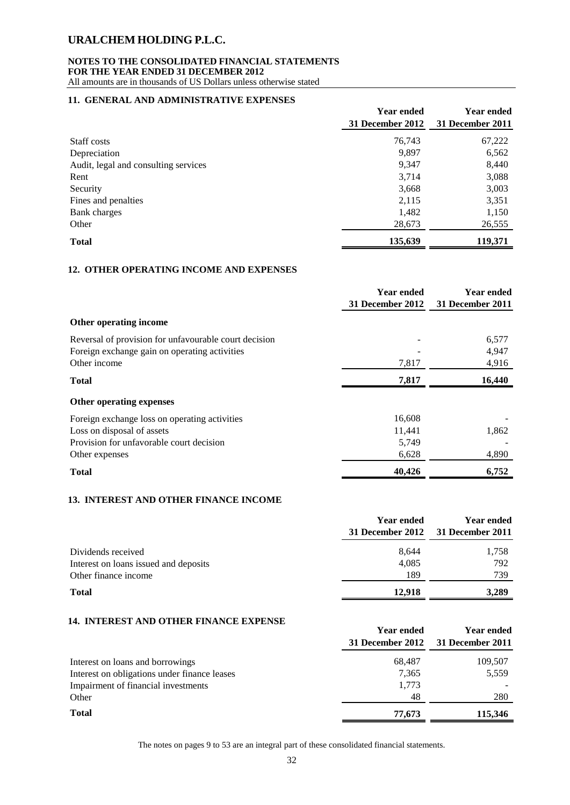# **NOTES TO THE CONSOLIDATED FINANCIAL STATEMENTS FOR THE YEAR ENDED 31 DECEMBER 2012**

All amounts are in thousands of US Dollars unless otherwise stated

### **11. GENERAL AND ADMINISTRATIVE EXPENSES**

|                                      | <b>Year ended</b> | <b>Year ended</b> |
|--------------------------------------|-------------------|-------------------|
|                                      | 31 December 2012  | 31 December 2011  |
| Staff costs                          | 76,743            | 67,222            |
| Depreciation                         | 9,897             | 6,562             |
| Audit, legal and consulting services | 9,347             | 8,440             |
| Rent                                 | 3,714             | 3,088             |
| Security                             | 3,668             | 3,003             |
| Fines and penalties                  | 2,115             | 3,351             |
| Bank charges                         | 1,482             | 1,150             |
| Other                                | 28,673            | 26,555            |
| <b>Total</b>                         | 135,639           | 119,371           |

# **12. OTHER OPERATING INCOME AND EXPENSES**

|                                                       | Year ended<br><b>31 December 2012</b> | <b>Year ended</b><br><b>31 December 2011</b> |
|-------------------------------------------------------|---------------------------------------|----------------------------------------------|
| Other operating income                                |                                       |                                              |
| Reversal of provision for unfavourable court decision |                                       | 6,577                                        |
| Foreign exchange gain on operating activities         |                                       | 4.947                                        |
| Other income                                          | 7,817                                 | 4,916                                        |
| <b>Total</b>                                          | 7,817                                 | 16,440                                       |
| Other operating expenses                              |                                       |                                              |
| Foreign exchange loss on operating activities         | 16,608                                |                                              |
| Loss on disposal of assets                            | 11,441                                | 1,862                                        |
| Provision for unfavorable court decision              | 5,749                                 |                                              |
| Other expenses                                        | 6,628                                 | 4,890                                        |
| <b>Total</b>                                          | 40,426                                | 6,752                                        |

### **13. INTEREST AND OTHER FINANCE INCOME**

|                                       | Year ended | <b>Year ended</b>                 |
|---------------------------------------|------------|-----------------------------------|
|                                       |            | 31 December 2012 31 December 2011 |
| Dividends received                    | 8.644      | 1,758                             |
| Interest on loans issued and deposits | 4,085      | 792                               |
| Other finance income                  | 189        | 739                               |
| <b>Total</b>                          | 12.918     | 3,289                             |

### **14. INTEREST AND OTHER FINANCE EXPENSE**

| н нашира по старатности по с                 | <b>Year ended</b><br>31 December 2012 | <b>Year ended</b><br>31 December 2011 |
|----------------------------------------------|---------------------------------------|---------------------------------------|
| Interest on loans and borrowings             | 68,487                                | 109,507                               |
| Interest on obligations under finance leases | 7,365                                 | 5,559                                 |
| Impairment of financial investments          | 1,773                                 |                                       |
| Other                                        | 48                                    | 280                                   |
| <b>Total</b>                                 | 77,673                                | 115,346                               |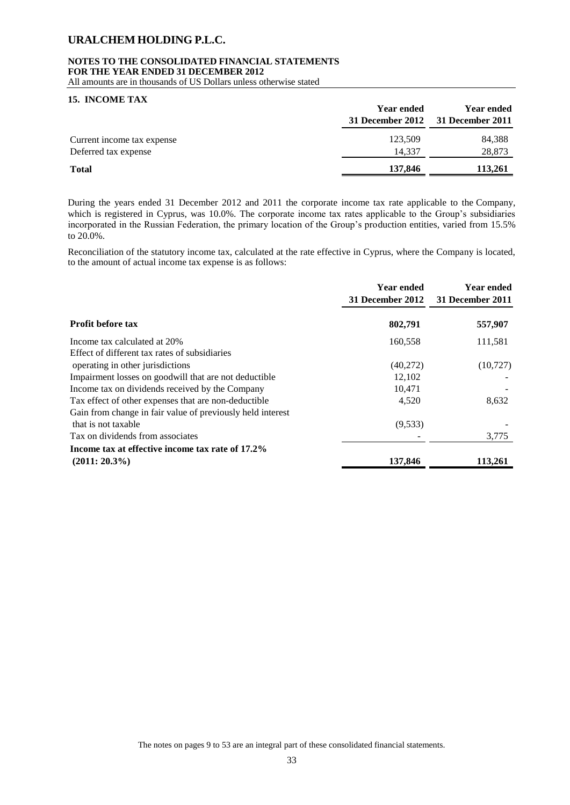# **NOTES TO THE CONSOLIDATED FINANCIAL STATEMENTS FOR THE YEAR ENDED 31 DECEMBER 2012**

All amounts are in thousands of US Dollars unless otherwise stated

# **15. INCOME TAX**

|                            | Year ended | Year ended                        |
|----------------------------|------------|-----------------------------------|
|                            |            | 31 December 2012 31 December 2011 |
| Current income tax expense | 123,509    | 84,388                            |
| Deferred tax expense       | 14.337     | 28,873                            |
| <b>Total</b>               | 137,846    | 113,261                           |

During the years ended 31 December 2012 and 2011 the corporate income tax rate applicable to the Company, which is registered in Cyprus, was 10.0%. The corporate income tax rates applicable to the Group's subsidiaries incorporated in the Russian Federation, the primary location of the Group's production entities, varied from 15.5% to 20.0%.

Reconciliation of the statutory income tax, calculated at the rate effective in Cyprus, where the Company is located, to the amount of actual income tax expense is as follows:

|                                                            | <b>Year ended</b><br>31 December 2012 | <b>Year ended</b><br>31 December 2011 |
|------------------------------------------------------------|---------------------------------------|---------------------------------------|
| Profit before tax                                          | 802,791                               | 557,907                               |
| Income tax calculated at 20%                               | 160,558                               | 111,581                               |
| Effect of different tax rates of subsidiaries              |                                       |                                       |
| operating in other jurisdictions                           | (40,272)                              | (10,727)                              |
| Impairment losses on goodwill that are not deductible      | 12,102                                |                                       |
| Income tax on dividends received by the Company            | 10,471                                |                                       |
| Tax effect of other expenses that are non-deductible       | 4,520                                 | 8,632                                 |
| Gain from change in fair value of previously held interest |                                       |                                       |
| that is not taxable                                        | (9,533)                               |                                       |
| Tax on dividends from associates                           |                                       | 3,775                                 |
| Income tax at effective income tax rate of 17.2%           |                                       |                                       |
| $(2011: 20.3\%)$                                           | 137,846                               | 113,261                               |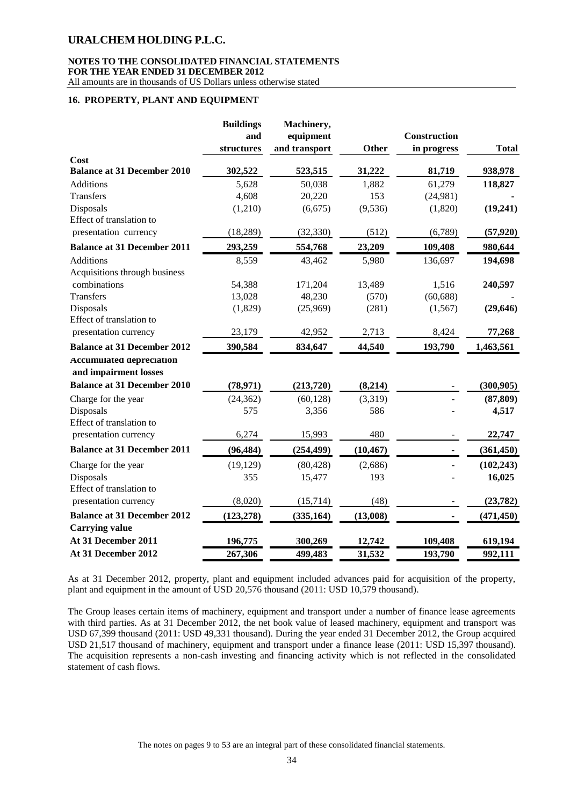# **NOTES TO THE CONSOLIDATED FINANCIAL STATEMENTS FOR THE YEAR ENDED 31 DECEMBER 2012**

### All amounts are in thousands of US Dollars unless otherwise stated

### **16. PROPERTY, PLANT AND EQUIPMENT**

|                                    | <b>Buildings</b> | Machinery,    |           |                              |              |
|------------------------------------|------------------|---------------|-----------|------------------------------|--------------|
|                                    | and              | equipment     |           | Construction                 |              |
|                                    | structures       | and transport | Other     | in progress                  | <b>Total</b> |
| Cost                               |                  |               |           |                              |              |
| <b>Balance at 31 December 2010</b> | 302,522          | 523,515       | 31,222    | 81,719                       | 938,978      |
| <b>Additions</b>                   | 5,628            | 50,038        | 1,882     | 61,279                       | 118,827      |
| <b>Transfers</b>                   | 4,608            | 20,220        | 153       | (24,981)                     |              |
| Disposals                          | (1,210)          | (6, 675)      | (9,536)   | (1,820)                      | (19,241)     |
| Effect of translation to           |                  |               |           |                              |              |
| presentation currency              | (18, 289)        | (32, 330)     | (512)     | (6,789)                      | (57, 920)    |
| <b>Balance at 31 December 2011</b> | 293,259          | 554,768       | 23,209    | 109,408                      | 980,644      |
| <b>Additions</b>                   | 8,559            | 43,462        | 5,980     | 136,697                      | 194,698      |
| Acquisitions through business      |                  |               |           |                              |              |
| combinations                       | 54,388           | 171,204       | 13,489    | 1,516                        | 240,597      |
| <b>Transfers</b>                   | 13,028           | 48,230        | (570)     | (60, 688)                    |              |
| Disposals                          | (1,829)          | (25,969)      | (281)     | (1, 567)                     | (29, 646)    |
| Effect of translation to           |                  |               |           |                              |              |
| presentation currency              | 23,179           | 42,952        | 2,713     | 8,424                        | 77,268       |
| <b>Balance at 31 December 2012</b> | 390,584          | 834,647       | 44,540    | 193,790                      | 1,463,561    |
| <b>Accumulated depreciation</b>    |                  |               |           |                              |              |
| and impairment losses              |                  |               |           |                              |              |
| <b>Balance at 31 December 2010</b> | (78, 971)        | (213, 720)    | (8,214)   |                              | (300, 905)   |
| Charge for the year                | (24, 362)        | (60, 128)     | (3,319)   |                              | (87, 809)    |
| Disposals                          | 575              | 3,356         | 586       |                              | 4,517        |
| Effect of translation to           |                  |               |           |                              |              |
| presentation currency              | 6,274            | 15,993        | 480       |                              | 22,747       |
| <b>Balance at 31 December 2011</b> | (96, 484)        | (254, 499)    | (10, 467) | $\qquad \qquad \blacksquare$ | (361, 450)   |
| Charge for the year                | (19, 129)        | (80, 428)     | (2,686)   |                              | (102, 243)   |
| Disposals                          | 355              | 15,477        | 193       |                              | 16,025       |
| Effect of translation to           |                  |               |           |                              |              |
| presentation currency              | (8,020)          | (15,714)      | (48)      |                              | (23, 782)    |
| <b>Balance at 31 December 2012</b> | (123, 278)       | (335, 164)    | (13,008)  |                              | (471, 450)   |
| <b>Carrying value</b>              |                  |               |           |                              |              |
| At 31 December 2011                | 196,775          | 300,269       | 12,742    | 109,408                      | 619,194      |
| At 31 December 2012                | 267,306          | 499,483       | 31,532    | 193,790                      | 992,111      |

As at 31 December 2012, property, plant and equipment included advances paid for acquisition of the property, plant and equipment in the amount of USD 20,576 thousand (2011: USD 10,579 thousand).

The Group leases certain items of machinery, equipment and transport under a number of finance lease agreements with third parties. As at 31 December 2012, the net book value of leased machinery, equipment and transport was USD 67,399 thousand (2011: USD 49,331 thousand). During the year ended 31 December 2012, the Group acquired USD 21,517 thousand of machinery, equipment and transport under a finance lease (2011: USD 15,397 thousand). The acquisition represents a non-cash investing and financing activity which is not reflected in the consolidated statement of cash flows.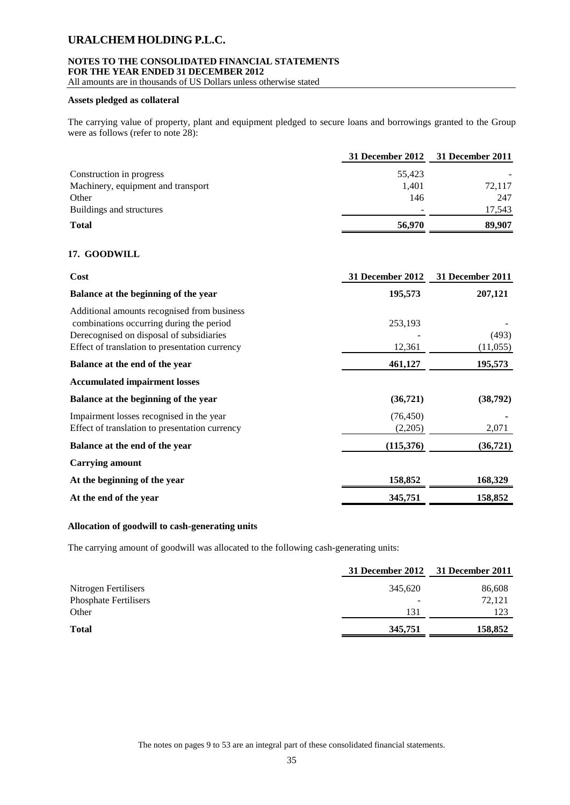### **NOTES TO THE CONSOLIDATED FINANCIAL STATEMENTS FOR THE YEAR ENDED 31 DECEMBER 2012**

All amounts are in thousands of US Dollars unless otherwise stated

### **Assets pledged as collateral**

The carrying value of property, plant and equipment pledged to secure loans and borrowings granted to the Group were as follows (refer to note 28):

|                                    |        | 31 December 2012 31 December 2011 |
|------------------------------------|--------|-----------------------------------|
| Construction in progress           | 55.423 |                                   |
| Machinery, equipment and transport | 1,401  | 72,117                            |
| Other                              | 146    | 247                               |
| Buildings and structures           | -      | 17,543                            |
| <b>Total</b>                       | 56,970 | 89,907                            |

### **17. GOODWILL**

| Cost                                           | 31 December 2012 | <b>31 December 2011</b> |
|------------------------------------------------|------------------|-------------------------|
| Balance at the beginning of the year           | 195,573          | 207,121                 |
| Additional amounts recognised from business    |                  |                         |
| combinations occurring during the period       | 253,193          |                         |
| Derecognised on disposal of subsidiaries       |                  | (493)                   |
| Effect of translation to presentation currency | 12,361           | (11,055)                |
| Balance at the end of the year                 | 461,127          | 195,573                 |
| <b>Accumulated impairment losses</b>           |                  |                         |
| Balance at the beginning of the year           | (36,721)         | (38,792)                |
| Impairment losses recognised in the year       | (76, 450)        |                         |
| Effect of translation to presentation currency | (2,205)          | 2,071                   |
| Balance at the end of the year                 | (115,376)        | (36, 721)               |
| <b>Carrying amount</b>                         |                  |                         |
| At the beginning of the year                   | 158,852          | 168,329                 |
| At the end of the year                         | 345,751          | 158,852                 |

### **Allocation of goodwill to cash-generating units**

The carrying amount of goodwill was allocated to the following cash-generating units:

|                              | 31 December 2012 | 31 December 2011 |
|------------------------------|------------------|------------------|
| Nitrogen Fertilisers         | 345,620          | 86,608           |
| <b>Phosphate Fertilisers</b> |                  | 72,121           |
| Other                        | 131              | 123              |
| <b>Total</b>                 | 345,751          | 158,852          |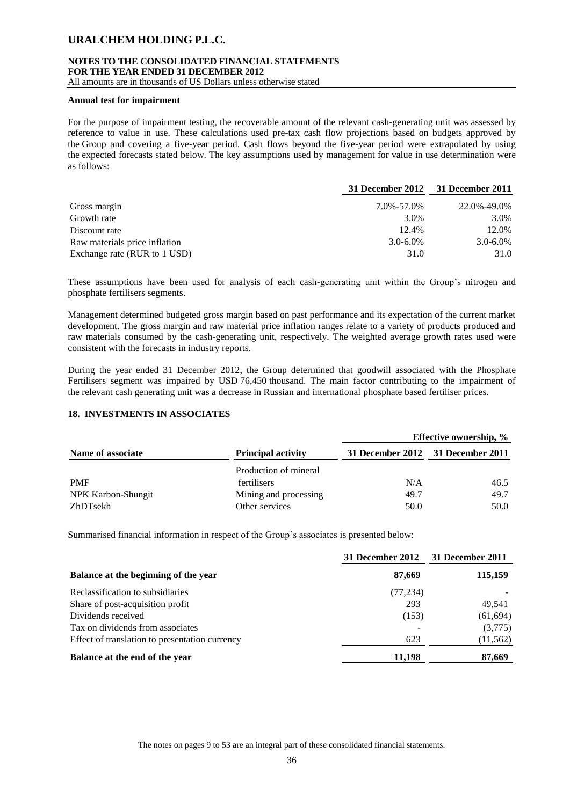#### **NOTES TO THE CONSOLIDATED FINANCIAL STATEMENTS FOR THE YEAR ENDED 31 DECEMBER 2012** All amounts are in thousands of US Dollars unless otherwise stated

#### **Annual test for impairment**

For the purpose of impairment testing, the recoverable amount of the relevant cash-generating unit was assessed by reference to value in use. These calculations used pre-tax cash flow projections based on budgets approved by the Group and covering a five-year period. Cash flows beyond the five-year period were extrapolated by using the expected forecasts stated below. The key assumptions used by management for value in use determination were as follows:

|                               | 31 December 2012 31 December 2011 |               |
|-------------------------------|-----------------------------------|---------------|
| Gross margin                  | 7.0%-57.0%                        | 22.0%-49.0%   |
| Growth rate                   | 3.0%                              | 3.0%          |
| Discount rate                 | 12.4%                             | 12.0%         |
| Raw materials price inflation | $3.0 - 6.0\%$                     | $3.0 - 6.0\%$ |
| Exchange rate (RUR to 1 USD)  | 31.0                              | 31.0          |

These assumptions have been used for analysis of each cash-generating unit within the Group's nitrogen and phosphate fertilisers segments.

Management determined budgeted gross margin based on past performance and its expectation of the current market development. The gross margin and raw material price inflation ranges relate to a variety of products produced and raw materials consumed by the cash-generating unit, respectively. The weighted average growth rates used were consistent with the forecasts in industry reports.

During the year ended 31 December 2012, the Group determined that goodwill associated with the Phosphate Fertilisers segment was impaired by USD 76,450 thousand. The main factor contributing to the impairment of the relevant cash generating unit was a decrease in Russian and international phosphate based fertiliser prices.

### **18. INVESTMENTS IN ASSOCIATES**

|                    |                           |      | <b>Effective ownership, %</b>     |  |
|--------------------|---------------------------|------|-----------------------------------|--|
| Name of associate  | <b>Principal activity</b> |      | 31 December 2012 31 December 2011 |  |
|                    | Production of mineral     |      |                                   |  |
| <b>PMF</b>         | fertilisers               | N/A  | 46.5                              |  |
| NPK Karbon-Shungit | Mining and processing     | 49.7 | 49.7                              |  |
| ZhDTsekh           | Other services            | 50.0 | 50.0                              |  |

Summarised financial information in respect of the Group's associates is presented below:

|                                                | 31 December 2012 | 31 December 2011 |
|------------------------------------------------|------------------|------------------|
| Balance at the beginning of the year           | 87,669           | 115,159          |
| Reclassification to subsidiaries               | (77, 234)        |                  |
| Share of post-acquisition profit               | 293              | 49,541           |
| Dividends received                             | (153)            | (61, 694)        |
| Tax on dividends from associates               |                  | (3,775)          |
| Effect of translation to presentation currency | 623              | (11, 562)        |
| Balance at the end of the year                 | 11.198           | 87,669           |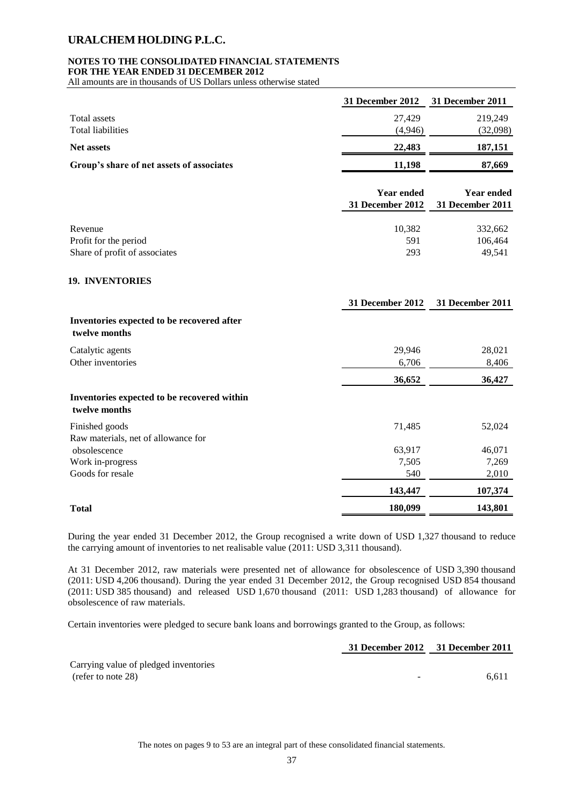# **NOTES TO THE CONSOLIDATED FINANCIAL STATEMENTS**

**FOR THE YEAR ENDED 31 DECEMBER 2012** All amounts are in thousands of US Dollars unless otherwise stated

|                                                              | 31 December 2012 31 December 2011 |                   |
|--------------------------------------------------------------|-----------------------------------|-------------------|
| Total assets                                                 | 27,429                            | 219,249           |
| <b>Total liabilities</b>                                     | (4,946)                           | (32,098)          |
| Net assets                                                   | 22,483                            | 187,151           |
| Group's share of net assets of associates                    | 11,198                            | 87,669            |
|                                                              |                                   |                   |
|                                                              | <b>Year ended</b>                 | <b>Year ended</b> |
|                                                              | 31 December 2012                  | 31 December 2011  |
| Revenue                                                      | 10,382                            | 332,662           |
| Profit for the period                                        | 591                               | 106,464           |
| Share of profit of associates                                | 293                               | 49,541            |
| 19. INVENTORIES                                              |                                   |                   |
|                                                              | 31 December 2012                  | 31 December 2011  |
| Inventories expected to be recovered after<br>twelve months  |                                   |                   |
| Catalytic agents                                             | 29,946                            | 28,021            |
| Other inventories                                            | 6,706                             | 8,406             |
|                                                              | 36,652                            | 36,427            |
| Inventories expected to be recovered within<br>twelve months |                                   |                   |
| Finished goods                                               | 71,485                            | 52,024            |
| Raw materials, net of allowance for                          |                                   |                   |
| obsolescence                                                 | 63,917                            | 46,071            |
| Work in-progress                                             | 7,505                             | 7,269             |
| Goods for resale                                             | 540                               | 2,010             |
|                                                              | 143,447                           | 107,374           |
| <b>Total</b>                                                 | 180,099                           | 143,801           |

During the year ended 31 December 2012, the Group recognised a write down of USD 1,327 thousand to reduce the carrying amount of inventories to net realisable value (2011: USD 3,311 thousand).

At 31 December 2012, raw materials were presented net of allowance for obsolescence of USD 3,390 thousand (2011: USD 4,206 thousand). During the year ended 31 December 2012, the Group recognised USD 854 thousand (2011: USD 385 thousand) and released USD 1,670 thousand (2011: USD 1,283 thousand) of allowance for obsolescence of raw materials.

Certain inventories were pledged to secure bank loans and borrowings granted to the Group, as follows:

**31 December 2012 31 December 2011**

| Carrying value of pledged inventories |       |
|---------------------------------------|-------|
| (refer to note 28)                    | 6.611 |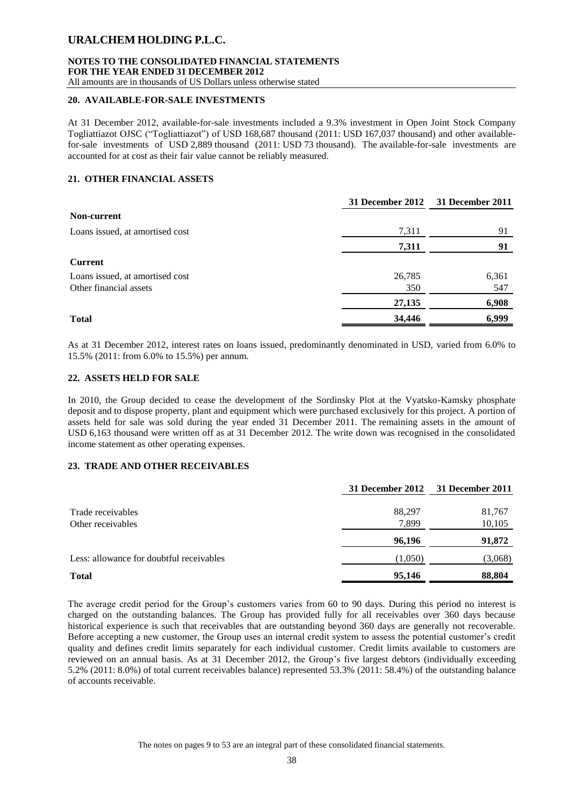#### **NOTES TO THE CONSOLIDATED FINANCIAL STATEMENTS FOR THE YEAR ENDED 31 DECEMBER 2012** All amounts are in thousands of US Dollars unless otherwise stated

### **20. AVAILABLE-FOR-SALE INVESTMENTS**

At 31 December 2012, available-for-sale investments included a 9.3% investment in Open Joint Stock Company Togliattiazot OJSC ("Togliattiazot") of USD 168,687 thousand (2011: USD 167,037 thousand) and other availablefor-sale investments of USD 2,889 thousand (2011: USD 73 thousand). The available-for-sale investments are accounted for at cost as their fair value cannot be reliably measured.

### **21. OTHER FINANCIAL ASSETS**

|                                 | <b>31 December 2012</b> | <b>31 December 2011</b> |
|---------------------------------|-------------------------|-------------------------|
| Non-current                     |                         |                         |
| Loans issued, at amortised cost | 7,311                   | 91                      |
|                                 | 7,311                   | 91                      |
| <b>Current</b>                  |                         |                         |
| Loans issued, at amortised cost | 26,785                  | 6,361                   |
| Other financial assets          | 350                     | 547                     |
|                                 | 27,135                  | 6,908                   |
| <b>Total</b>                    | 34,446                  | 6.999                   |

As at 31 December 2012, interest rates on loans issued, predominantly denominated in USD, varied from 6.0% to 15.5% (2011: from 6.0% to 15.5%) per annum.

### **22. ASSETS HELD FOR SALE**

In 2010, the Group decided to cease the development of the Sordinsky Plot at the Vyatsko-Kamsky phosphate deposit and to dispose property, plant and equipment which were purchased exclusively for this project. A portion of assets held for sale was sold during the year ended 31 December 2011. The remaining assets in the amount of USD 6,163 thousand were written off as at 31 December 2012. The write down was recognised in the consolidated income statement as other operating expenses.

### **23. TRADE AND OTHER RECEIVABLES**

|                                          | 31 December 2012 | 31 December 2011 |
|------------------------------------------|------------------|------------------|
| Trade receivables                        | 88,297           | 81,767           |
| Other receivables                        | 7,899            | 10,105           |
|                                          | 96,196           | 91,872           |
| Less: allowance for doubtful receivables | (1,050)          | (3,068)          |
| <b>Total</b>                             | 95,146           | 88,804           |

The average credit period for the Group's customers varies from 60 to 90 days. During this period no interest is charged on the outstanding balances. The Group has provided fully for all receivables over 360 days because historical experience is such that receivables that are outstanding beyond 360 days are generally not recoverable. Before accepting a new customer, the Group uses an internal credit system to assess the potential customer's credit quality and defines credit limits separately for each individual customer. Credit limits available to customers are reviewed on an annual basis. As at 31 December 2012, the Group's five largest debtors (individually exceeding 5.2% (2011: 8.0%) of total current receivables balance) represented 53.3% (2011: 58.4%) of the outstanding balance of accounts receivable.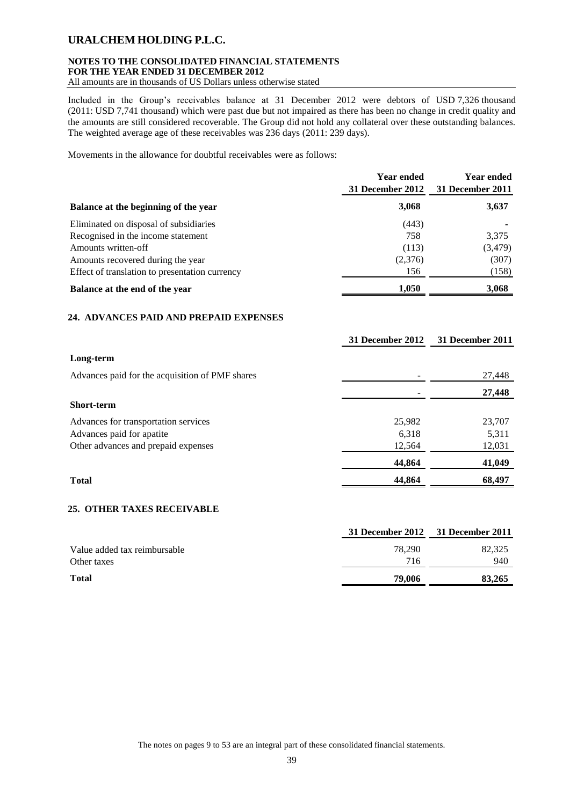### **NOTES TO THE CONSOLIDATED FINANCIAL STATEMENTS FOR THE YEAR ENDED 31 DECEMBER 2012**

All amounts are in thousands of US Dollars unless otherwise stated

Included in the Group's receivables balance at 31 December 2012 were debtors of USD 7,326 thousand (2011: USD 7,741 thousand) which were past due but not impaired as there has been no change in credit quality and the amounts are still considered recoverable. The Group did not hold any collateral over these outstanding balances. The weighted average age of these receivables was 236 days (2011: 239 days).

Movements in the allowance for doubtful receivables were as follows:

|                                                | Year ended<br>31 December 2012 | <b>Year ended</b><br>31 December 2011 |  |
|------------------------------------------------|--------------------------------|---------------------------------------|--|
| Balance at the beginning of the year           | 3,068                          | 3,637                                 |  |
| Eliminated on disposal of subsidiaries         | (443)                          |                                       |  |
| Recognised in the income statement             | 758                            | 3,375                                 |  |
| Amounts written-off                            | (113)                          | (3, 479)                              |  |
| Amounts recovered during the year              | (2,376)                        | (307)                                 |  |
| Effect of translation to presentation currency | 156                            | (158)                                 |  |
| Balance at the end of the year                 | 1,050                          | 3,068                                 |  |

### **24. ADVANCES PAID AND PREPAID EXPENSES**

|                                                 | 31 December 2012 | 31 December 2011 |
|-------------------------------------------------|------------------|------------------|
| Long-term                                       |                  |                  |
| Advances paid for the acquisition of PMF shares |                  | 27,448           |
|                                                 |                  | 27,448           |
| <b>Short-term</b>                               |                  |                  |
| Advances for transportation services            | 25,982           | 23,707           |
| Advances paid for apatite                       | 6,318            | 5,311            |
| Other advances and prepaid expenses             | 12,564           | 12,031           |
|                                                 | 44,864           | 41,049           |
| <b>Total</b>                                    | 44,864           | 68,497           |

# **25. OTHER TAXES RECEIVABLE**

|                                             | $\sigma$ December 2012 | <u>JI DUUHIDU ZUIT</u> |
|---------------------------------------------|------------------------|------------------------|
| Value added tax reimbursable<br>Other taxes | 78.290<br>716          | 82,325<br>940          |
| <b>Total</b>                                | 79,006                 | 83,265                 |

**31 December 2012 31 December 2011**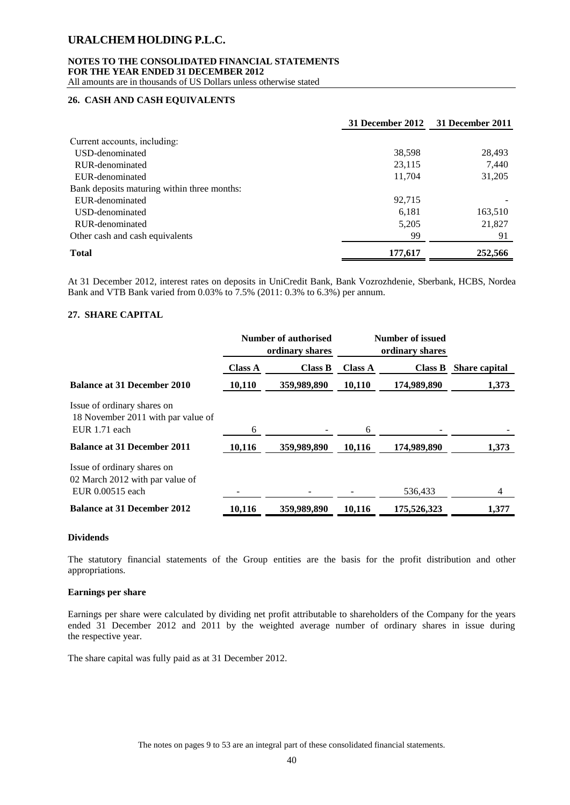### **NOTES TO THE CONSOLIDATED FINANCIAL STATEMENTS FOR THE YEAR ENDED 31 DECEMBER 2012**

All amounts are in thousands of US Dollars unless otherwise stated

# **26. CASH AND CASH EQUIVALENTS**

|                                             | 31 December 2012 | 31 December 2011 |
|---------------------------------------------|------------------|------------------|
| Current accounts, including:                |                  |                  |
| USD-denominated                             | 38,598           | 28,493           |
| RUR-denominated                             | 23,115           | 7,440            |
| EUR-denominated                             | 11,704           | 31,205           |
| Bank deposits maturing within three months: |                  |                  |
| EUR-denominated                             | 92,715           |                  |
| USD-denominated                             | 6,181            | 163,510          |
| RUR-denominated                             | 5,205            | 21,827           |
| Other cash and cash equivalents             | 99               | 91               |
| <b>Total</b>                                | 177,617          | 252,566          |

At 31 December 2012, interest rates on deposits in UniCredit Bank, Bank Vozrozhdenie, Sberbank, HCBS, Nordea Bank and VTB Bank varied from 0.03% to 7.5% (2011: 0.3% to 6.3%) per annum.

### **27. SHARE CAPITAL**

|                                                                                    |                | Number of authorised<br>ordinary shares |                | Number of issued<br>ordinary shares |                      |  |
|------------------------------------------------------------------------------------|----------------|-----------------------------------------|----------------|-------------------------------------|----------------------|--|
|                                                                                    | <b>Class A</b> | <b>Class B</b>                          | <b>Class A</b> | <b>Class B</b>                      | <b>Share capital</b> |  |
| <b>Balance at 31 December 2010</b>                                                 | 10,110         | 359,989,890                             | 10,110         | 174,989,890                         | 1,373                |  |
| Issue of ordinary shares on<br>18 November 2011 with par value of<br>EUR 1.71 each | 6              |                                         | 6              |                                     |                      |  |
| <b>Balance at 31 December 2011</b>                                                 | 10,116         | 359,989,890                             | 10,116         | 174,989,890                         | 1,373                |  |
| Issue of ordinary shares on<br>02 March 2012 with par value of<br>EUR 0.00515 each |                |                                         |                | 536.433                             | 4                    |  |
| <b>Balance at 31 December 2012</b>                                                 | 10,116         | 359,989,890                             | 10,116         | 175,526,323                         | 1,377                |  |

#### **Dividends**

The statutory financial statements of the Group entities are the basis for the profit distribution and other appropriations.

### **Earnings per share**

Earnings per share were calculated by dividing net profit attributable to shareholders of the Company for the years ended 31 December 2012 and 2011 by the weighted average number of ordinary shares in issue during the respective year.

The share capital was fully paid as at 31 December 2012.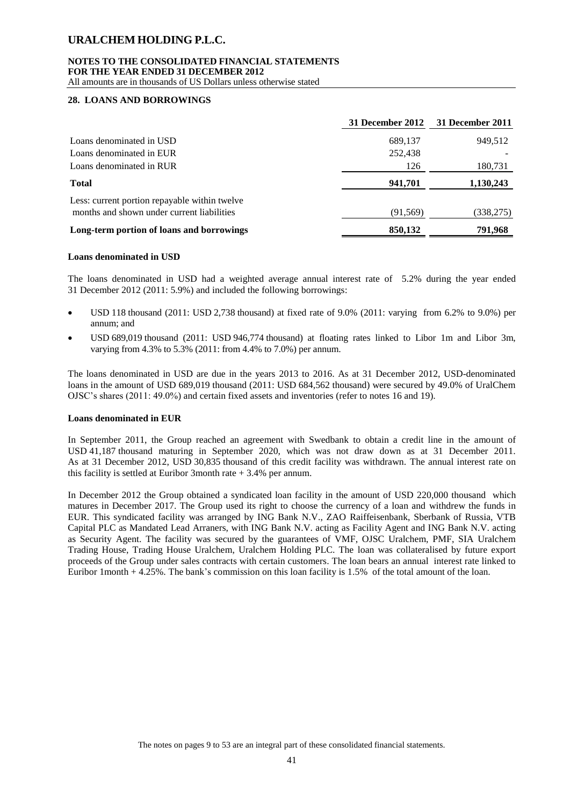#### **NOTES TO THE CONSOLIDATED FINANCIAL STATEMENTS FOR THE YEAR ENDED 31 DECEMBER 2012** All amounts are in thousands of US Dollars unless otherwise stated

### **28. LOANS AND BORROWINGS**

|                                               | 31 December 2012 | 31 December 2011 |
|-----------------------------------------------|------------------|------------------|
| Loans denominated in USD                      | 689,137          | 949,512          |
| Loans denominated in EUR                      | 252,438          |                  |
| Loans denominated in RUR                      | 126              | 180,731          |
| <b>Total</b>                                  | 941,701          | 1,130,243        |
| Less: current portion repayable within twelve |                  |                  |
| months and shown under current liabilities    | (91, 569)        | (338, 275)       |
| Long-term portion of loans and borrowings     | 850,132          | 791,968          |

#### **Loans denominated in USD**

The loans denominated in USD had a weighted average annual interest rate of 5.2% during the year ended 31 December 2012 (2011: 5.9%) and included the following borrowings:

- USD 118 thousand (2011: USD 2,738 thousand) at fixed rate of 9.0% (2011: varying from 6.2% to 9.0%) per annum; and
- USD 689,019 thousand (2011: USD 946,774 thousand) at floating rates linked to Libor 1m and Libor 3m, varying from 4.3% to 5.3% (2011: from 4.4% to 7.0%) per annum.

The loans denominated in USD are due in the years 2013 to 2016. As at 31 December 2012, USD-denominated loans in the amount of USD 689,019 thousand (2011: USD 684,562 thousand) were secured by 49.0% of UralChem OJSC's shares (2011: 49.0%) and certain fixed assets and inventories (refer to notes 16 and 19).

#### **Loans denominated in EUR**

In September 2011, the Group reached an agreement with Swedbank to obtain a credit line in the amount of USD 41,187 thousand maturing in September 2020, which was not draw down as at 31 December 2011. As at 31 December 2012, USD 30,835 thousand of this credit facility was withdrawn. The annual interest rate on this facility is settled at Euribor 3month rate  $+3.4%$  per annum.

In December 2012 the Group obtained a syndicated loan facility in the amount of USD 220,000 thousand which matures in December 2017. The Group used its right to choose the currency of a loan and withdrew the funds in EUR. This syndicated facility was arranged by ING Bank N.V., ZAO Raiffeisenbank, Sberbank of Russia, VTB Capital PLC as Mandated Lead Arraners, with ING Bank N.V. acting as Facility Agent and ING Bank N.V. acting as Security Agent. The facility was secured by the guarantees of VMF, OJSC Uralchem, PMF, SIA Uralchem Trading House, Trading House Uralchem, Uralchem Holding PLC. The loan was collateralised by future export proceeds of the Group under sales contracts with certain customers. The loan bears an annual interest rate linked to Euribor 1month + 4.25%. The bank's commission on this loan facility is 1.5% of the total amount of the loan.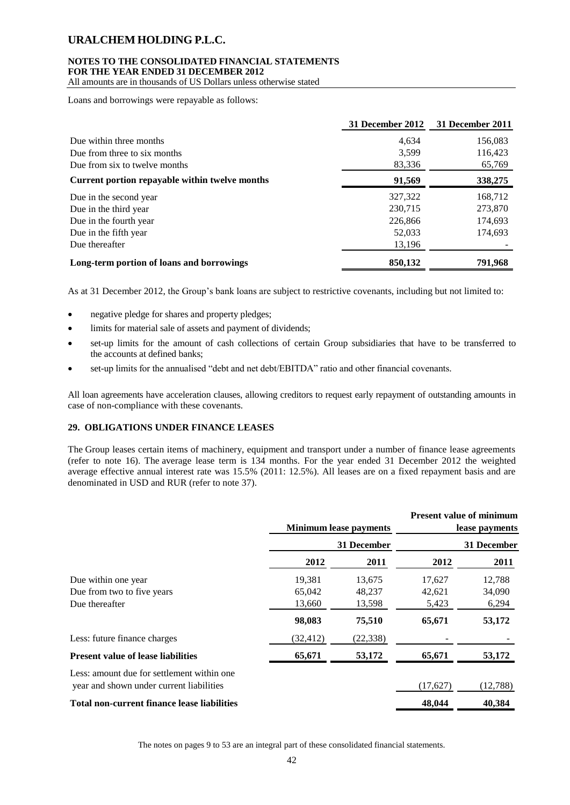### **NOTES TO THE CONSOLIDATED FINANCIAL STATEMENTS FOR THE YEAR ENDED 31 DECEMBER 2012**

All amounts are in thousands of US Dollars unless otherwise stated

Loans and borrowings were repayable as follows:

|                                                | <b>31 December 2012</b> | 31 December 2011 |
|------------------------------------------------|-------------------------|------------------|
| Due within three months                        | 4.634                   | 156,083          |
| Due from three to six months                   | 3.599                   | 116,423          |
| Due from six to twelve months                  | 83,336                  | 65,769           |
| Current portion repayable within twelve months | 91.569                  | 338,275          |
| Due in the second year                         | 327,322                 | 168,712          |
| Due in the third year                          | 230,715                 | 273,870          |
| Due in the fourth year                         | 226,866                 | 174,693          |
| Due in the fifth year                          | 52,033                  | 174,693          |
| Due thereafter                                 | 13,196                  |                  |
| Long-term portion of loans and borrowings      | 850,132                 | 791,968          |

As at 31 December 2012, the Group's bank loans are subject to restrictive covenants, including but not limited to:

- negative pledge for shares and property pledges;
- limits for material sale of assets and payment of dividends;
- set-up limits for the amount of cash collections of certain Group subsidiaries that have to be transferred to the accounts at defined banks;
- set-up limits for the annualised "debt and net debt/EBITDA" ratio and other financial covenants.

All loan agreements have acceleration clauses, allowing creditors to request early repayment of outstanding amounts in case of non-compliance with these covenants.

### **29. OBLIGATIONS UNDER FINANCE LEASES**

The Group leases certain items of machinery, equipment and transport under a number of finance lease agreements (refer to note 16). The average lease term is 134 months. For the year ended 31 December 2012 the weighted average effective annual interest rate was 15.5% (2011: 12.5%). All leases are on a fixed repayment basis and are denominated in USD and RUR (refer to note 37).

|                                                                                        |           | <b>Minimum lease payments</b> | <b>Present value of minimum</b> | lease payments |  |
|----------------------------------------------------------------------------------------|-----------|-------------------------------|---------------------------------|----------------|--|
|                                                                                        |           | 31 December                   |                                 | 31 December    |  |
|                                                                                        | 2012      | 2011                          | 2012                            | 2011           |  |
| Due within one year                                                                    | 19,381    | 13,675                        | 17,627                          | 12,788         |  |
| Due from two to five years                                                             | 65,042    | 48,237                        | 42,621                          | 34,090         |  |
| Due thereafter                                                                         | 13,660    | 13,598                        | 5,423                           | 6,294          |  |
|                                                                                        | 98,083    | 75,510                        | 65,671                          | 53,172         |  |
| Less: future finance charges                                                           | (32, 412) | (22, 338)                     |                                 |                |  |
| <b>Present value of lease liabilities</b>                                              | 65,671    | 53,172                        | 65,671                          | 53,172         |  |
| Less: amount due for settlement within one<br>year and shown under current liabilities |           |                               | (17,627)                        | (12,788)       |  |
| Total non-current finance lease liabilities                                            |           |                               | 48,044                          | 40,384         |  |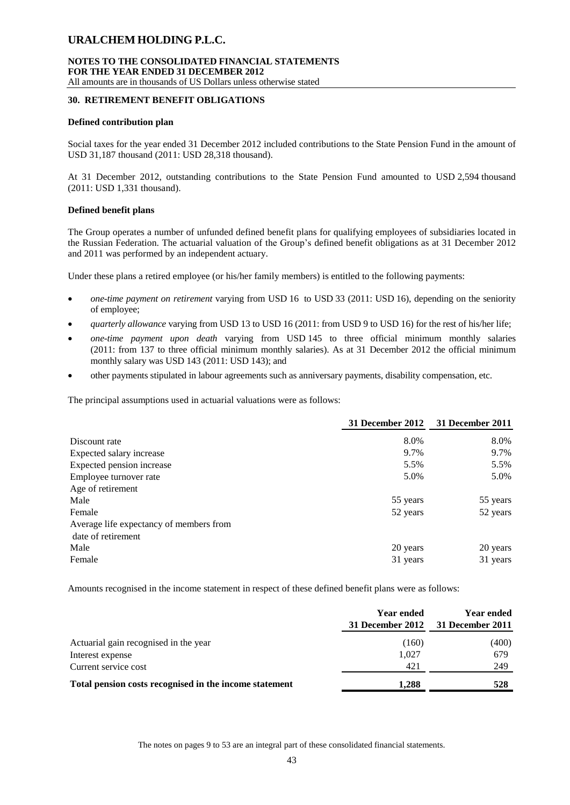### **NOTES TO THE CONSOLIDATED FINANCIAL STATEMENTS FOR THE YEAR ENDED 31 DECEMBER 2012** All amounts are in thousands of US Dollars unless otherwise stated

### **30. RETIREMENT BENEFIT OBLIGATIONS**

### **Defined contribution plan**

Social taxes for the year ended 31 December 2012 included contributions to the State Pension Fund in the amount of USD 31,187 thousand (2011: USD 28,318 thousand).

At 31 December 2012, outstanding contributions to the State Pension Fund amounted to USD 2,594 thousand (2011: USD 1,331 thousand).

### **Defined benefit plans**

The Group operates a number of unfunded defined benefit plans for qualifying employees of subsidiaries located in the Russian Federation. The actuarial valuation of the Group's defined benefit obligations as at 31 December 2012 and 2011 was performed by an independent actuary.

Under these plans a retired employee (or his/her family members) is entitled to the following payments:

- *one-time payment on retirement* varying from USD 16 to USD 33 (2011: USD 16), depending on the seniority of employee;
- *quarterly allowance* varying from USD 13 to USD 16 (2011: from USD 9 to USD 16) for the rest of his/her life;
- *one-time payment upon death* varying from USD 145 to three official minimum monthly salaries (2011: from 137 to three official minimum monthly salaries). As at 31 December 2012 the official minimum monthly salary was USD 143 (2011: USD 143); and
- other payments stipulated in labour agreements such as anniversary payments, disability compensation, etc.

The principal assumptions used in actuarial valuations were as follows:

|                                         | 31 December 2012 | 31 December 2011 |
|-----------------------------------------|------------------|------------------|
| Discount rate                           | 8.0%             | 8.0%             |
| Expected salary increase                | 9.7%             | 9.7%             |
| Expected pension increase               | 5.5%             | 5.5%             |
| Employee turnover rate                  | 5.0%             | 5.0%             |
| Age of retirement                       |                  |                  |
| Male                                    | 55 years         | 55 years         |
| Female                                  | 52 years         | 52 years         |
| Average life expectancy of members from |                  |                  |
| date of retirement                      |                  |                  |
| Male                                    | 20 years         | 20 years         |
| Female                                  | 31 years         | 31 years         |

Amounts recognised in the income statement in respect of these defined benefit plans were as follows:

|                                                        | <b>Year ended</b> | <b>Year ended</b><br>31 December 2012 31 December 2011 |
|--------------------------------------------------------|-------------------|--------------------------------------------------------|
| Actuarial gain recognised in the year                  | (160)             | (400)                                                  |
| Interest expense                                       | 1,027             | 679                                                    |
| Current service cost                                   | 421               | 249                                                    |
| Total pension costs recognised in the income statement | 1.288             | 528                                                    |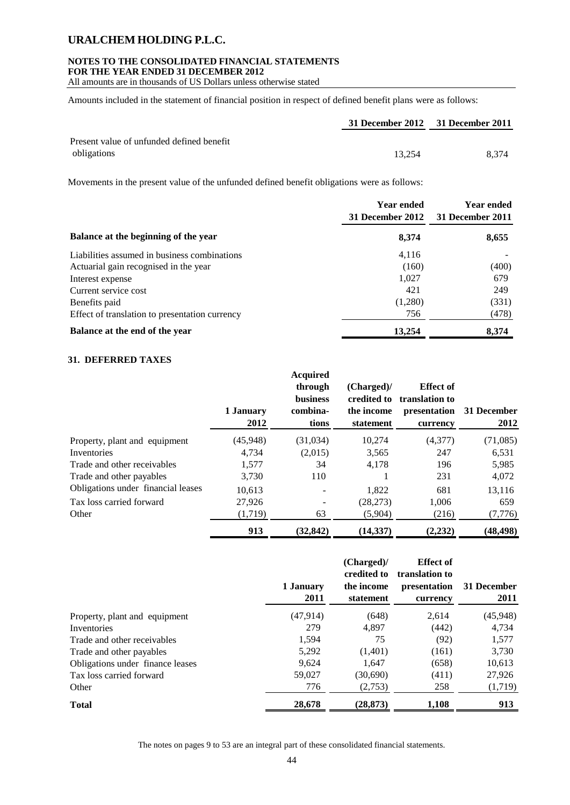### **NOTES TO THE CONSOLIDATED FINANCIAL STATEMENTS FOR THE YEAR ENDED 31 DECEMBER 2012**

All amounts are in thousands of US Dollars unless otherwise stated

Amounts included in the statement of financial position in respect of defined benefit plans were as follows:

|                                                          | 31 December 2012 31 December 2011 |       |
|----------------------------------------------------------|-----------------------------------|-------|
| Present value of unfunded defined benefit<br>obligations | 13.254                            | 8.374 |

Movements in the present value of the unfunded defined benefit obligations were as follows:

|                                                | <b>Year ended</b><br>31 December 2012 | <b>Year ended</b><br>31 December 2011 |
|------------------------------------------------|---------------------------------------|---------------------------------------|
| Balance at the beginning of the year           | 8,374                                 | 8,655                                 |
| Liabilities assumed in business combinations   | 4.116                                 |                                       |
| Actuarial gain recognised in the year          | (160)                                 | (400)                                 |
| Interest expense                               | 1,027                                 | 679                                   |
| Current service cost                           | 421                                   | 249                                   |
| Benefits paid                                  | (1,280)                               | (331)                                 |
| Effect of translation to presentation currency | 756                                   | (478)                                 |
| Balance at the end of the year                 | 13.254                                | 8.374                                 |

### **31. DEFERRED TAXES**

|                                    | 1 January<br>2012 | <b>Acquired</b><br>through<br><b>business</b><br>combina-<br>tions | (Charged)<br>credited to<br>the income<br>statement | <b>Effect of</b><br>translation to<br>presentation<br>currency | 31 December<br>2012 |
|------------------------------------|-------------------|--------------------------------------------------------------------|-----------------------------------------------------|----------------------------------------------------------------|---------------------|
| Property, plant and equipment      | (45,948)          | (31,034)                                                           | 10,274                                              | (4,377)                                                        | (71,085)            |
| Inventories                        | 4,734             | (2,015)                                                            | 3,565                                               | 247                                                            | 6,531               |
| Trade and other receivables        | 1,577             | 34                                                                 | 4,178                                               | 196                                                            | 5,985               |
| Trade and other payables           | 3,730             | 110                                                                |                                                     | 231                                                            | 4,072               |
| Obligations under financial leases | 10,613            | ۰                                                                  | 1,822                                               | 681                                                            | 13,116              |
| Tax loss carried forward           | 27,926            |                                                                    | (28, 273)                                           | 1,006                                                          | 659                 |
| Other                              | (1,719)           | 63                                                                 | (5,904)                                             | (216)                                                          | (7,776)             |
|                                    | 913               | (32.842)                                                           | (14, 337)                                           | (2, 232)                                                       | (48, 498)           |

|                                  | 1 January<br>2011 | (Charged)<br>credited to<br>the income<br>statement | <b>Effect of</b><br>translation to<br>presentation<br>currency | 31 December<br>2011 |
|----------------------------------|-------------------|-----------------------------------------------------|----------------------------------------------------------------|---------------------|
| Property, plant and equipment    | (47, 914)         | (648)                                               | 2,614                                                          | (45,948)            |
| Inventories                      | 279               | 4,897                                               | (442)                                                          | 4,734               |
| Trade and other receivables      | 1,594             | 75                                                  | (92)                                                           | 1,577               |
| Trade and other payables         | 5,292             | (1,401)                                             | (161)                                                          | 3,730               |
| Obligations under finance leases | 9,624             | 1,647                                               | (658)                                                          | 10,613              |
| Tax loss carried forward         | 59,027            | (30,690)                                            | (411)                                                          | 27,926              |
| Other                            | 776               | (2,753)                                             | 258                                                            | (1,719)             |
| <b>Total</b>                     | 28,678            | (28, 873)                                           | 1,108                                                          | 913                 |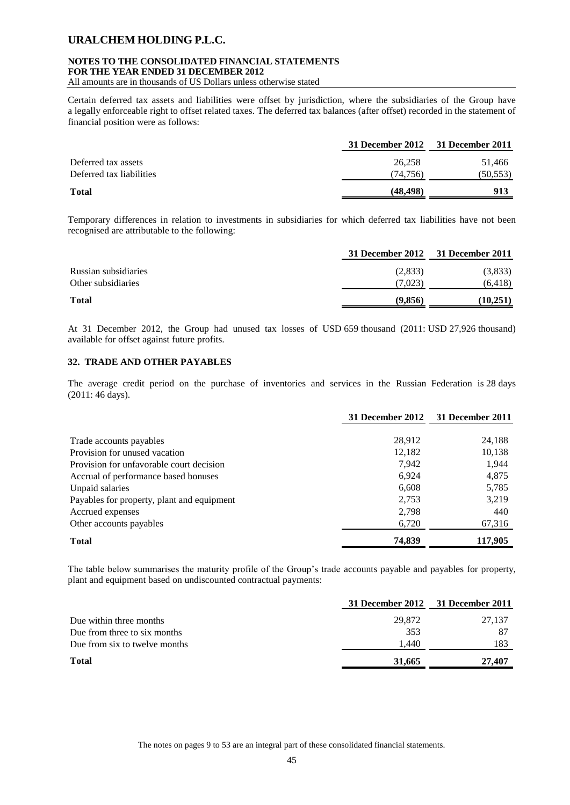### **NOTES TO THE CONSOLIDATED FINANCIAL STATEMENTS FOR THE YEAR ENDED 31 DECEMBER 2012**

All amounts are in thousands of US Dollars unless otherwise stated

Certain deferred tax assets and liabilities were offset by jurisdiction, where the subsidiaries of the Group have a legally enforceable right to offset related taxes. The deferred tax balances (after offset) recorded in the statement of financial position were as follows:

|                          |          | 31 December 2012 31 December 2011 |
|--------------------------|----------|-----------------------------------|
| Deferred tax assets      | 26.258   | 51.466                            |
| Deferred tax liabilities | (74.756) | (50, 553)                         |
| <b>Total</b>             | (48,498) | 913                               |

Temporary differences in relation to investments in subsidiaries for which deferred tax liabilities have not been recognised are attributable to the following:

|                      |         | 31 December 2012 31 December 2011 |
|----------------------|---------|-----------------------------------|
| Russian subsidiaries | (2,833) | (3,833)                           |
| Other subsidiaries   | (7.023) | (6.418)                           |
| <b>Total</b>         | (9,856) | (10, 251)                         |

At 31 December 2012, the Group had unused tax losses of USD 659 thousand (2011: USD 27,926 thousand) available for offset against future profits.

### **32. TRADE AND OTHER PAYABLES**

The average credit period on the purchase of inventories and services in the Russian Federation is 28 days (2011: 46 days).

|                                            | 31 December 2012 | 31 December 2011 |
|--------------------------------------------|------------------|------------------|
|                                            |                  |                  |
| Trade accounts payables                    | 28,912           | 24,188           |
| Provision for unused vacation              | 12,182           | 10,138           |
| Provision for unfavorable court decision   | 7.942            | 1,944            |
| Accrual of performance based bonuses       | 6.924            | 4,875            |
| Unpaid salaries                            | 6,608            | 5,785            |
| Payables for property, plant and equipment | 2,753            | 3,219            |
| Accrued expenses                           | 2,798            | 440              |
| Other accounts payables                    | 6,720            | 67,316           |
| <b>Total</b>                               | 74,839           | 117,905          |

The table below summarises the maturity profile of the Group's trade accounts payable and payables for property, plant and equipment based on undiscounted contractual payments:

|                               | 31 December 2012 31 December 2011 |        |
|-------------------------------|-----------------------------------|--------|
| Due within three months       | 29,872                            | 27,137 |
| Due from three to six months  | 353                               |        |
| Due from six to twelve months | 1.440                             | 183    |
| <b>Total</b>                  | 31,665                            | 27,407 |
|                               |                                   |        |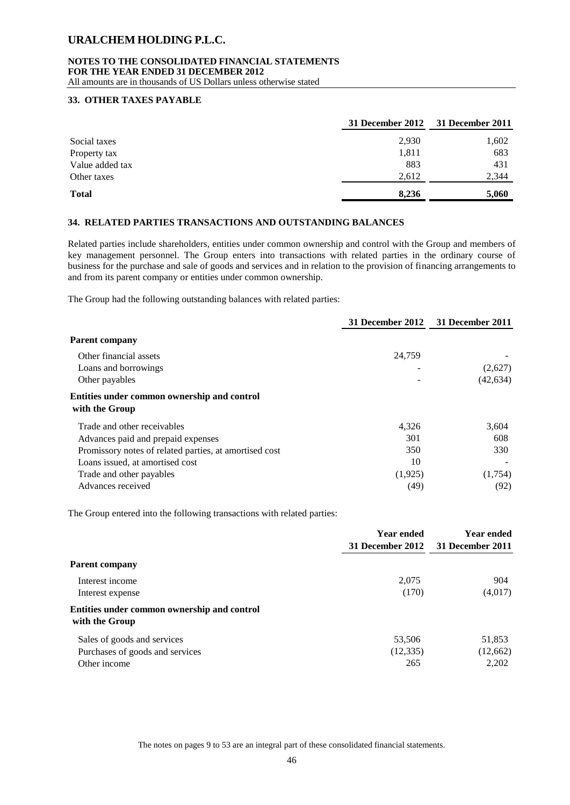### **NOTES TO THE CONSOLIDATED FINANCIAL STATEMENTS FOR THE YEAR ENDED 31 DECEMBER 2012** All amounts are in thousands of US Dollars unless otherwise stated

### **33. OTHER TAXES PAYABLE**

|                 | 31 December 2012 | 31 December 2011 |
|-----------------|------------------|------------------|
| Social taxes    | 2,930            | 1,602            |
| Property tax    | 1,811            | 683              |
| Value added tax | 883              | 431              |
| Other taxes     | 2.612            | 2,344            |
| <b>Total</b>    | 8,236            | 5,060            |

#### **34. RELATED PARTIES TRANSACTIONS AND OUTSTANDING BALANCES**

Related parties include shareholders, entities under common ownership and control with the Group and members of key management personnel. The Group enters into transactions with related parties in the ordinary course of business for the purchase and sale of goods and services and in relation to the provision of financing arrangements to and from its parent company or entities under common ownership.

The Group had the following outstanding balances with related parties:

|                                                                      |         | 31 December 2012 31 December 2011 |
|----------------------------------------------------------------------|---------|-----------------------------------|
| <b>Parent company</b>                                                |         |                                   |
| Other financial assets                                               | 24,759  |                                   |
| Loans and borrowings                                                 |         | (2,627)                           |
| Other payables                                                       |         | (42,634)                          |
| <b>Entities under common ownership and control</b><br>with the Group |         |                                   |
| Trade and other receivables                                          | 4,326   | 3,604                             |
| Advances paid and prepaid expenses                                   | 301     | 608                               |
| Promissory notes of related parties, at amortised cost               | 350     | 330                               |
| Loans issued, at amortised cost                                      | 10      |                                   |
| Trade and other payables                                             | (1,925) | (1,754)                           |
| Advances received                                                    | (49)    | (92)                              |

The Group entered into the following transactions with related parties:

|                                                               | <b>Year ended</b><br>31 December 2012 | <b>Year ended</b><br>31 December 2011 |
|---------------------------------------------------------------|---------------------------------------|---------------------------------------|
| <b>Parent company</b>                                         |                                       |                                       |
| Interest income                                               | 2,075                                 | 904                                   |
| Interest expense                                              | (170)                                 | (4,017)                               |
| Entities under common ownership and control<br>with the Group |                                       |                                       |
| Sales of goods and services                                   | 53,506                                | 51,853                                |
| Purchases of goods and services                               | (12, 335)                             | (12,662)                              |
| Other income                                                  | 265                                   | 2,202                                 |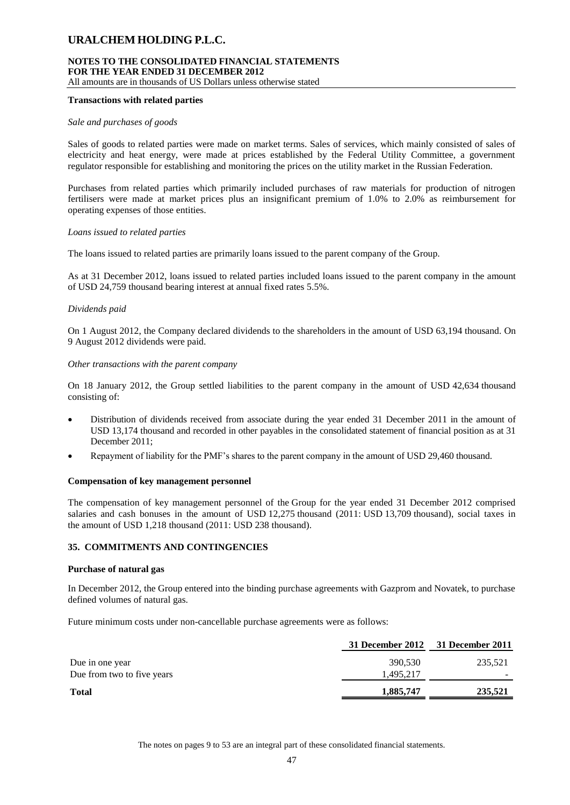#### **NOTES TO THE CONSOLIDATED FINANCIAL STATEMENTS FOR THE YEAR ENDED 31 DECEMBER 2012** All amounts are in thousands of US Dollars unless otherwise stated

### **Transactions with related parties**

#### *Sale and purchases of goods*

Sales of goods to related parties were made on market terms. Sales of services, which mainly consisted of sales of electricity and heat energy, were made at prices established by the Federal Utility Committee, a government regulator responsible for establishing and monitoring the prices on the utility market in the Russian Federation.

Purchases from related parties which primarily included purchases of raw materials for production of nitrogen fertilisers were made at market prices plus an insignificant premium of 1.0% to 2.0% as reimbursement for operating expenses of those entities.

#### *Loans issued to related parties*

The loans issued to related parties are primarily loans issued to the parent company of the Group.

As at 31 December 2012, loans issued to related parties included loans issued to the parent company in the amount of USD 24,759 thousand bearing interest at annual fixed rates 5.5%.

#### *Dividends paid*

On 1 August 2012, the Company declared dividends to the shareholders in the amount of USD 63,194 thousand. On 9 August 2012 dividends were paid.

#### *Other transactions with the parent company*

On 18 January 2012, the Group settled liabilities to the parent company in the amount of USD 42,634 thousand consisting of:

- Distribution of dividends received from associate during the year ended 31 December 2011 in the amount of USD 13,174 thousand and recorded in other payables in the consolidated statement of financial position as at 31 December 2011;
- Repayment of liability for the PMF's shares to the parent company in the amount of USD 29,460 thousand.

### **Compensation of key management personnel**

The compensation of key management personnel of the Group for the year ended 31 December 2012 comprised salaries and cash bonuses in the amount of USD 12,275 thousand (2011: USD 13,709 thousand), social taxes in the amount of USD 1,218 thousand (2011: USD 238 thousand).

### **35. COMMITMENTS AND CONTINGENCIES**

#### **Purchase of natural gas**

In December 2012, the Group entered into the binding purchase agreements with Gazprom and Novatek, to purchase defined volumes of natural gas.

Future minimum costs under non-cancellable purchase agreements were as follows:

|                            |           | 31 December 2012 31 December 2011 |
|----------------------------|-----------|-----------------------------------|
| Due in one year            | 390.530   | 235,521                           |
| Due from two to five years | 1.495.217 |                                   |
| <b>Total</b>               | 1,885,747 | 235,521                           |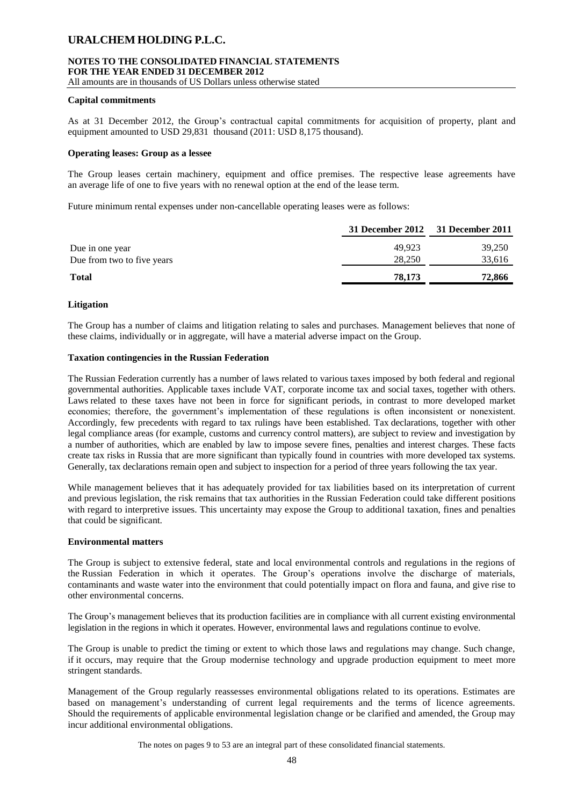#### **NOTES TO THE CONSOLIDATED FINANCIAL STATEMENTS FOR THE YEAR ENDED 31 DECEMBER 2012** All amounts are in thousands of US Dollars unless otherwise stated

### **Capital commitments**

As at 31 December 2012, the Group's contractual capital commitments for acquisition of property, plant and equipment amounted to USD 29.831 thousand (2011: USD 8,175 thousand).

#### **Operating leases: Group as a lessee**

The Group leases certain machinery, equipment and office premises. The respective lease agreements have an average life of one to five years with no renewal option at the end of the lease term.

Future minimum rental expenses under non-cancellable operating leases were as follows:

|                            |        | 31 December 2012 31 December 2011 |
|----------------------------|--------|-----------------------------------|
| Due in one year            | 49.923 | 39,250                            |
| Due from two to five years | 28,250 | 33,616                            |
| <b>Total</b>               | 78.173 | 72,866                            |

#### **Litigation**

The Group has a number of claims and litigation relating to sales and purchases. Management believes that none of these claims, individually or in aggregate, will have a material adverse impact on the Group.

#### **Taxation contingencies in the Russian Federation**

The Russian Federation currently has a number of laws related to various taxes imposed by both federal and regional governmental authorities. Applicable taxes include VAT, corporate income tax and social taxes, together with others. Laws related to these taxes have not been in force for significant periods, in contrast to more developed market economies; therefore, the government's implementation of these regulations is often inconsistent or nonexistent. Accordingly, few precedents with regard to tax rulings have been established. Tax declarations, together with other legal compliance areas (for example, customs and currency control matters), are subject to review and investigation by a number of authorities, which are enabled by law to impose severe fines, penalties and interest charges. These facts create tax risks in Russia that are more significant than typically found in countries with more developed tax systems. Generally, tax declarations remain open and subject to inspection for a period of three years following the tax year.

While management believes that it has adequately provided for tax liabilities based on its interpretation of current and previous legislation, the risk remains that tax authorities in the Russian Federation could take different positions with regard to interpretive issues. This uncertainty may expose the Group to additional taxation, fines and penalties that could be significant.

### **Environmental matters**

The Group is subject to extensive federal, state and local environmental controls and regulations in the regions of the Russian Federation in which it operates. The Group's operations involve the discharge of materials, contaminants and waste water into the environment that could potentially impact on flora and fauna, and give rise to other environmental concerns.

The Group's management believes that its production facilities are in compliance with all current existing environmental legislation in the regions in which it operates. However, environmental laws and regulations continue to evolve.

The Group is unable to predict the timing or extent to which those laws and regulations may change. Such change, if it occurs, may require that the Group modernise technology and upgrade production equipment to meet more stringent standards.

Management of the Group regularly reassesses environmental obligations related to its operations. Estimates are based on management's understanding of current legal requirements and the terms of licence agreements. Should the requirements of applicable environmental legislation change or be clarified and amended, the Group may incur additional environmental obligations.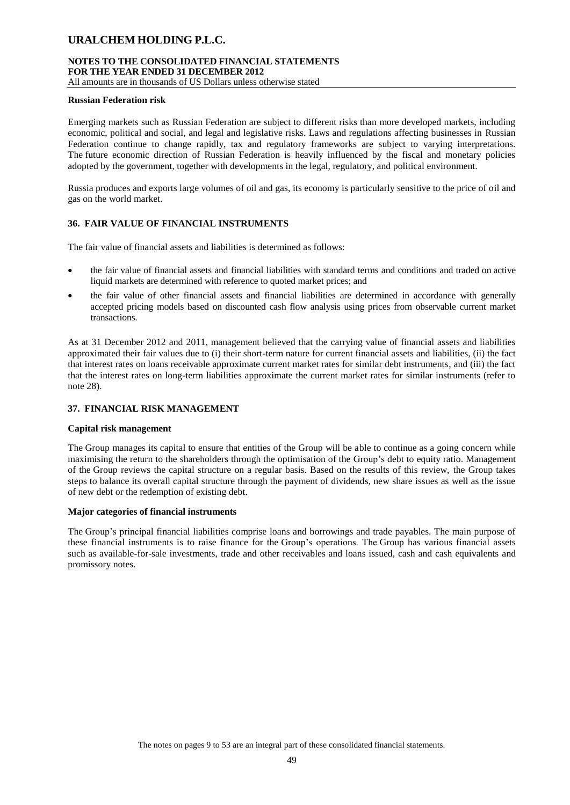#### **NOTES TO THE CONSOLIDATED FINANCIAL STATEMENTS FOR THE YEAR ENDED 31 DECEMBER 2012** All amounts are in thousands of US Dollars unless otherwise stated

#### **Russian Federation risk**

Emerging markets such as Russian Federation are subject to different risks than more developed markets, including economic, political and social, and legal and legislative risks. Laws and regulations affecting businesses in Russian Federation continue to change rapidly, tax and regulatory frameworks are subject to varying interpretations. The future economic direction of Russian Federation is heavily influenced by the fiscal and monetary policies adopted by the government, together with developments in the legal, regulatory, and political environment.

Russia produces and exports large volumes of oil and gas, its economy is particularly sensitive to the price of oil and gas on the world market.

#### **36. FAIR VALUE OF FINANCIAL INSTRUMENTS**

The fair value of financial assets and liabilities is determined as follows:

- the fair value of financial assets and financial liabilities with standard terms and conditions and traded on active liquid markets are determined with reference to quoted market prices; and
- the fair value of other financial assets and financial liabilities are determined in accordance with generally accepted pricing models based on discounted cash flow analysis using prices from observable current market transactions.

As at 31 December 2012 and 2011, management believed that the carrying value of financial assets and liabilities approximated their fair values due to (i) their short-term nature for current financial assets and liabilities, (ii) the fact that interest rates on loans receivable approximate current market rates for similar debt instruments, and (iii) the fact that the interest rates on long-term liabilities approximate the current market rates for similar instruments (refer to note 28).

### **37. FINANCIAL RISK MANAGEMENT**

#### **Capital risk management**

The Group manages its capital to ensure that entities of the Group will be able to continue as a going concern while maximising the return to the shareholders through the optimisation of the Group's debt to equity ratio. Management of the Group reviews the capital structure on a regular basis. Based on the results of this review, the Group takes steps to balance its overall capital structure through the payment of dividends, new share issues as well as the issue of new debt or the redemption of existing debt.

#### **Major categories of financial instruments**

The Group's principal financial liabilities comprise loans and borrowings and trade payables. The main purpose of these financial instruments is to raise finance for the Group's operations. The Group has various financial assets such as available-for-sale investments, trade and other receivables and loans issued, cash and cash equivalents and promissory notes.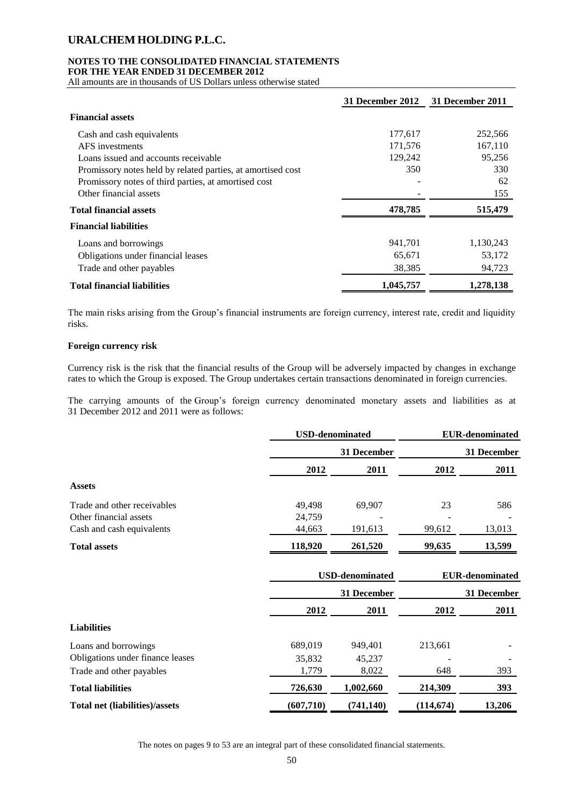# **NOTES TO THE CONSOLIDATED FINANCIAL STATEMENTS**

**FOR THE YEAR ENDED 31 DECEMBER 2012**

All amounts are in thousands of US Dollars unless otherwise stated

|                                                             | 31 December 2012 31 December 2011 |           |
|-------------------------------------------------------------|-----------------------------------|-----------|
| <b>Financial assets</b>                                     |                                   |           |
| Cash and cash equivalents                                   | 177,617                           | 252,566   |
| AFS investments                                             | 171,576                           | 167,110   |
| Loans issued and accounts receivable                        | 129,242                           | 95,256    |
| Promissory notes held by related parties, at amortised cost | 350                               | 330       |
| Promissory notes of third parties, at amortised cost        |                                   | 62        |
| Other financial assets                                      |                                   | 155       |
| <b>Total financial assets</b>                               | 478,785                           | 515,479   |
| <b>Financial liabilities</b>                                |                                   |           |
| Loans and borrowings                                        | 941,701                           | 1,130,243 |
| Obligations under financial leases                          | 65,671                            | 53,172    |
| Trade and other payables                                    | 38,385                            | 94,723    |
| <b>Total financial liabilities</b>                          | 1,045,757                         | 1,278,138 |

The main risks arising from the Group's financial instruments are foreign currency, interest rate, credit and liquidity risks.

### **Foreign currency risk**

Currency risk is the risk that the financial results of the Group will be adversely impacted by changes in exchange rates to which the Group is exposed. The Group undertakes certain transactions denominated in foreign currencies.

The carrying amounts of the Group's foreign currency denominated monetary assets and liabilities as at 31 December 2012 and 2011 were as follows:

|                                       |            | <b>USD-denominated</b> |            | <b>EUR-denominated</b> |  |
|---------------------------------------|------------|------------------------|------------|------------------------|--|
|                                       |            | 31 December            |            | 31 December            |  |
|                                       | 2012       | 2011                   | 2012       | 2011                   |  |
| <b>Assets</b>                         |            |                        |            |                        |  |
| Trade and other receivables           | 49,498     | 69,907                 | 23         | 586                    |  |
| Other financial assets                | 24,759     |                        |            |                        |  |
| Cash and cash equivalents             | 44,663     | 191,613                | 99,612     | 13,013                 |  |
| <b>Total assets</b>                   | 118,920    | 261,520                | 99,635     | 13,599                 |  |
|                                       |            |                        |            |                        |  |
|                                       |            | <b>USD-denominated</b> |            | <b>EUR-denominated</b> |  |
|                                       |            | 31 December            |            | 31 December            |  |
|                                       | 2012       | 2011                   | 2012       | 2011                   |  |
| <b>Liabilities</b>                    |            |                        |            |                        |  |
| Loans and borrowings                  | 689,019    | 949,401                | 213,661    |                        |  |
| Obligations under finance leases      | 35,832     | 45,237                 |            |                        |  |
| Trade and other payables              | 1,779      | 8,022                  | 648        | 393                    |  |
| <b>Total liabilities</b>              | 726,630    | 1,002,660              | 214,309    | 393                    |  |
| <b>Total net (liabilities)/assets</b> | (607, 710) | (741, 140)             | (114, 674) | 13,206                 |  |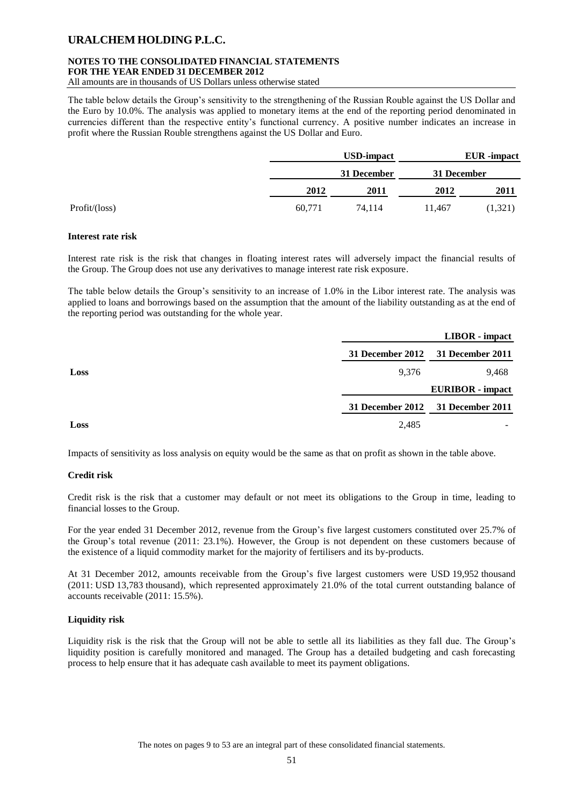#### **NOTES TO THE CONSOLIDATED FINANCIAL STATEMENTS FOR THE YEAR ENDED 31 DECEMBER 2012**

All amounts are in thousands of US Dollars unless otherwise stated

The table below details the Group's sensitivity to the strengthening of the Russian Rouble against the US Dollar and the Euro by 10.0%. The analysis was applied to monetary items at the end of the reporting period denominated in currencies different than the respective entity's functional currency. A positive number indicates an increase in profit where the Russian Rouble strengthens against the US Dollar and Euro.

|               |        | <b>USD-impact</b> |             | <b>EUR</b> -impact |  |
|---------------|--------|-------------------|-------------|--------------------|--|
|               |        | 31 December       | 31 December |                    |  |
|               | 2012   | 2011              | 2012        | 2011               |  |
| Profit/(loss) | 60,771 | 74.114            | 11.467      | (1,321)            |  |

#### **Interest rate risk**

Interest rate risk is the risk that changes in floating interest rates will adversely impact the financial results of the Group. The Group does not use any derivatives to manage interest rate risk exposure.

The table below details the Group's sensitivity to an increase of 1.0% in the Libor interest rate. The analysis was applied to loans and borrowings based on the assumption that the amount of the liability outstanding as at the end of the reporting period was outstanding for the whole year.

|      |       | LIBOR - impact                    |
|------|-------|-----------------------------------|
|      |       | 31 December 2012 31 December 2011 |
| Loss | 9,376 | 9,468                             |
|      |       | <b>EURIBOR</b> - impact           |
|      |       | 31 December 2012 31 December 2011 |
| Loss | 2,485 |                                   |

Impacts of sensitivity as loss analysis on equity would be the same as that on profit as shown in the table above.

### **Credit risk**

Credit risk is the risk that a customer may default or not meet its obligations to the Group in time, leading to financial losses to the Group.

For the year ended 31 December 2012, revenue from the Group's five largest customers constituted over 25.7% of the Group's total revenue (2011: 23.1%). However, the Group is not dependent on these customers because of the existence of a liquid commodity market for the majority of fertilisers and its by-products.

At 31 December 2012, amounts receivable from the Group's five largest customers were USD 19,952 thousand (2011: USD 13,783 thousand), which represented approximately 21.0% of the total current outstanding balance of accounts receivable (2011: 15.5%).

#### **Liquidity risk**

Liquidity risk is the risk that the Group will not be able to settle all its liabilities as they fall due. The Group's liquidity position is carefully monitored and managed. The Group has a detailed budgeting and cash forecasting process to help ensure that it has adequate cash available to meet its payment obligations.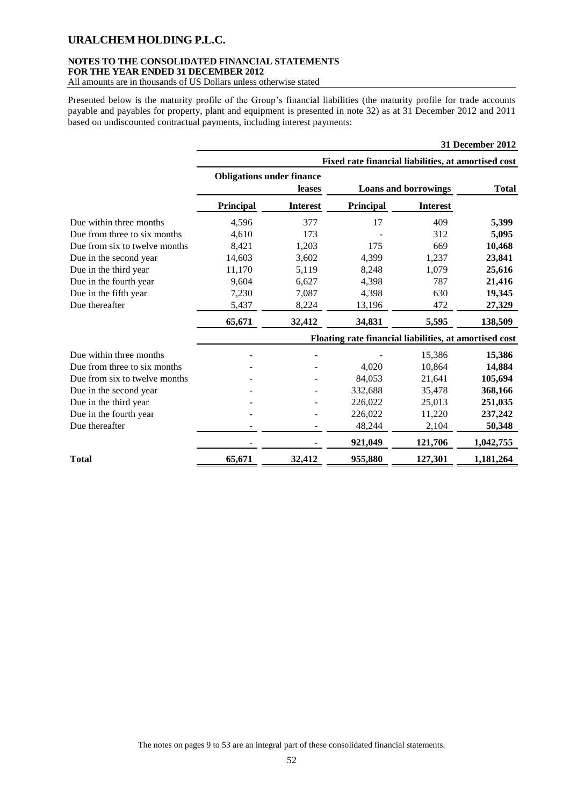### **NOTES TO THE CONSOLIDATED FINANCIAL STATEMENTS FOR THE YEAR ENDED 31 DECEMBER 2012**

All amounts are in thousands of US Dollars unless otherwise stated

Presented below is the maturity profile of the Group's financial liabilities (the maturity profile for trade accounts payable and payables for property, plant and equipment is presented in note 32) as at 31 December 2012 and 2011 based on undiscounted contractual payments, including interest payments:

|                               | 31 December 2012                                    |                 |                                                        |                             |              |
|-------------------------------|-----------------------------------------------------|-----------------|--------------------------------------------------------|-----------------------------|--------------|
|                               | Fixed rate financial liabilities, at amortised cost |                 |                                                        |                             |              |
|                               | <b>Obligations under finance</b>                    |                 |                                                        |                             |              |
|                               |                                                     | leases          |                                                        | <b>Loans and borrowings</b> | <b>Total</b> |
|                               | <b>Principal</b>                                    | <b>Interest</b> | Principal                                              | <b>Interest</b>             |              |
| Due within three months       | 4,596                                               | 377             | 17                                                     | 409                         | 5,399        |
| Due from three to six months  | 4,610                                               | 173             |                                                        | 312                         | 5,095        |
| Due from six to twelve months | 8,421                                               | 1,203           | 175                                                    | 669                         | 10,468       |
| Due in the second year        | 14,603                                              | 3,602           | 4,399                                                  | 1,237                       | 23,841       |
| Due in the third year         | 11,170                                              | 5,119           | 8,248                                                  | 1,079                       | 25,616       |
| Due in the fourth year        | 9,604                                               | 6,627           | 4,398                                                  | 787                         | 21,416       |
| Due in the fifth year         | 7,230                                               | 7,087           | 4,398                                                  | 630                         | 19,345       |
| Due thereafter                | 5,437                                               | 8,224           | 13,196                                                 | 472                         | 27,329       |
|                               | 65,671                                              | 32,412          | 34,831                                                 | 5,595                       | 138,509      |
|                               |                                                     |                 | Floating rate financial liabilities, at amortised cost |                             |              |
| Due within three months       |                                                     |                 |                                                        | 15,386                      | 15,386       |
| Due from three to six months  |                                                     |                 | 4,020                                                  | 10,864                      | 14,884       |
| Due from six to twelve months |                                                     |                 | 84,053                                                 | 21,641                      | 105,694      |
| Due in the second year        |                                                     |                 | 332,688                                                | 35,478                      | 368,166      |
| Due in the third year         |                                                     |                 | 226,022                                                | 25,013                      | 251,035      |
| Due in the fourth year        |                                                     |                 | 226,022                                                | 11,220                      | 237,242      |
| Due thereafter                |                                                     |                 | 48,244                                                 | 2,104                       | 50,348       |
|                               |                                                     |                 | 921,049                                                | 121,706                     | 1,042,755    |
| <b>Total</b>                  | 65,671                                              | 32,412          | 955,880                                                | 127,301                     | 1,181,264    |